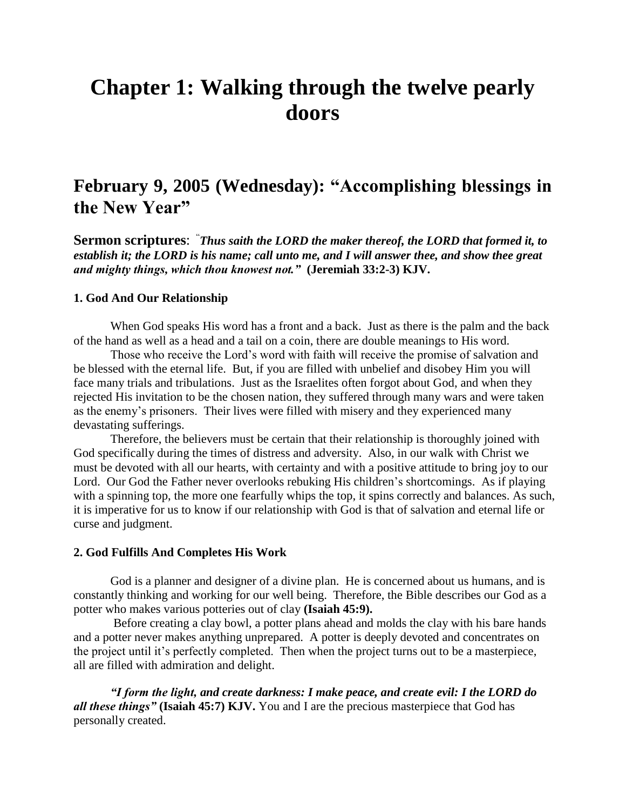# **Chapter 1: Walking through the twelve pearly doors**

# **February 9, 2005 (Wednesday): "Accomplishing blessings in the New Year"**

**Sermon scriptures**: " *Thus saith the LORD the maker thereof, the LORD that formed it, to establish it; the LORD is his name; call unto me, and I will answer thee, and show thee great and mighty things, which thou knowest not."* **(Jeremiah 33:2-3) KJV.**

# **1. God And Our Relationship**

When God speaks His word has a front and a back. Just as there is the palm and the back of the hand as well as a head and a tail on a coin, there are double meanings to His word.

Those who receive the Lord"s word with faith will receive the promise of salvation and be blessed with the eternal life. But, if you are filled with unbelief and disobey Him you will face many trials and tribulations. Just as the Israelites often forgot about God, and when they rejected His invitation to be the chosen nation, they suffered through many wars and were taken as the enemy"s prisoners. Their lives were filled with misery and they experienced many devastating sufferings.

Therefore, the believers must be certain that their relationship is thoroughly joined with God specifically during the times of distress and adversity. Also, in our walk with Christ we must be devoted with all our hearts, with certainty and with a positive attitude to bring joy to our Lord. Our God the Father never overlooks rebuking His children"s shortcomings. As if playing with a spinning top, the more one fearfully whips the top, it spins correctly and balances. As such, it is imperative for us to know if our relationship with God is that of salvation and eternal life or curse and judgment.

### **2. God Fulfills And Completes His Work**

God is a planner and designer of a divine plan. He is concerned about us humans, and is constantly thinking and working for our well being. Therefore, the Bible describes our God as a potter who makes various potteries out of clay **(Isaiah 45:9).**

Before creating a clay bowl, a potter plans ahead and molds the clay with his bare hands and a potter never makes anything unprepared. A potter is deeply devoted and concentrates on the project until it's perfectly completed. Then when the project turns out to be a masterpiece, all are filled with admiration and delight.

*"I form the light, and create darkness: I make peace, and create evil: I the LORD do all these things"* **(Isaiah 45:7) KJV.** You and I are the precious masterpiece that God has personally created.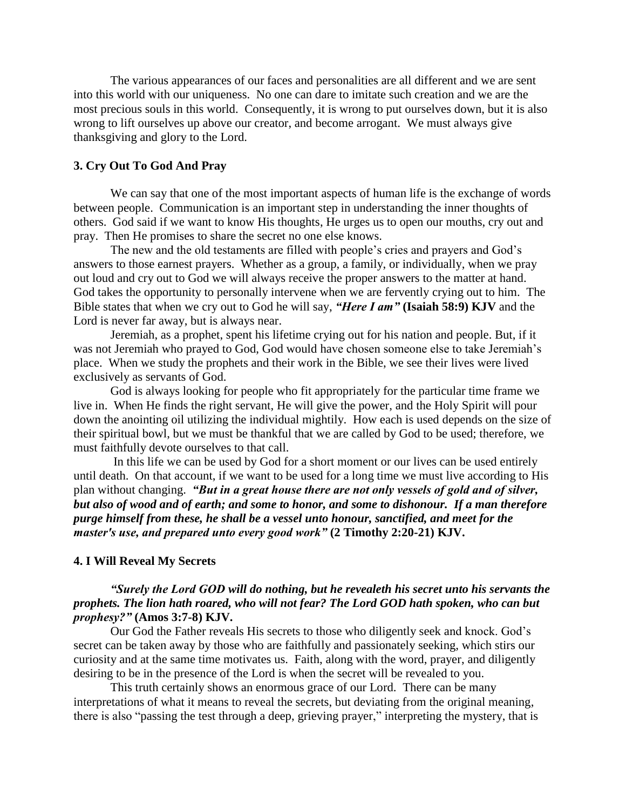The various appearances of our faces and personalities are all different and we are sent into this world with our uniqueness. No one can dare to imitate such creation and we are the most precious souls in this world. Consequently, it is wrong to put ourselves down, but it is also wrong to lift ourselves up above our creator, and become arrogant. We must always give thanksgiving and glory to the Lord.

# **3. Cry Out To God And Pray**

We can say that one of the most important aspects of human life is the exchange of words between people. Communication is an important step in understanding the inner thoughts of others. God said if we want to know His thoughts, He urges us to open our mouths, cry out and pray. Then He promises to share the secret no one else knows.

The new and the old testaments are filled with people's cries and prayers and God's answers to those earnest prayers. Whether as a group, a family, or individually, when we pray out loud and cry out to God we will always receive the proper answers to the matter at hand. God takes the opportunity to personally intervene when we are fervently crying out to him. The Bible states that when we cry out to God he will say, *"Here I am"* **(Isaiah 58:9) KJV** and the Lord is never far away, but is always near.

Jeremiah, as a prophet, spent his lifetime crying out for his nation and people. But, if it was not Jeremiah who prayed to God, God would have chosen someone else to take Jeremiah"s place. When we study the prophets and their work in the Bible, we see their lives were lived exclusively as servants of God.

God is always looking for people who fit appropriately for the particular time frame we live in. When He finds the right servant, He will give the power, and the Holy Spirit will pour down the anointing oil utilizing the individual mightily. How each is used depends on the size of their spiritual bowl, but we must be thankful that we are called by God to be used; therefore, we must faithfully devote ourselves to that call.

In this life we can be used by God for a short moment or our lives can be used entirely until death. On that account, if we want to be used for a long time we must live according to His plan without changing. *"But in a great house there are not only vessels of gold and of silver, but also of wood and of earth; and some to honor, and some to dishonour. If a man therefore purge himself from these, he shall be a vessel unto honour, sanctified, and meet for the master's use, and prepared unto every good work"* **(2 Timothy 2:20-21) KJV.** 

# **4. I Will Reveal My Secrets**

# *"Surely the Lord GOD will do nothing, but he revealeth his secret unto his servants the prophets. The lion hath roared, who will not fear? The Lord GOD hath spoken, who can but prophesy?"* **(Amos 3:7-8) KJV.**

Our God the Father reveals His secrets to those who diligently seek and knock. God"s secret can be taken away by those who are faithfully and passionately seeking, which stirs our curiosity and at the same time motivates us. Faith, along with the word, prayer, and diligently desiring to be in the presence of the Lord is when the secret will be revealed to you.

This truth certainly shows an enormous grace of our Lord. There can be many interpretations of what it means to reveal the secrets, but deviating from the original meaning, there is also "passing the test through a deep, grieving prayer," interpreting the mystery, that is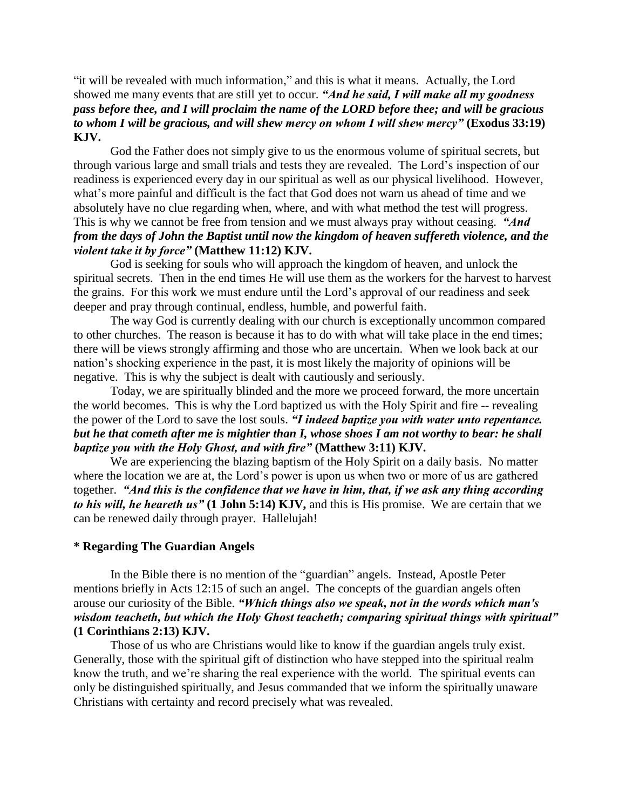"it will be revealed with much information," and this is what it means. Actually, the Lord showed me many events that are still yet to occur. *"And he said, I will make all my goodness pass before thee, and I will proclaim the name of the LORD before thee; and will be gracious to whom I will be gracious, and will shew mercy on whom I will shew mercy"* **(Exodus 33:19) KJV.**

God the Father does not simply give to us the enormous volume of spiritual secrets, but through various large and small trials and tests they are revealed. The Lord"s inspection of our readiness is experienced every day in our spiritual as well as our physical livelihood. However, what's more painful and difficult is the fact that God does not warn us ahead of time and we absolutely have no clue regarding when, where, and with what method the test will progress. This is why we cannot be free from tension and we must always pray without ceasing. *"And from the days of John the Baptist until now the kingdom of heaven suffereth violence, and the violent take it by force"* **(Matthew 11:12) KJV.**

God is seeking for souls who will approach the kingdom of heaven, and unlock the spiritual secrets. Then in the end times He will use them as the workers for the harvest to harvest the grains. For this work we must endure until the Lord"s approval of our readiness and seek deeper and pray through continual, endless, humble, and powerful faith.

The way God is currently dealing with our church is exceptionally uncommon compared to other churches. The reason is because it has to do with what will take place in the end times; there will be views strongly affirming and those who are uncertain. When we look back at our nation"s shocking experience in the past, it is most likely the majority of opinions will be negative. This is why the subject is dealt with cautiously and seriously.

Today, we are spiritually blinded and the more we proceed forward, the more uncertain the world becomes. This is why the Lord baptized us with the Holy Spirit and fire -- revealing the power of the Lord to save the lost souls. *"I indeed baptize you with water unto repentance. but he that cometh after me is mightier than I, whose shoes I am not worthy to bear: he shall baptize you with the Holy Ghost, and with fire"* **(Matthew 3:11) KJV.**

We are experiencing the blazing baptism of the Holy Spirit on a daily basis. No matter where the location we are at, the Lord's power is upon us when two or more of us are gathered together. *"And this is the confidence that we have in him, that, if we ask any thing according to his will, he heareth us"* **(1 John 5:14) KJV,** and this is His promise. We are certain that we can be renewed daily through prayer. Hallelujah!

# **\* Regarding The Guardian Angels**

In the Bible there is no mention of the "guardian" angels. Instead, Apostle Peter mentions briefly in Acts 12:15 of such an angel. The concepts of the guardian angels often arouse our curiosity of the Bible. *"Which things also we speak, not in the words which man's wisdom teacheth, but which the Holy Ghost teacheth; comparing spiritual things with spiritual"*  **(1 Corinthians 2:13) KJV.**

Those of us who are Christians would like to know if the guardian angels truly exist. Generally, those with the spiritual gift of distinction who have stepped into the spiritual realm know the truth, and we"re sharing the real experience with the world. The spiritual events can only be distinguished spiritually, and Jesus commanded that we inform the spiritually unaware Christians with certainty and record precisely what was revealed.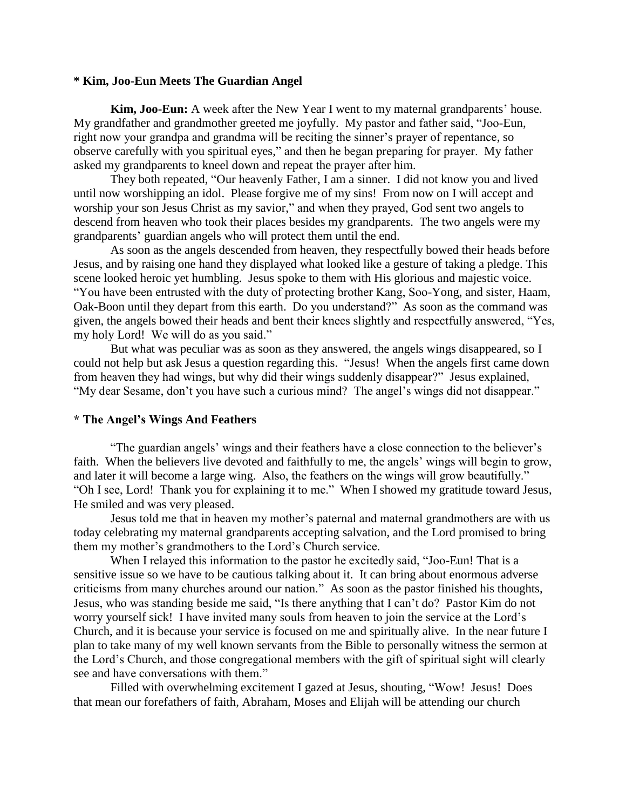# **\* Kim, Joo-Eun Meets The Guardian Angel**

**Kim, Joo-Eun:** A week after the New Year I went to my maternal grandparents' house. My grandfather and grandmother greeted me joyfully. My pastor and father said, "Joo-Eun, right now your grandpa and grandma will be reciting the sinner"s prayer of repentance, so observe carefully with you spiritual eyes," and then he began preparing for prayer. My father asked my grandparents to kneel down and repeat the prayer after him.

They both repeated, "Our heavenly Father, I am a sinner. I did not know you and lived until now worshipping an idol. Please forgive me of my sins! From now on I will accept and worship your son Jesus Christ as my savior," and when they prayed, God sent two angels to descend from heaven who took their places besides my grandparents. The two angels were my grandparents' guardian angels who will protect them until the end.

As soon as the angels descended from heaven, they respectfully bowed their heads before Jesus, and by raising one hand they displayed what looked like a gesture of taking a pledge. This scene looked heroic yet humbling. Jesus spoke to them with His glorious and majestic voice. "You have been entrusted with the duty of protecting brother Kang, Soo-Yong, and sister, Haam, Oak-Boon until they depart from this earth. Do you understand?" As soon as the command was given, the angels bowed their heads and bent their knees slightly and respectfully answered, "Yes, my holy Lord! We will do as you said."

But what was peculiar was as soon as they answered, the angels wings disappeared, so I could not help but ask Jesus a question regarding this. "Jesus! When the angels first came down from heaven they had wings, but why did their wings suddenly disappear?" Jesus explained, "My dear Sesame, don"t you have such a curious mind? The angel"s wings did not disappear."

#### **\* The Angel's Wings And Feathers**

"The guardian angels" wings and their feathers have a close connection to the believer"s faith. When the believers live devoted and faithfully to me, the angels' wings will begin to grow, and later it will become a large wing. Also, the feathers on the wings will grow beautifully." "Oh I see, Lord! Thank you for explaining it to me." When I showed my gratitude toward Jesus, He smiled and was very pleased.

Jesus told me that in heaven my mother"s paternal and maternal grandmothers are with us today celebrating my maternal grandparents accepting salvation, and the Lord promised to bring them my mother"s grandmothers to the Lord"s Church service.

When I relayed this information to the pastor he excitedly said, "Joo-Eun! That is a sensitive issue so we have to be cautious talking about it. It can bring about enormous adverse criticisms from many churches around our nation." As soon as the pastor finished his thoughts, Jesus, who was standing beside me said, "Is there anything that I can"t do? Pastor Kim do not worry yourself sick! I have invited many souls from heaven to join the service at the Lord"s Church, and it is because your service is focused on me and spiritually alive. In the near future I plan to take many of my well known servants from the Bible to personally witness the sermon at the Lord"s Church, and those congregational members with the gift of spiritual sight will clearly see and have conversations with them."

Filled with overwhelming excitement I gazed at Jesus, shouting, "Wow! Jesus! Does that mean our forefathers of faith, Abraham, Moses and Elijah will be attending our church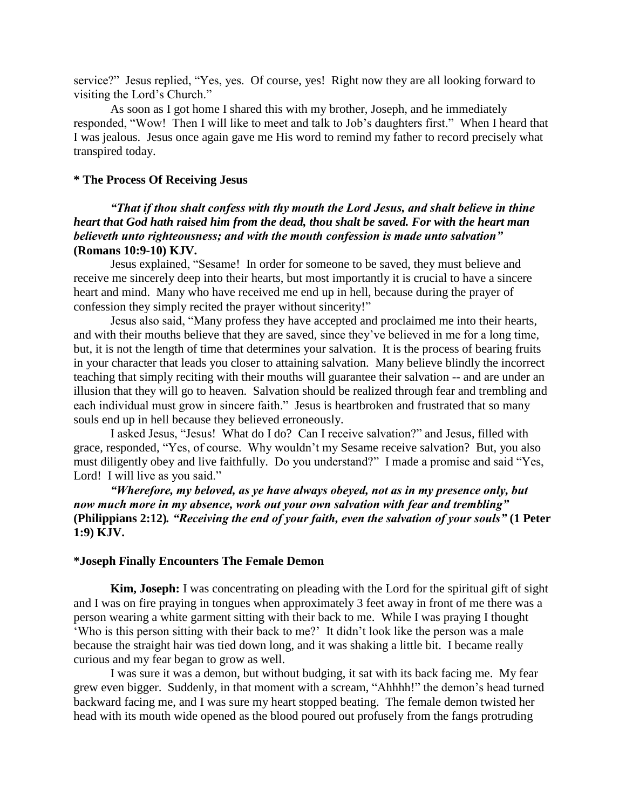service?" Jesus replied, "Yes, yes. Of course, yes! Right now they are all looking forward to visiting the Lord"s Church."

As soon as I got home I shared this with my brother, Joseph, and he immediately responded, "Wow! Then I will like to meet and talk to Job"s daughters first." When I heard that I was jealous. Jesus once again gave me His word to remind my father to record precisely what transpired today.

# **\* The Process Of Receiving Jesus**

# *"That if thou shalt confess with thy mouth the Lord Jesus, and shalt believe in thine heart that God hath raised him from the dead, thou shalt be saved. For with the heart man believeth unto righteousness; and with the mouth confession is made unto salvation"*  **(Romans 10:9-10) KJV.**

Jesus explained, "Sesame! In order for someone to be saved, they must believe and receive me sincerely deep into their hearts, but most importantly it is crucial to have a sincere heart and mind. Many who have received me end up in hell, because during the prayer of confession they simply recited the prayer without sincerity!"

Jesus also said, "Many profess they have accepted and proclaimed me into their hearts, and with their mouths believe that they are saved, since they"ve believed in me for a long time, but, it is not the length of time that determines your salvation. It is the process of bearing fruits in your character that leads you closer to attaining salvation. Many believe blindly the incorrect teaching that simply reciting with their mouths will guarantee their salvation -- and are under an illusion that they will go to heaven. Salvation should be realized through fear and trembling and each individual must grow in sincere faith." Jesus is heartbroken and frustrated that so many souls end up in hell because they believed erroneously.

I asked Jesus, "Jesus! What do I do? Can I receive salvation?" and Jesus, filled with grace, responded, "Yes, of course. Why wouldn"t my Sesame receive salvation? But, you also must diligently obey and live faithfully. Do you understand?" I made a promise and said "Yes, Lord! I will live as you said."

*"Wherefore, my beloved, as ye have always obeyed, not as in my presence only, but now much more in my absence, work out your own salvation with fear and trembling"*  **(Philippians 2:12)***. "Receiving the end of your faith, even the salvation of your souls"* **(1 Peter 1:9) KJV.**

#### **\*Joseph Finally Encounters The Female Demon**

**Kim, Joseph:** I was concentrating on pleading with the Lord for the spiritual gift of sight and I was on fire praying in tongues when approximately 3 feet away in front of me there was a person wearing a white garment sitting with their back to me. While I was praying I thought 'Who is this person sitting with their back to me?' It didn't look like the person was a male because the straight hair was tied down long, and it was shaking a little bit. I became really curious and my fear began to grow as well.

I was sure it was a demon, but without budging, it sat with its back facing me. My fear grew even bigger. Suddenly, in that moment with a scream, "Ahhhh!" the demon"s head turned backward facing me, and I was sure my heart stopped beating. The female demon twisted her head with its mouth wide opened as the blood poured out profusely from the fangs protruding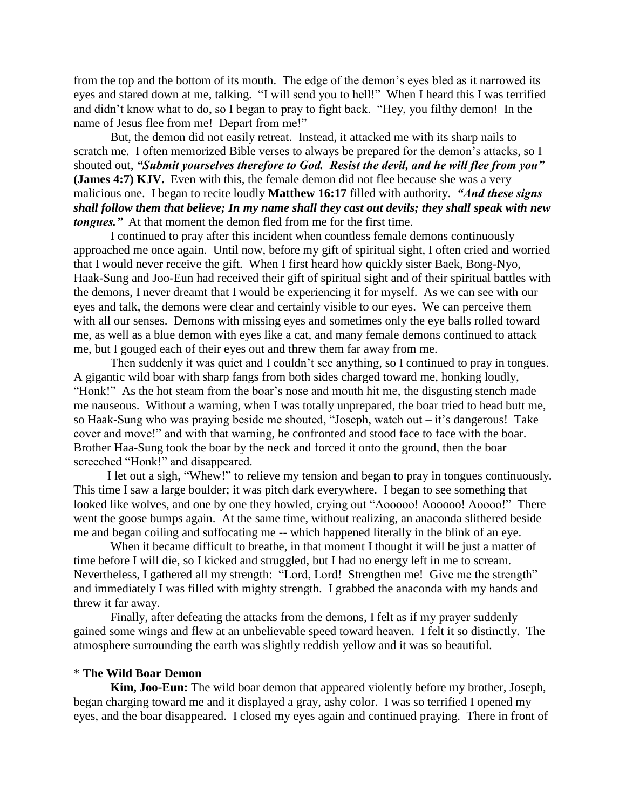from the top and the bottom of its mouth. The edge of the demon"s eyes bled as it narrowed its eyes and stared down at me, talking. "I will send you to hell!" When I heard this I was terrified and didn"t know what to do, so I began to pray to fight back. "Hey, you filthy demon! In the name of Jesus flee from me! Depart from me!"

But, the demon did not easily retreat. Instead, it attacked me with its sharp nails to scratch me. I often memorized Bible verses to always be prepared for the demon's attacks, so I shouted out, *"Submit yourselves therefore to God. Resist the devil, and he will flee from you"* **(James 4:7) KJV.** Even with this, the female demon did not flee because she was a very malicious one. I began to recite loudly **Matthew 16:17** filled with authority. *"And these signs shall follow them that believe; In my name shall they cast out devils; they shall speak with new tongues."* At that moment the demon fled from me for the first time.

I continued to pray after this incident when countless female demons continuously approached me once again. Until now, before my gift of spiritual sight, I often cried and worried that I would never receive the gift. When I first heard how quickly sister Baek, Bong-Nyo, Haak-Sung and Joo-Eun had received their gift of spiritual sight and of their spiritual battles with the demons, I never dreamt that I would be experiencing it for myself. As we can see with our eyes and talk, the demons were clear and certainly visible to our eyes. We can perceive them with all our senses. Demons with missing eyes and sometimes only the eye balls rolled toward me, as well as a blue demon with eyes like a cat, and many female demons continued to attack me, but I gouged each of their eyes out and threw them far away from me.

Then suddenly it was quiet and I couldn't see anything, so I continued to pray in tongues. A gigantic wild boar with sharp fangs from both sides charged toward me, honking loudly, "Honk!" As the hot steam from the boar"s nose and mouth hit me, the disgusting stench made me nauseous. Without a warning, when I was totally unprepared, the boar tried to head butt me, so Haak-Sung who was praying beside me shouted, "Joseph, watch out  $-$  it's dangerous! Take cover and move!" and with that warning, he confronted and stood face to face with the boar. Brother Haa-Sung took the boar by the neck and forced it onto the ground, then the boar screeched "Honk!" and disappeared.

I let out a sigh, "Whew!" to relieve my tension and began to pray in tongues continuously. This time I saw a large boulder; it was pitch dark everywhere. I began to see something that looked like wolves, and one by one they howled, crying out "Aooooo! Aooooo! Aoooo!" There went the goose bumps again. At the same time, without realizing, an anaconda slithered beside me and began coiling and suffocating me -- which happened literally in the blink of an eye.

When it became difficult to breathe, in that moment I thought it will be just a matter of time before I will die, so I kicked and struggled, but I had no energy left in me to scream. Nevertheless, I gathered all my strength: "Lord, Lord! Strengthen me! Give me the strength" and immediately I was filled with mighty strength. I grabbed the anaconda with my hands and threw it far away.

Finally, after defeating the attacks from the demons, I felt as if my prayer suddenly gained some wings and flew at an unbelievable speed toward heaven. I felt it so distinctly. The atmosphere surrounding the earth was slightly reddish yellow and it was so beautiful.

#### \* **The Wild Boar Demon**

**Kim, Joo-Eun:** The wild boar demon that appeared violently before my brother, Joseph, began charging toward me and it displayed a gray, ashy color. I was so terrified I opened my eyes, and the boar disappeared. I closed my eyes again and continued praying. There in front of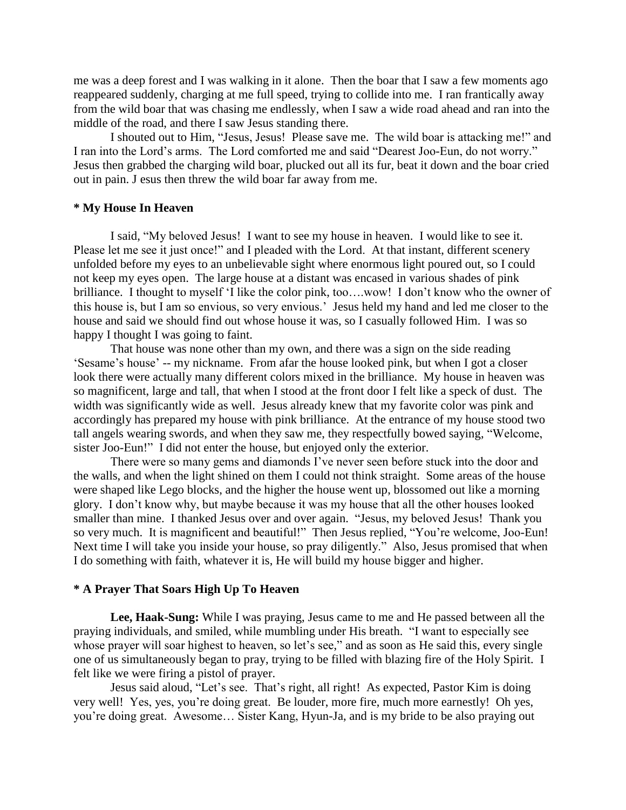me was a deep forest and I was walking in it alone. Then the boar that I saw a few moments ago reappeared suddenly, charging at me full speed, trying to collide into me. I ran frantically away from the wild boar that was chasing me endlessly, when I saw a wide road ahead and ran into the middle of the road, and there I saw Jesus standing there.

I shouted out to Him, "Jesus, Jesus! Please save me. The wild boar is attacking me!" and I ran into the Lord"s arms. The Lord comforted me and said "Dearest Joo-Eun, do not worry." Jesus then grabbed the charging wild boar, plucked out all its fur, beat it down and the boar cried out in pain. J esus then threw the wild boar far away from me.

# **\* My House In Heaven**

I said, "My beloved Jesus! I want to see my house in heaven. I would like to see it. Please let me see it just once!" and I pleaded with the Lord. At that instant, different scenery unfolded before my eyes to an unbelievable sight where enormous light poured out, so I could not keep my eyes open. The large house at a distant was encased in various shades of pink brilliance. I thought to myself "I like the color pink, too….wow! I don"t know who the owner of this house is, but I am so envious, so very envious." Jesus held my hand and led me closer to the house and said we should find out whose house it was, so I casually followed Him. I was so happy I thought I was going to faint.

That house was none other than my own, and there was a sign on the side reading "Sesame"s house" -- my nickname. From afar the house looked pink, but when I got a closer look there were actually many different colors mixed in the brilliance. My house in heaven was so magnificent, large and tall, that when I stood at the front door I felt like a speck of dust. The width was significantly wide as well. Jesus already knew that my favorite color was pink and accordingly has prepared my house with pink brilliance. At the entrance of my house stood two tall angels wearing swords, and when they saw me, they respectfully bowed saying, "Welcome, sister Joo-Eun!" I did not enter the house, but enjoyed only the exterior.

There were so many gems and diamonds I"ve never seen before stuck into the door and the walls, and when the light shined on them I could not think straight. Some areas of the house were shaped like Lego blocks, and the higher the house went up, blossomed out like a morning glory. I don"t know why, but maybe because it was my house that all the other houses looked smaller than mine. I thanked Jesus over and over again. "Jesus, my beloved Jesus! Thank you so very much. It is magnificent and beautiful!" Then Jesus replied, "You're welcome, Joo-Eun! Next time I will take you inside your house, so pray diligently." Also, Jesus promised that when I do something with faith, whatever it is, He will build my house bigger and higher.

### **\* A Prayer That Soars High Up To Heaven**

**Lee, Haak-Sung:** While I was praying, Jesus came to me and He passed between all the praying individuals, and smiled, while mumbling under His breath. "I want to especially see whose prayer will soar highest to heaven, so let's see," and as soon as He said this, every single one of us simultaneously began to pray, trying to be filled with blazing fire of the Holy Spirit. I felt like we were firing a pistol of prayer.

Jesus said aloud, "Let's see. That's right, all right! As expected, Pastor Kim is doing very well! Yes, yes, you"re doing great. Be louder, more fire, much more earnestly! Oh yes, you"re doing great. Awesome… Sister Kang, Hyun-Ja, and is my bride to be also praying out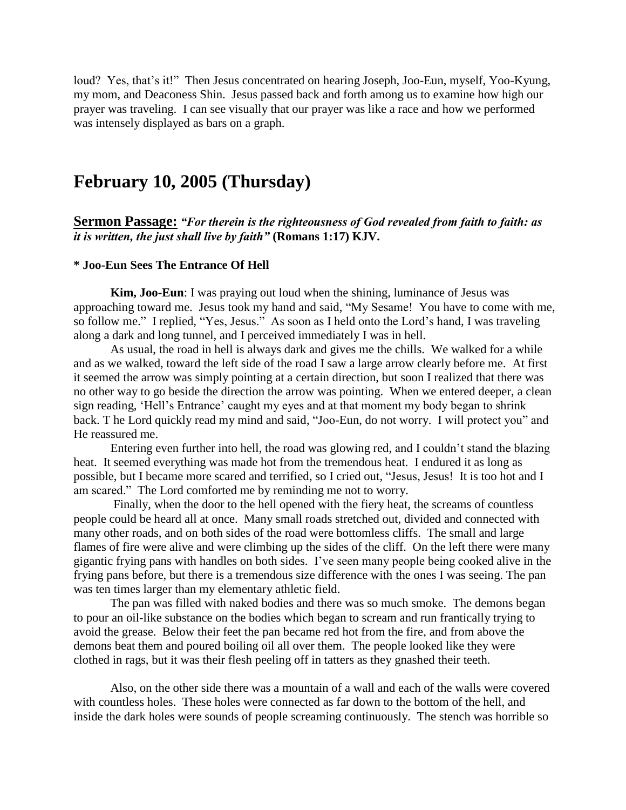loud? Yes, that's it!" Then Jesus concentrated on hearing Joseph, Joo-Eun, myself, Yoo-Kyung, my mom, and Deaconess Shin. Jesus passed back and forth among us to examine how high our prayer was traveling. I can see visually that our prayer was like a race and how we performed was intensely displayed as bars on a graph.

# **February 10, 2005 (Thursday)**

**Sermon Passage:** *"For therein is the righteousness of God revealed from faith to faith: as it is written, the just shall live by faith"* **(Romans 1:17) KJV.**

# **\* Joo-Eun Sees The Entrance Of Hell**

**Kim, Joo-Eun**: I was praying out loud when the shining, luminance of Jesus was approaching toward me. Jesus took my hand and said, "My Sesame! You have to come with me, so follow me." I replied, "Yes, Jesus." As soon as I held onto the Lord"s hand, I was traveling along a dark and long tunnel, and I perceived immediately I was in hell.

As usual, the road in hell is always dark and gives me the chills. We walked for a while and as we walked, toward the left side of the road I saw a large arrow clearly before me. At first it seemed the arrow was simply pointing at a certain direction, but soon I realized that there was no other way to go beside the direction the arrow was pointing. When we entered deeper, a clean sign reading, 'Hell's Entrance' caught my eyes and at that moment my body began to shrink back. T he Lord quickly read my mind and said, "Joo-Eun, do not worry. I will protect you" and He reassured me.

Entering even further into hell, the road was glowing red, and I couldn"t stand the blazing heat. It seemed everything was made hot from the tremendous heat. I endured it as long as possible, but I became more scared and terrified, so I cried out, "Jesus, Jesus! It is too hot and I am scared." The Lord comforted me by reminding me not to worry.

Finally, when the door to the hell opened with the fiery heat, the screams of countless people could be heard all at once. Many small roads stretched out, divided and connected with many other roads, and on both sides of the road were bottomless cliffs. The small and large flames of fire were alive and were climbing up the sides of the cliff. On the left there were many gigantic frying pans with handles on both sides. I"ve seen many people being cooked alive in the frying pans before, but there is a tremendous size difference with the ones I was seeing. The pan was ten times larger than my elementary athletic field.

The pan was filled with naked bodies and there was so much smoke. The demons began to pour an oil-like substance on the bodies which began to scream and run frantically trying to avoid the grease. Below their feet the pan became red hot from the fire, and from above the demons beat them and poured boiling oil all over them. The people looked like they were clothed in rags, but it was their flesh peeling off in tatters as they gnashed their teeth.

Also, on the other side there was a mountain of a wall and each of the walls were covered with countless holes. These holes were connected as far down to the bottom of the hell, and inside the dark holes were sounds of people screaming continuously. The stench was horrible so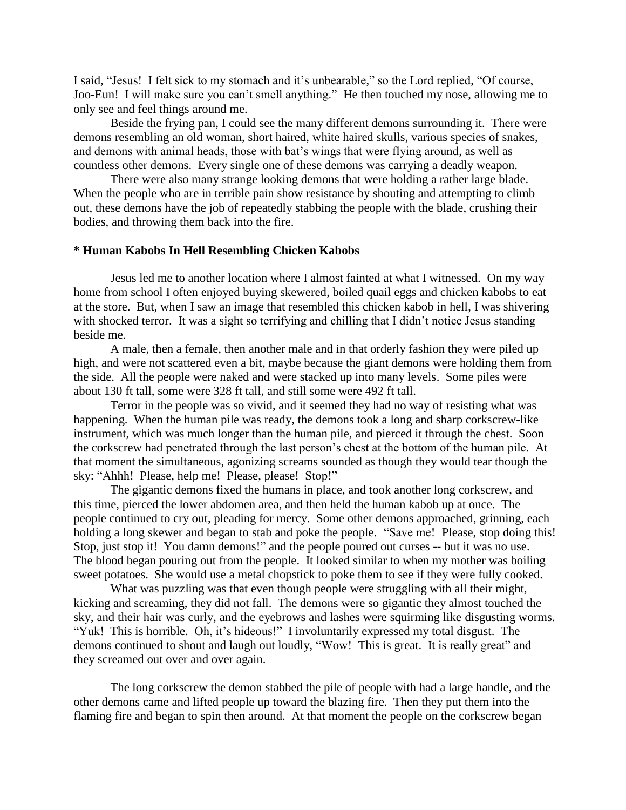I said, "Jesus! I felt sick to my stomach and it's unbearable," so the Lord replied, "Of course, Joo-Eun! I will make sure you can"t smell anything." He then touched my nose, allowing me to only see and feel things around me.

Beside the frying pan, I could see the many different demons surrounding it. There were demons resembling an old woman, short haired, white haired skulls, various species of snakes, and demons with animal heads, those with bat"s wings that were flying around, as well as countless other demons. Every single one of these demons was carrying a deadly weapon.

There were also many strange looking demons that were holding a rather large blade. When the people who are in terrible pain show resistance by shouting and attempting to climb out, these demons have the job of repeatedly stabbing the people with the blade, crushing their bodies, and throwing them back into the fire.

### **\* Human Kabobs In Hell Resembling Chicken Kabobs**

Jesus led me to another location where I almost fainted at what I witnessed. On my way home from school I often enjoyed buying skewered, boiled quail eggs and chicken kabobs to eat at the store. But, when I saw an image that resembled this chicken kabob in hell, I was shivering with shocked terror. It was a sight so terrifying and chilling that I didn't notice Jesus standing beside me.

A male, then a female, then another male and in that orderly fashion they were piled up high, and were not scattered even a bit, maybe because the giant demons were holding them from the side. All the people were naked and were stacked up into many levels. Some piles were about 130 ft tall, some were 328 ft tall, and still some were 492 ft tall.

Terror in the people was so vivid, and it seemed they had no way of resisting what was happening. When the human pile was ready, the demons took a long and sharp corkscrew-like instrument, which was much longer than the human pile, and pierced it through the chest. Soon the corkscrew had penetrated through the last person"s chest at the bottom of the human pile. At that moment the simultaneous, agonizing screams sounded as though they would tear though the sky: "Ahhh! Please, help me! Please, please! Stop!"

The gigantic demons fixed the humans in place, and took another long corkscrew, and this time, pierced the lower abdomen area, and then held the human kabob up at once. The people continued to cry out, pleading for mercy. Some other demons approached, grinning, each holding a long skewer and began to stab and poke the people. "Save me! Please, stop doing this! Stop, just stop it! You damn demons!" and the people poured out curses -- but it was no use. The blood began pouring out from the people. It looked similar to when my mother was boiling sweet potatoes. She would use a metal chopstick to poke them to see if they were fully cooked.

What was puzzling was that even though people were struggling with all their might, kicking and screaming, they did not fall. The demons were so gigantic they almost touched the sky, and their hair was curly, and the eyebrows and lashes were squirming like disgusting worms. "Yuk! This is horrible. Oh, it's hideous!" I involuntarily expressed my total disgust. The demons continued to shout and laugh out loudly, "Wow! This is great. It is really great" and they screamed out over and over again.

The long corkscrew the demon stabbed the pile of people with had a large handle, and the other demons came and lifted people up toward the blazing fire. Then they put them into the flaming fire and began to spin then around. At that moment the people on the corkscrew began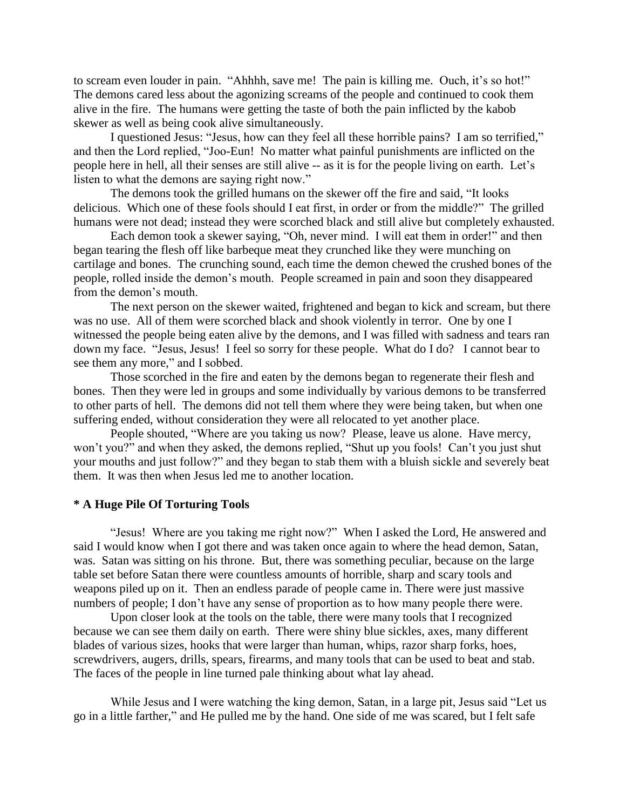to scream even louder in pain. "Ahhhh, save me! The pain is killing me. Ouch, it's so hot!" The demons cared less about the agonizing screams of the people and continued to cook them alive in the fire. The humans were getting the taste of both the pain inflicted by the kabob skewer as well as being cook alive simultaneously.

I questioned Jesus: "Jesus, how can they feel all these horrible pains? I am so terrified," and then the Lord replied, "Joo-Eun! No matter what painful punishments are inflicted on the people here in hell, all their senses are still alive -- as it is for the people living on earth. Let"s listen to what the demons are saying right now."

The demons took the grilled humans on the skewer off the fire and said, "It looks delicious. Which one of these fools should I eat first, in order or from the middle?" The grilled humans were not dead; instead they were scorched black and still alive but completely exhausted.

Each demon took a skewer saying, "Oh, never mind. I will eat them in order!" and then began tearing the flesh off like barbeque meat they crunched like they were munching on cartilage and bones. The crunching sound, each time the demon chewed the crushed bones of the people, rolled inside the demon"s mouth. People screamed in pain and soon they disappeared from the demon"s mouth.

The next person on the skewer waited, frightened and began to kick and scream, but there was no use. All of them were scorched black and shook violently in terror. One by one I witnessed the people being eaten alive by the demons, and I was filled with sadness and tears ran down my face. "Jesus, Jesus! I feel so sorry for these people. What do I do? I cannot bear to see them any more," and I sobbed.

Those scorched in the fire and eaten by the demons began to regenerate their flesh and bones. Then they were led in groups and some individually by various demons to be transferred to other parts of hell. The demons did not tell them where they were being taken, but when one suffering ended, without consideration they were all relocated to yet another place.

People shouted, "Where are you taking us now? Please, leave us alone. Have mercy, won't you?" and when they asked, the demons replied, "Shut up you fools! Can't you just shut your mouths and just follow?" and they began to stab them with a bluish sickle and severely beat them. It was then when Jesus led me to another location.

# **\* A Huge Pile Of Torturing Tools**

"Jesus! Where are you taking me right now?" When I asked the Lord, He answered and said I would know when I got there and was taken once again to where the head demon, Satan, was. Satan was sitting on his throne. But, there was something peculiar, because on the large table set before Satan there were countless amounts of horrible, sharp and scary tools and weapons piled up on it. Then an endless parade of people came in. There were just massive numbers of people; I don't have any sense of proportion as to how many people there were.

Upon closer look at the tools on the table, there were many tools that I recognized because we can see them daily on earth. There were shiny blue sickles, axes, many different blades of various sizes, hooks that were larger than human, whips, razor sharp forks, hoes, screwdrivers, augers, drills, spears, firearms, and many tools that can be used to beat and stab. The faces of the people in line turned pale thinking about what lay ahead.

While Jesus and I were watching the king demon, Satan, in a large pit, Jesus said "Let us go in a little farther," and He pulled me by the hand. One side of me was scared, but I felt safe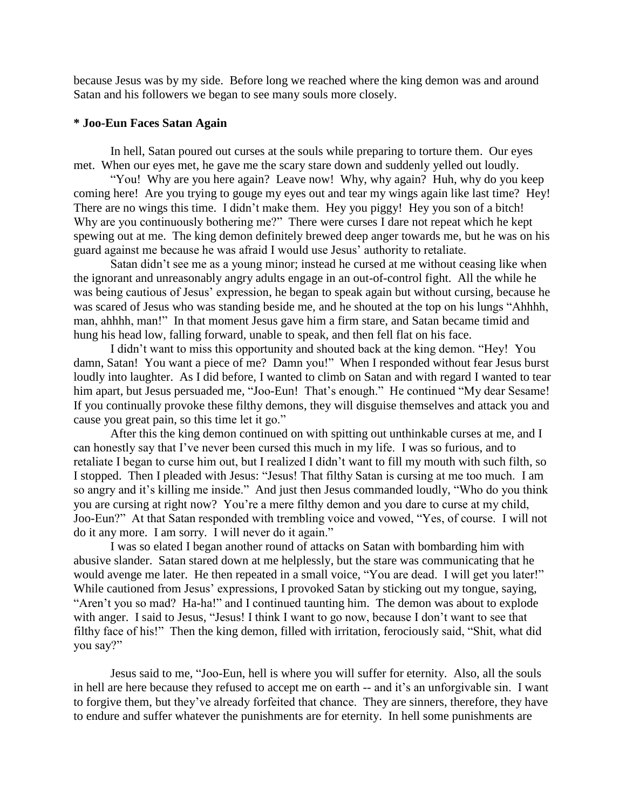because Jesus was by my side. Before long we reached where the king demon was and around Satan and his followers we began to see many souls more closely.

# **\* Joo-Eun Faces Satan Again**

In hell, Satan poured out curses at the souls while preparing to torture them. Our eyes met. When our eyes met, he gave me the scary stare down and suddenly yelled out loudly.

"You! Why are you here again? Leave now! Why, why again? Huh, why do you keep coming here! Are you trying to gouge my eyes out and tear my wings again like last time? Hey! There are no wings this time. I didn't make them. Hey you piggy! Hey you son of a bitch! Why are you continuously bothering me?" There were curses I dare not repeat which he kept spewing out at me. The king demon definitely brewed deep anger towards me, but he was on his guard against me because he was afraid I would use Jesus" authority to retaliate.

Satan didn"t see me as a young minor; instead he cursed at me without ceasing like when the ignorant and unreasonably angry adults engage in an out-of-control fight. All the while he was being cautious of Jesus" expression, he began to speak again but without cursing, because he was scared of Jesus who was standing beside me, and he shouted at the top on his lungs "Ahhhh, man, ahhhh, man!" In that moment Jesus gave him a firm stare, and Satan became timid and hung his head low, falling forward, unable to speak, and then fell flat on his face.

I didn"t want to miss this opportunity and shouted back at the king demon. "Hey! You damn, Satan! You want a piece of me? Damn you!" When I responded without fear Jesus burst loudly into laughter. As I did before, I wanted to climb on Satan and with regard I wanted to tear him apart, but Jesus persuaded me, "Joo-Eun! That's enough." He continued "My dear Sesame! If you continually provoke these filthy demons, they will disguise themselves and attack you and cause you great pain, so this time let it go."

After this the king demon continued on with spitting out unthinkable curses at me, and I can honestly say that I"ve never been cursed this much in my life. I was so furious, and to retaliate I began to curse him out, but I realized I didn"t want to fill my mouth with such filth, so I stopped. Then I pleaded with Jesus: "Jesus! That filthy Satan is cursing at me too much. I am so angry and it's killing me inside." And just then Jesus commanded loudly, "Who do you think you are cursing at right now? You"re a mere filthy demon and you dare to curse at my child, Joo-Eun?" At that Satan responded with trembling voice and vowed, "Yes, of course. I will not do it any more. I am sorry. I will never do it again."

I was so elated I began another round of attacks on Satan with bombarding him with abusive slander. Satan stared down at me helplessly, but the stare was communicating that he would avenge me later. He then repeated in a small voice, "You are dead. I will get you later!" While cautioned from Jesus' expressions, I provoked Satan by sticking out my tongue, saying, "Aren"t you so mad? Ha-ha!" and I continued taunting him. The demon was about to explode with anger. I said to Jesus, "Jesus! I think I want to go now, because I don't want to see that filthy face of his!" Then the king demon, filled with irritation, ferociously said, "Shit, what did you say?"

Jesus said to me, "Joo-Eun, hell is where you will suffer for eternity. Also, all the souls in hell are here because they refused to accept me on earth -- and it's an unforgivable sin. I want to forgive them, but they"ve already forfeited that chance. They are sinners, therefore, they have to endure and suffer whatever the punishments are for eternity. In hell some punishments are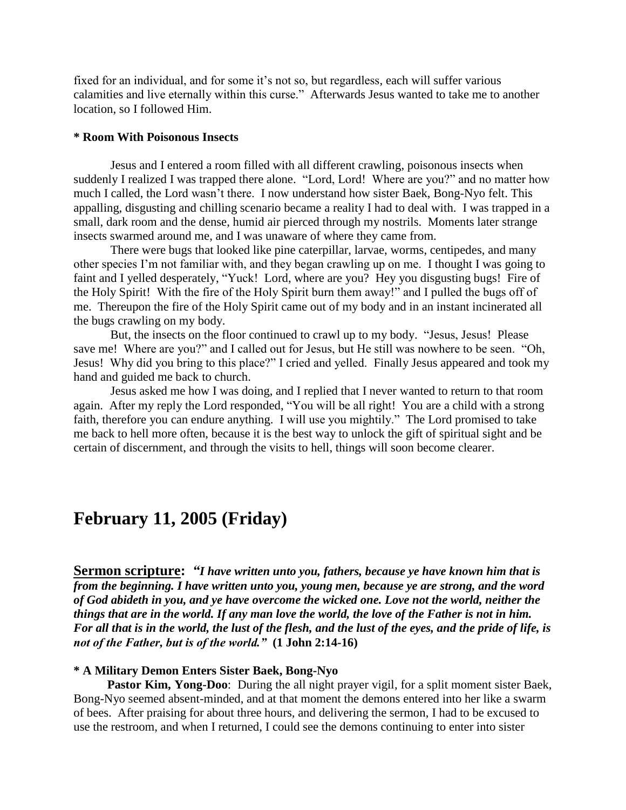fixed for an individual, and for some it's not so, but regardless, each will suffer various calamities and live eternally within this curse." Afterwards Jesus wanted to take me to another location, so I followed Him.

# **\* Room With Poisonous Insects**

Jesus and I entered a room filled with all different crawling, poisonous insects when suddenly I realized I was trapped there alone. "Lord, Lord! Where are you?" and no matter how much I called, the Lord wasn"t there. I now understand how sister Baek, Bong-Nyo felt. This appalling, disgusting and chilling scenario became a reality I had to deal with. I was trapped in a small, dark room and the dense, humid air pierced through my nostrils. Moments later strange insects swarmed around me, and I was unaware of where they came from.

There were bugs that looked like pine caterpillar, larvae, worms, centipedes, and many other species I"m not familiar with, and they began crawling up on me. I thought I was going to faint and I yelled desperately, "Yuck! Lord, where are you? Hey you disgusting bugs! Fire of the Holy Spirit! With the fire of the Holy Spirit burn them away!" and I pulled the bugs off of me. Thereupon the fire of the Holy Spirit came out of my body and in an instant incinerated all the bugs crawling on my body.

But, the insects on the floor continued to crawl up to my body. "Jesus, Jesus! Please save me! Where are you?" and I called out for Jesus, but He still was nowhere to be seen. "Oh, Jesus! Why did you bring to this place?" I cried and yelled. Finally Jesus appeared and took my hand and guided me back to church.

Jesus asked me how I was doing, and I replied that I never wanted to return to that room again. After my reply the Lord responded, "You will be all right! You are a child with a strong faith, therefore you can endure anything. I will use you mightily." The Lord promised to take me back to hell more often, because it is the best way to unlock the gift of spiritual sight and be certain of discernment, and through the visits to hell, things will soon become clearer.

# **February 11, 2005 (Friday)**

**Sermon scripture:** *"I have written unto you, fathers, because ye have known him that is from the beginning. I have written unto you, young men, because ye are strong, and the word of God abideth in you, and ye have overcome the wicked one. Love not the world, neither the things that are in the world. If any man love the world, the love of the Father is not in him. For all that is in the world, the lust of the flesh, and the lust of the eyes, and the pride of life, is not of the Father, but is of the world."* **(1 John 2:14-16)** 

# **\* A Military Demon Enters Sister Baek, Bong-Nyo**

**Pastor Kim, Yong-Doo**: During the all night prayer vigil, for a split moment sister Baek, Bong-Nyo seemed absent-minded, and at that moment the demons entered into her like a swarm of bees. After praising for about three hours, and delivering the sermon, I had to be excused to use the restroom, and when I returned, I could see the demons continuing to enter into sister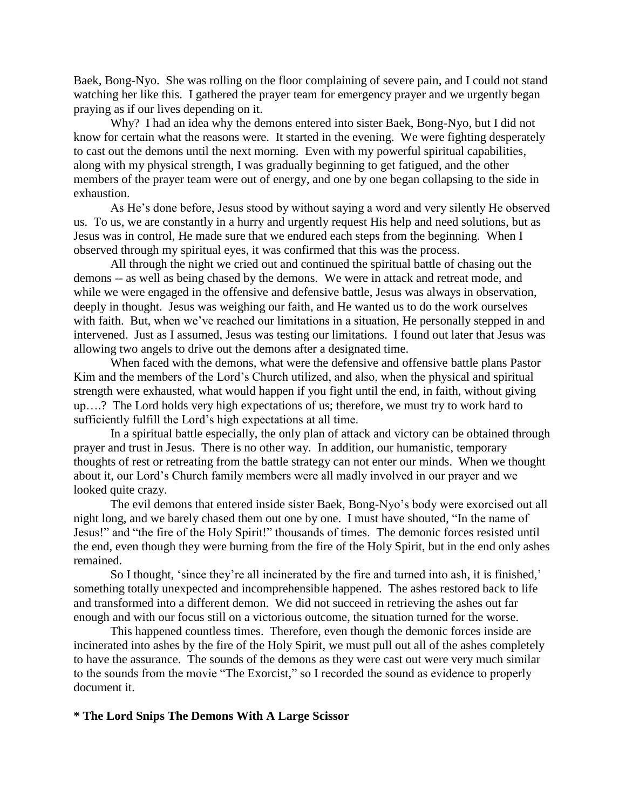Baek, Bong-Nyo. She was rolling on the floor complaining of severe pain, and I could not stand watching her like this. I gathered the prayer team for emergency prayer and we urgently began praying as if our lives depending on it.

Why? I had an idea why the demons entered into sister Baek, Bong-Nyo, but I did not know for certain what the reasons were. It started in the evening. We were fighting desperately to cast out the demons until the next morning. Even with my powerful spiritual capabilities, along with my physical strength, I was gradually beginning to get fatigued, and the other members of the prayer team were out of energy, and one by one began collapsing to the side in exhaustion.

As He"s done before, Jesus stood by without saying a word and very silently He observed us. To us, we are constantly in a hurry and urgently request His help and need solutions, but as Jesus was in control, He made sure that we endured each steps from the beginning. When I observed through my spiritual eyes, it was confirmed that this was the process.

All through the night we cried out and continued the spiritual battle of chasing out the demons -- as well as being chased by the demons. We were in attack and retreat mode, and while we were engaged in the offensive and defensive battle, Jesus was always in observation, deeply in thought. Jesus was weighing our faith, and He wanted us to do the work ourselves with faith. But, when we've reached our limitations in a situation, He personally stepped in and intervened. Just as I assumed, Jesus was testing our limitations. I found out later that Jesus was allowing two angels to drive out the demons after a designated time.

When faced with the demons, what were the defensive and offensive battle plans Pastor Kim and the members of the Lord"s Church utilized, and also, when the physical and spiritual strength were exhausted, what would happen if you fight until the end, in faith, without giving up….? The Lord holds very high expectations of us; therefore, we must try to work hard to sufficiently fulfill the Lord"s high expectations at all time.

In a spiritual battle especially, the only plan of attack and victory can be obtained through prayer and trust in Jesus. There is no other way. In addition, our humanistic, temporary thoughts of rest or retreating from the battle strategy can not enter our minds. When we thought about it, our Lord"s Church family members were all madly involved in our prayer and we looked quite crazy.

The evil demons that entered inside sister Baek, Bong-Nyo"s body were exorcised out all night long, and we barely chased them out one by one. I must have shouted, "In the name of Jesus!" and "the fire of the Holy Spirit!" thousands of times. The demonic forces resisted until the end, even though they were burning from the fire of the Holy Spirit, but in the end only ashes remained.

So I thought, 'since they're all incinerated by the fire and turned into ash, it is finished,' something totally unexpected and incomprehensible happened. The ashes restored back to life and transformed into a different demon. We did not succeed in retrieving the ashes out far enough and with our focus still on a victorious outcome, the situation turned for the worse.

This happened countless times. Therefore, even though the demonic forces inside are incinerated into ashes by the fire of the Holy Spirit, we must pull out all of the ashes completely to have the assurance. The sounds of the demons as they were cast out were very much similar to the sounds from the movie "The Exorcist," so I recorded the sound as evidence to properly document it.

# **\* The Lord Snips The Demons With A Large Scissor**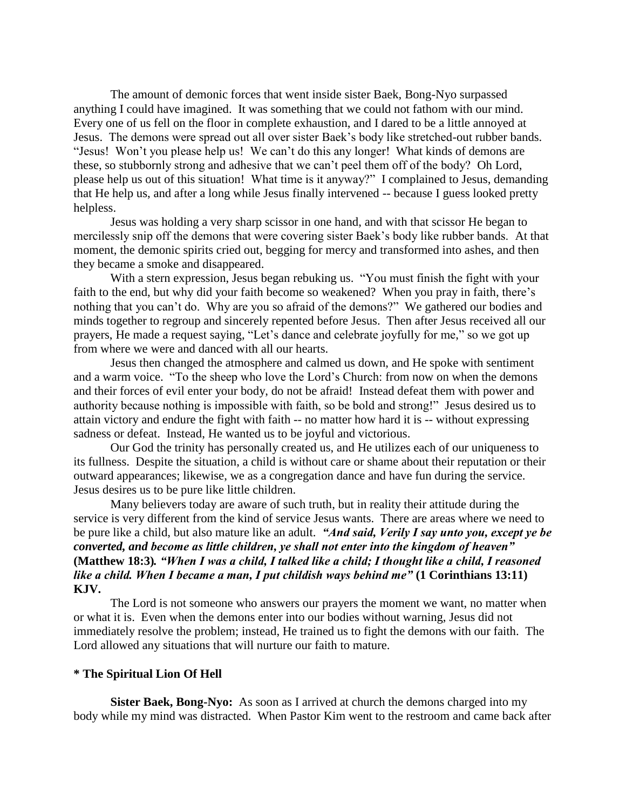The amount of demonic forces that went inside sister Baek, Bong-Nyo surpassed anything I could have imagined. It was something that we could not fathom with our mind. Every one of us fell on the floor in complete exhaustion, and I dared to be a little annoyed at Jesus. The demons were spread out all over sister Baek"s body like stretched-out rubber bands. "Jesus! Won"t you please help us! We can"t do this any longer! What kinds of demons are these, so stubbornly strong and adhesive that we can"t peel them off of the body? Oh Lord, please help us out of this situation! What time is it anyway?" I complained to Jesus, demanding that He help us, and after a long while Jesus finally intervened -- because I guess looked pretty helpless.

Jesus was holding a very sharp scissor in one hand, and with that scissor He began to mercilessly snip off the demons that were covering sister Baek"s body like rubber bands. At that moment, the demonic spirits cried out, begging for mercy and transformed into ashes, and then they became a smoke and disappeared.

With a stern expression, Jesus began rebuking us. "You must finish the fight with your faith to the end, but why did your faith become so weakened? When you pray in faith, there's nothing that you can't do. Why are you so afraid of the demons?" We gathered our bodies and minds together to regroup and sincerely repented before Jesus. Then after Jesus received all our prayers, He made a request saying, "Let"s dance and celebrate joyfully for me," so we got up from where we were and danced with all our hearts.

Jesus then changed the atmosphere and calmed us down, and He spoke with sentiment and a warm voice. "To the sheep who love the Lord"s Church: from now on when the demons and their forces of evil enter your body, do not be afraid! Instead defeat them with power and authority because nothing is impossible with faith, so be bold and strong!" Jesus desired us to attain victory and endure the fight with faith -- no matter how hard it is -- without expressing sadness or defeat. Instead, He wanted us to be joyful and victorious.

Our God the trinity has personally created us, and He utilizes each of our uniqueness to its fullness. Despite the situation, a child is without care or shame about their reputation or their outward appearances; likewise, we as a congregation dance and have fun during the service. Jesus desires us to be pure like little children.

Many believers today are aware of such truth, but in reality their attitude during the service is very different from the kind of service Jesus wants. There are areas where we need to be pure like a child, but also mature like an adult. *"And said, Verily I say unto you, except ye be converted, and become as little children, ye shall not enter into the kingdom of heaven"*  **(Matthew 18:3)***. "When I was a child, I talked like a child; I thought like a child, I reasoned like a child. When I became a man, I put childish ways behind me"* **(1 Corinthians 13:11) KJV.**

The Lord is not someone who answers our prayers the moment we want, no matter when or what it is. Even when the demons enter into our bodies without warning, Jesus did not immediately resolve the problem; instead, He trained us to fight the demons with our faith. The Lord allowed any situations that will nurture our faith to mature.

#### **\* The Spiritual Lion Of Hell**

**Sister Baek, Bong-Nyo:** As soon as I arrived at church the demons charged into my body while my mind was distracted. When Pastor Kim went to the restroom and came back after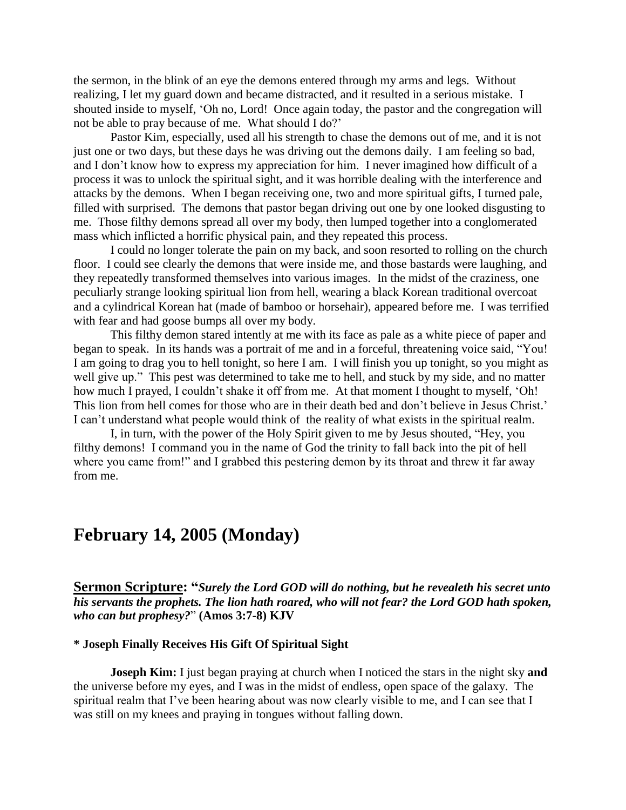the sermon, in the blink of an eye the demons entered through my arms and legs. Without realizing, I let my guard down and became distracted, and it resulted in a serious mistake. I shouted inside to myself, "Oh no, Lord! Once again today, the pastor and the congregation will not be able to pray because of me. What should I do?"

Pastor Kim, especially, used all his strength to chase the demons out of me, and it is not just one or two days, but these days he was driving out the demons daily. I am feeling so bad, and I don"t know how to express my appreciation for him. I never imagined how difficult of a process it was to unlock the spiritual sight, and it was horrible dealing with the interference and attacks by the demons. When I began receiving one, two and more spiritual gifts, I turned pale, filled with surprised. The demons that pastor began driving out one by one looked disgusting to me. Those filthy demons spread all over my body, then lumped together into a conglomerated mass which inflicted a horrific physical pain, and they repeated this process.

I could no longer tolerate the pain on my back, and soon resorted to rolling on the church floor. I could see clearly the demons that were inside me, and those bastards were laughing, and they repeatedly transformed themselves into various images. In the midst of the craziness, one peculiarly strange looking spiritual lion from hell, wearing a black Korean traditional overcoat and a cylindrical Korean hat (made of bamboo or horsehair), appeared before me. I was terrified with fear and had goose bumps all over my body.

This filthy demon stared intently at me with its face as pale as a white piece of paper and began to speak. In its hands was a portrait of me and in a forceful, threatening voice said, "You! I am going to drag you to hell tonight, so here I am. I will finish you up tonight, so you might as well give up." This pest was determined to take me to hell, and stuck by my side, and no matter how much I prayed, I couldn't shake it off from me. At that moment I thought to myself, 'Oh! This lion from hell comes for those who are in their death bed and don't believe in Jesus Christ.' I can"t understand what people would think of the reality of what exists in the spiritual realm.

I, in turn, with the power of the Holy Spirit given to me by Jesus shouted, "Hey, you filthy demons! I command you in the name of God the trinity to fall back into the pit of hell where you came from!" and I grabbed this pestering demon by its throat and threw it far away from me.

# **February 14, 2005 (Monday)**

**Sermon Scripture: "***Surely the Lord GOD will do nothing, but he revealeth his secret unto his servants the prophets. The lion hath roared, who will not fear? the Lord GOD hath spoken, who can but prophesy?*" **(Amos 3:7-8) KJV**

# **\* Joseph Finally Receives His Gift Of Spiritual Sight**

**Joseph Kim:** I just began praying at church when I noticed the stars in the night sky **and** the universe before my eyes, and I was in the midst of endless, open space of the galaxy. The spiritual realm that I've been hearing about was now clearly visible to me, and I can see that I was still on my knees and praying in tongues without falling down.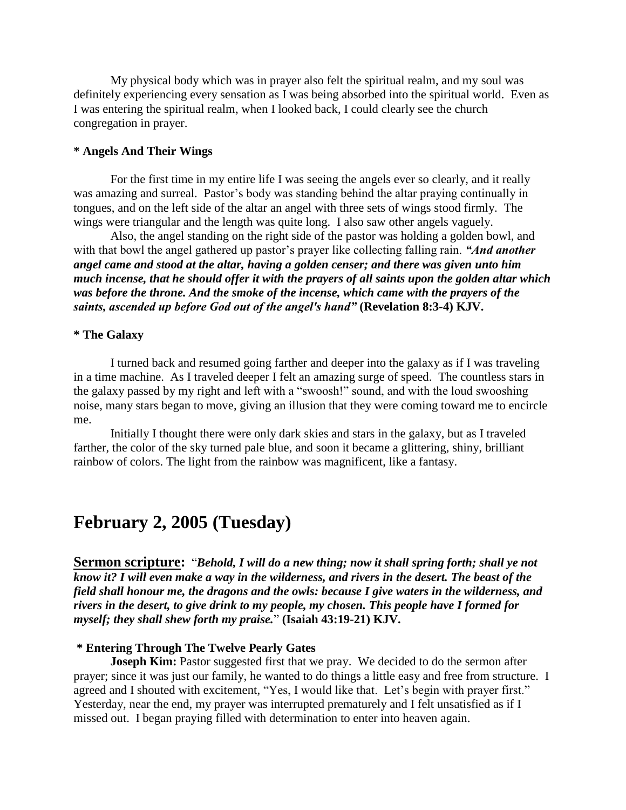My physical body which was in prayer also felt the spiritual realm, and my soul was definitely experiencing every sensation as I was being absorbed into the spiritual world. Even as I was entering the spiritual realm, when I looked back, I could clearly see the church congregation in prayer.

# **\* Angels And Their Wings**

For the first time in my entire life I was seeing the angels ever so clearly, and it really was amazing and surreal. Pastor's body was standing behind the altar praying continually in tongues, and on the left side of the altar an angel with three sets of wings stood firmly. The wings were triangular and the length was quite long. I also saw other angels vaguely.

Also, the angel standing on the right side of the pastor was holding a golden bowl, and with that bowl the angel gathered up pastor's prayer like collecting falling rain. *"And another*" *angel came and stood at the altar, having a golden censer; and there was given unto him much incense, that he should offer it with the prayers of all saints upon the golden altar which was before the throne. And the smoke of the incense, which came with the prayers of the saints, ascended up before God out of the angel's hand"* **(Revelation 8:3-4) KJV.**

# **\* The Galaxy**

I turned back and resumed going farther and deeper into the galaxy as if I was traveling in a time machine. As I traveled deeper I felt an amazing surge of speed. The countless stars in the galaxy passed by my right and left with a "swoosh!" sound, and with the loud swooshing noise, many stars began to move, giving an illusion that they were coming toward me to encircle me.

Initially I thought there were only dark skies and stars in the galaxy, but as I traveled farther, the color of the sky turned pale blue, and soon it became a glittering, shiny, brilliant rainbow of colors. The light from the rainbow was magnificent, like a fantasy.

# **February 2, 2005 (Tuesday)**

**Sermon scripture:** "*Behold, I will do a new thing; now it shall spring forth; shall ye not know it? I will even make a way in the wilderness, and rivers in the desert. The beast of the field shall honour me, the dragons and the owls: because I give waters in the wilderness, and rivers in the desert, to give drink to my people, my chosen. This people have I formed for myself; they shall shew forth my praise.*" **(Isaiah 43:19-21) KJV.**

# **\* Entering Through The Twelve Pearly Gates**

**Joseph Kim:** Pastor suggested first that we pray. We decided to do the sermon after prayer; since it was just our family, he wanted to do things a little easy and free from structure. I agreed and I shouted with excitement, "Yes, I would like that. Let's begin with prayer first." Yesterday, near the end, my prayer was interrupted prematurely and I felt unsatisfied as if I missed out. I began praying filled with determination to enter into heaven again.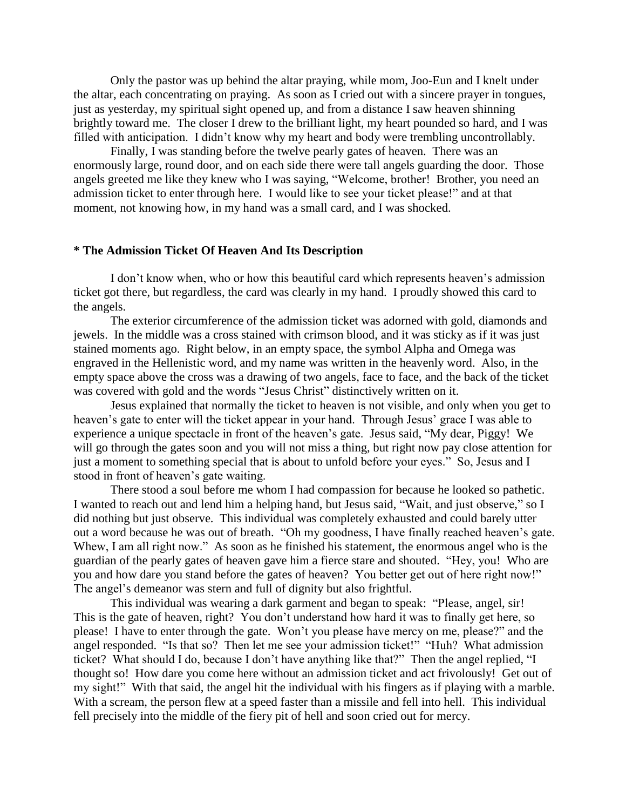Only the pastor was up behind the altar praying, while mom, Joo-Eun and I knelt under the altar, each concentrating on praying. As soon as I cried out with a sincere prayer in tongues, just as yesterday, my spiritual sight opened up, and from a distance I saw heaven shinning brightly toward me. The closer I drew to the brilliant light, my heart pounded so hard, and I was filled with anticipation. I didn't know why my heart and body were trembling uncontrollably.

Finally, I was standing before the twelve pearly gates of heaven. There was an enormously large, round door, and on each side there were tall angels guarding the door. Those angels greeted me like they knew who I was saying, "Welcome, brother! Brother, you need an admission ticket to enter through here. I would like to see your ticket please!" and at that moment, not knowing how, in my hand was a small card, and I was shocked.

#### **\* The Admission Ticket Of Heaven And Its Description**

I don"t know when, who or how this beautiful card which represents heaven"s admission ticket got there, but regardless, the card was clearly in my hand. I proudly showed this card to the angels.

The exterior circumference of the admission ticket was adorned with gold, diamonds and jewels. In the middle was a cross stained with crimson blood, and it was sticky as if it was just stained moments ago. Right below, in an empty space, the symbol Alpha and Omega was engraved in the Hellenistic word, and my name was written in the heavenly word. Also, in the empty space above the cross was a drawing of two angels, face to face, and the back of the ticket was covered with gold and the words "Jesus Christ" distinctively written on it.

Jesus explained that normally the ticket to heaven is not visible, and only when you get to heaven's gate to enter will the ticket appear in your hand. Through Jesus' grace I was able to experience a unique spectacle in front of the heaven's gate. Jesus said, "My dear, Piggy! We will go through the gates soon and you will not miss a thing, but right now pay close attention for just a moment to something special that is about to unfold before your eyes." So, Jesus and I stood in front of heaven's gate waiting.

There stood a soul before me whom I had compassion for because he looked so pathetic. I wanted to reach out and lend him a helping hand, but Jesus said, "Wait, and just observe," so I did nothing but just observe. This individual was completely exhausted and could barely utter out a word because he was out of breath. "Oh my goodness, I have finally reached heaven"s gate. Whew, I am all right now." As soon as he finished his statement, the enormous angel who is the guardian of the pearly gates of heaven gave him a fierce stare and shouted. "Hey, you! Who are you and how dare you stand before the gates of heaven? You better get out of here right now!" The angel's demeanor was stern and full of dignity but also frightful.

This individual was wearing a dark garment and began to speak: "Please, angel, sir! This is the gate of heaven, right? You don"t understand how hard it was to finally get here, so please! I have to enter through the gate. Won"t you please have mercy on me, please?" and the angel responded. "Is that so? Then let me see your admission ticket!" "Huh? What admission ticket? What should I do, because I don"t have anything like that?" Then the angel replied, "I thought so! How dare you come here without an admission ticket and act frivolously! Get out of my sight!" With that said, the angel hit the individual with his fingers as if playing with a marble. With a scream, the person flew at a speed faster than a missile and fell into hell. This individual fell precisely into the middle of the fiery pit of hell and soon cried out for mercy.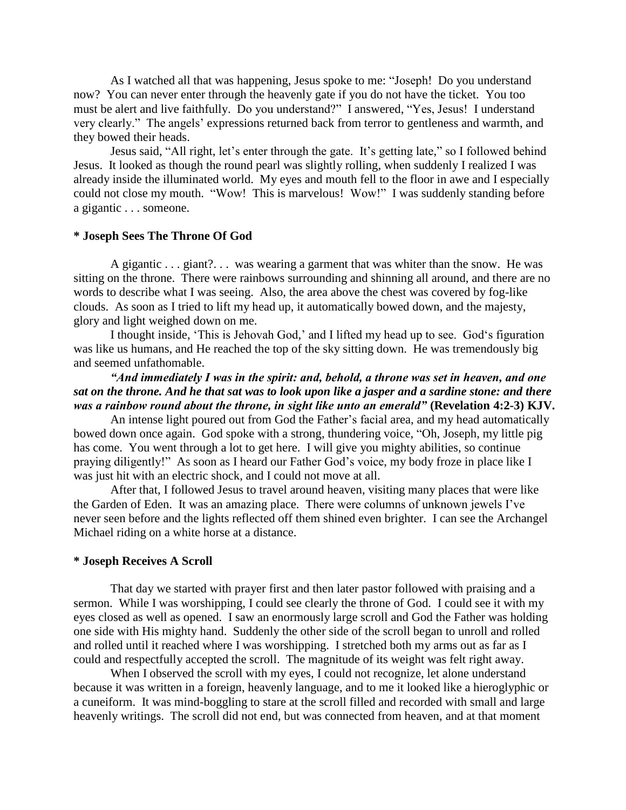As I watched all that was happening, Jesus spoke to me: "Joseph! Do you understand now? You can never enter through the heavenly gate if you do not have the ticket. You too must be alert and live faithfully. Do you understand?" I answered, "Yes, Jesus! I understand very clearly." The angels' expressions returned back from terror to gentleness and warmth, and they bowed their heads.

Jesus said, "All right, let's enter through the gate. It's getting late," so I followed behind Jesus. It looked as though the round pearl was slightly rolling, when suddenly I realized I was already inside the illuminated world. My eyes and mouth fell to the floor in awe and I especially could not close my mouth. "Wow! This is marvelous! Wow!" I was suddenly standing before a gigantic . . . someone.

# **\* Joseph Sees The Throne Of God**

A gigantic . . . giant?. . . was wearing a garment that was whiter than the snow. He was sitting on the throne. There were rainbows surrounding and shinning all around, and there are no words to describe what I was seeing. Also, the area above the chest was covered by fog-like clouds. As soon as I tried to lift my head up, it automatically bowed down, and the majesty, glory and light weighed down on me.

I thought inside, "This is Jehovah God," and I lifted my head up to see. God"s figuration was like us humans, and He reached the top of the sky sitting down. He was tremendously big and seemed unfathomable.

*"And immediately I was in the spirit: and, behold, a throne was set in heaven, and one sat on the throne. And he that sat was to look upon like a jasper and a sardine stone: and there was a rainbow round about the throne, in sight like unto an emerald"* **(Revelation 4:2-3) KJV.**

An intense light poured out from God the Father"s facial area, and my head automatically bowed down once again. God spoke with a strong, thundering voice, "Oh, Joseph, my little pig has come. You went through a lot to get here. I will give you mighty abilities, so continue praying diligently!" As soon as I heard our Father God"s voice, my body froze in place like I was just hit with an electric shock, and I could not move at all.

After that, I followed Jesus to travel around heaven, visiting many places that were like the Garden of Eden. It was an amazing place. There were columns of unknown jewels I"ve never seen before and the lights reflected off them shined even brighter. I can see the Archangel Michael riding on a white horse at a distance.

# **\* Joseph Receives A Scroll**

That day we started with prayer first and then later pastor followed with praising and a sermon. While I was worshipping, I could see clearly the throne of God. I could see it with my eyes closed as well as opened. I saw an enormously large scroll and God the Father was holding one side with His mighty hand. Suddenly the other side of the scroll began to unroll and rolled and rolled until it reached where I was worshipping. I stretched both my arms out as far as I could and respectfully accepted the scroll. The magnitude of its weight was felt right away.

When I observed the scroll with my eyes, I could not recognize, let alone understand because it was written in a foreign, heavenly language, and to me it looked like a hieroglyphic or a cuneiform. It was mind-boggling to stare at the scroll filled and recorded with small and large heavenly writings. The scroll did not end, but was connected from heaven, and at that moment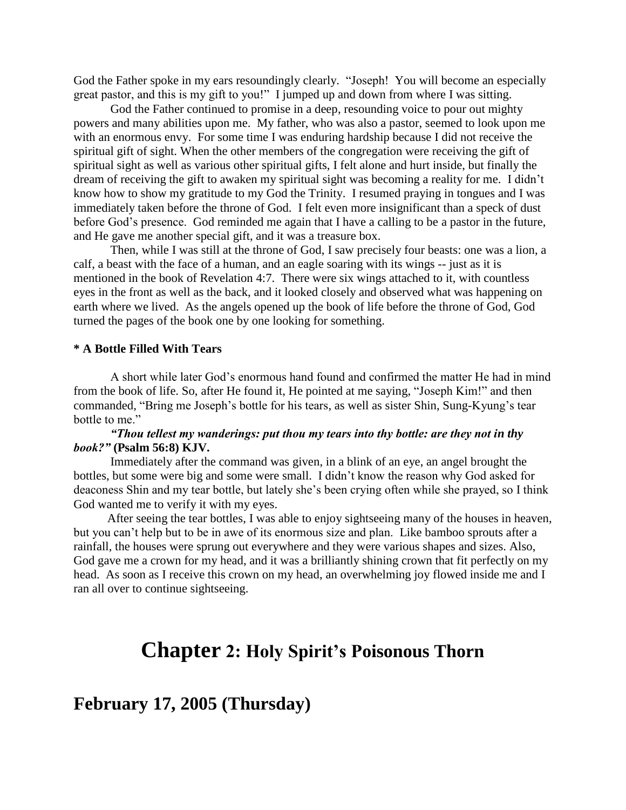God the Father spoke in my ears resoundingly clearly. "Joseph! You will become an especially great pastor, and this is my gift to you!" I jumped up and down from where I was sitting.

God the Father continued to promise in a deep, resounding voice to pour out mighty powers and many abilities upon me. My father, who was also a pastor, seemed to look upon me with an enormous envy. For some time I was enduring hardship because I did not receive the spiritual gift of sight. When the other members of the congregation were receiving the gift of spiritual sight as well as various other spiritual gifts, I felt alone and hurt inside, but finally the dream of receiving the gift to awaken my spiritual sight was becoming a reality for me. I didn't know how to show my gratitude to my God the Trinity. I resumed praying in tongues and I was immediately taken before the throne of God. I felt even more insignificant than a speck of dust before God's presence. God reminded me again that I have a calling to be a pastor in the future, and He gave me another special gift, and it was a treasure box.

Then, while I was still at the throne of God, I saw precisely four beasts: one was a lion, a calf, a beast with the face of a human, and an eagle soaring with its wings -- just as it is mentioned in the book of Revelation 4:7. There were six wings attached to it, with countless eyes in the front as well as the back, and it looked closely and observed what was happening on earth where we lived. As the angels opened up the book of life before the throne of God, God turned the pages of the book one by one looking for something.

# **\* A Bottle Filled With Tears**

A short while later God"s enormous hand found and confirmed the matter He had in mind from the book of life. So, after He found it, He pointed at me saying, "Joseph Kim!" and then commanded, "Bring me Joseph"s bottle for his tears, as well as sister Shin, Sung-Kyung"s tear bottle to me."

# *"Thou tellest my wanderings: put thou my tears into thy bottle: are they not in thy book?"* **(Psalm 56:8) KJV.**

Immediately after the command was given, in a blink of an eye, an angel brought the bottles, but some were big and some were small. I didn"t know the reason why God asked for deaconess Shin and my tear bottle, but lately she"s been crying often while she prayed, so I think God wanted me to verify it with my eyes.

After seeing the tear bottles, I was able to enjoy sightseeing many of the houses in heaven, but you can"t help but to be in awe of its enormous size and plan. Like bamboo sprouts after a rainfall, the houses were sprung out everywhere and they were various shapes and sizes. Also, God gave me a crown for my head, and it was a brilliantly shining crown that fit perfectly on my head. As soon as I receive this crown on my head, an overwhelming joy flowed inside me and I ran all over to continue sightseeing.

# **Chapter 2: Holy Spirit's Poisonous Thorn**

**February 17, 2005 (Thursday)**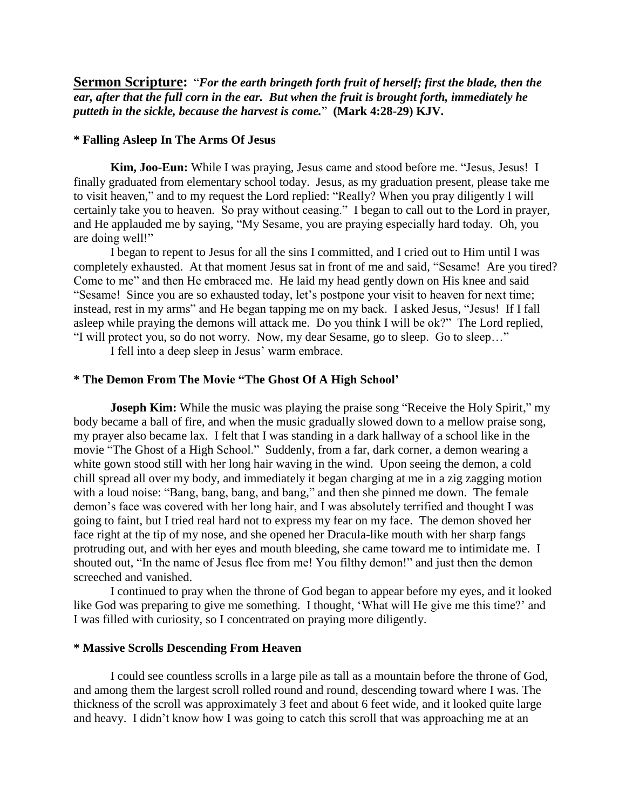**Sermon Scripture:** "*For the earth bringeth forth fruit of herself; first the blade, then the ear, after that the full corn in the ear. But when the fruit is brought forth, immediately he putteth in the sickle, because the harvest is come.*" **(Mark 4:28-29) KJV.**

# **\* Falling Asleep In The Arms Of Jesus**

**Kim, Joo-Eun:** While I was praying, Jesus came and stood before me. "Jesus, Jesus! I finally graduated from elementary school today. Jesus, as my graduation present, please take me to visit heaven," and to my request the Lord replied: "Really? When you pray diligently I will certainly take you to heaven. So pray without ceasing." I began to call out to the Lord in prayer, and He applauded me by saying, "My Sesame, you are praying especially hard today. Oh, you are doing well!"

I began to repent to Jesus for all the sins I committed, and I cried out to Him until I was completely exhausted. At that moment Jesus sat in front of me and said, "Sesame! Are you tired? Come to me" and then He embraced me. He laid my head gently down on His knee and said "Sesame! Since you are so exhausted today, let's postpone your visit to heaven for next time; instead, rest in my arms" and He began tapping me on my back. I asked Jesus, "Jesus! If I fall asleep while praying the demons will attack me. Do you think I will be ok?" The Lord replied, "I will protect you, so do not worry. Now, my dear Sesame, go to sleep. Go to sleep…"

I fell into a deep sleep in Jesus" warm embrace.

#### **\* The Demon From The Movie "The Ghost Of A High School'**

**Joseph Kim:** While the music was playing the praise song "Receive the Holy Spirit," my body became a ball of fire, and when the music gradually slowed down to a mellow praise song, my prayer also became lax. I felt that I was standing in a dark hallway of a school like in the movie "The Ghost of a High School." Suddenly, from a far, dark corner, a demon wearing a white gown stood still with her long hair waving in the wind. Upon seeing the demon, a cold chill spread all over my body, and immediately it began charging at me in a zig zagging motion with a loud noise: "Bang, bang, bang, and bang," and then she pinned me down. The female demon"s face was covered with her long hair, and I was absolutely terrified and thought I was going to faint, but I tried real hard not to express my fear on my face. The demon shoved her face right at the tip of my nose, and she opened her Dracula-like mouth with her sharp fangs protruding out, and with her eyes and mouth bleeding, she came toward me to intimidate me. I shouted out, "In the name of Jesus flee from me! You filthy demon!" and just then the demon screeched and vanished.

I continued to pray when the throne of God began to appear before my eyes, and it looked like God was preparing to give me something. I thought, 'What will He give me this time?' and I was filled with curiosity, so I concentrated on praying more diligently.

#### **\* Massive Scrolls Descending From Heaven**

I could see countless scrolls in a large pile as tall as a mountain before the throne of God, and among them the largest scroll rolled round and round, descending toward where I was. The thickness of the scroll was approximately 3 feet and about 6 feet wide, and it looked quite large and heavy. I didn"t know how I was going to catch this scroll that was approaching me at an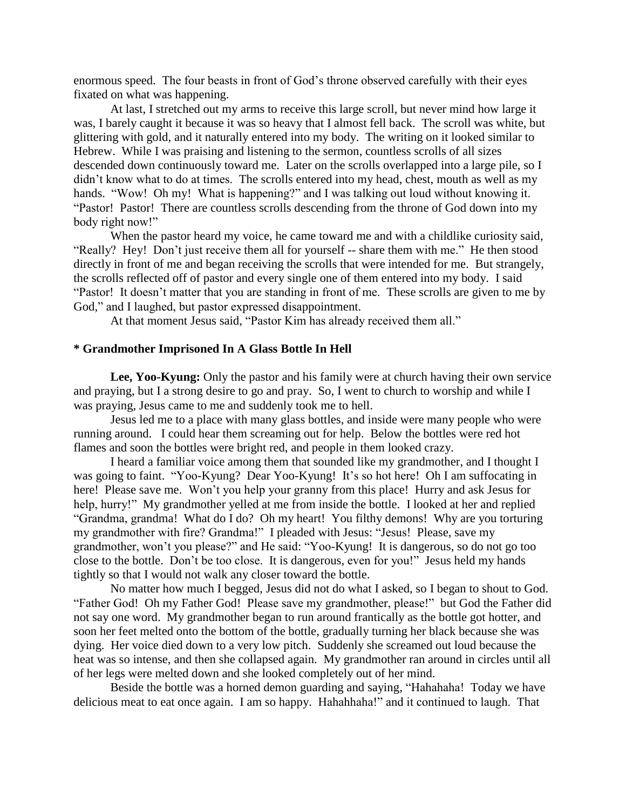enormous speed. The four beasts in front of God"s throne observed carefully with their eyes fixated on what was happening.

At last, I stretched out my arms to receive this large scroll, but never mind how large it was, I barely caught it because it was so heavy that I almost fell back. The scroll was white, but glittering with gold, and it naturally entered into my body. The writing on it looked similar to Hebrew. While I was praising and listening to the sermon, countless scrolls of all sizes descended down continuously toward me. Later on the scrolls overlapped into a large pile, so I didn't know what to do at times. The scrolls entered into my head, chest, mouth as well as my hands. "Wow! Oh my! What is happening?" and I was talking out loud without knowing it. "Pastor! Pastor! There are countless scrolls descending from the throne of God down into my body right now!"

When the pastor heard my voice, he came toward me and with a childlike curiosity said, "Really? Hey! Don"t just receive them all for yourself -- share them with me." He then stood directly in front of me and began receiving the scrolls that were intended for me. But strangely, the scrolls reflected off of pastor and every single one of them entered into my body. I said "Pastor! It doesn't matter that you are standing in front of me. These scrolls are given to me by God," and I laughed, but pastor expressed disappointment.

At that moment Jesus said, "Pastor Kim has already received them all."

### **\* Grandmother Imprisoned In A Glass Bottle In Hell**

Lee, Yoo-Kyung: Only the pastor and his family were at church having their own service and praying, but I a strong desire to go and pray. So, I went to church to worship and while I was praying, Jesus came to me and suddenly took me to hell.

Jesus led me to a place with many glass bottles, and inside were many people who were running around. I could hear them screaming out for help. Below the bottles were red hot flames and soon the bottles were bright red, and people in them looked crazy.

I heard a familiar voice among them that sounded like my grandmother, and I thought I was going to faint. "Yoo-Kyung? Dear Yoo-Kyung! It's so hot here! Oh I am suffocating in here! Please save me. Won't you help your granny from this place! Hurry and ask Jesus for help, hurry!" My grandmother yelled at me from inside the bottle. I looked at her and replied "Grandma, grandma! What do I do? Oh my heart! You filthy demons! Why are you torturing my grandmother with fire? Grandma!" I pleaded with Jesus: "Jesus! Please, save my grandmother, won"t you please?" and He said: "Yoo-Kyung! It is dangerous, so do not go too close to the bottle. Don"t be too close. It is dangerous, even for you!" Jesus held my hands tightly so that I would not walk any closer toward the bottle.

No matter how much I begged, Jesus did not do what I asked, so I began to shout to God. "Father God! Oh my Father God! Please save my grandmother, please!" but God the Father did not say one word. My grandmother began to run around frantically as the bottle got hotter, and soon her feet melted onto the bottom of the bottle, gradually turning her black because she was dying. Her voice died down to a very low pitch. Suddenly she screamed out loud because the heat was so intense, and then she collapsed again. My grandmother ran around in circles until all of her legs were melted down and she looked completely out of her mind.

Beside the bottle was a horned demon guarding and saying, "Hahahaha! Today we have delicious meat to eat once again. I am so happy. Hahahhaha!" and it continued to laugh. That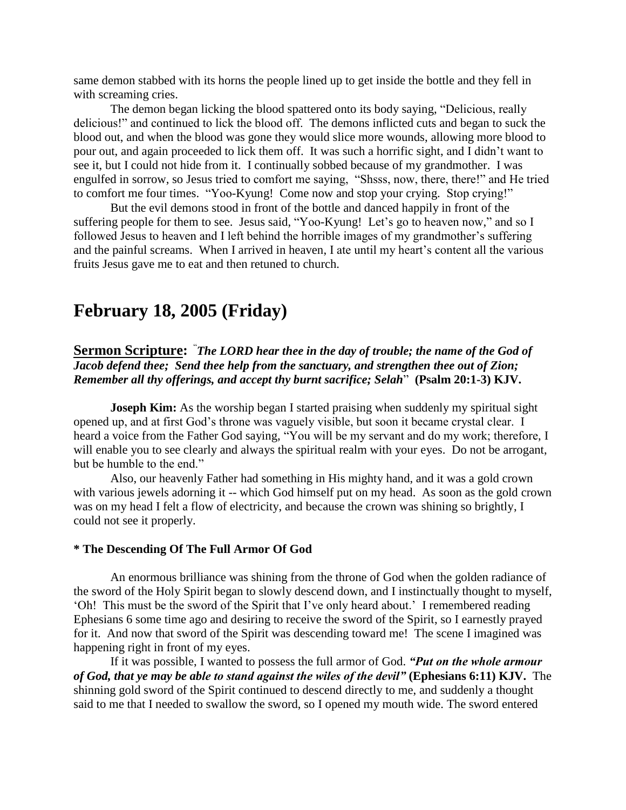same demon stabbed with its horns the people lined up to get inside the bottle and they fell in with screaming cries.

The demon began licking the blood spattered onto its body saying, "Delicious, really delicious!" and continued to lick the blood off. The demons inflicted cuts and began to suck the blood out, and when the blood was gone they would slice more wounds, allowing more blood to pour out, and again proceeded to lick them off. It was such a horrific sight, and I didn"t want to see it, but I could not hide from it. I continually sobbed because of my grandmother. I was engulfed in sorrow, so Jesus tried to comfort me saying, "Shsss, now, there, there!" and He tried to comfort me four times. "Yoo-Kyung! Come now and stop your crying. Stop crying!"

But the evil demons stood in front of the bottle and danced happily in front of the suffering people for them to see. Jesus said, "Yoo-Kyung! Let's go to heaven now," and so I followed Jesus to heaven and I left behind the horrible images of my grandmother's suffering and the painful screams. When I arrived in heaven, I ate until my heart's content all the various fruits Jesus gave me to eat and then retuned to church.

# **February 18, 2005 (Friday)**

**Sermon Scripture:** " *The LORD hear thee in the day of trouble; the name of the God of Jacob defend thee; Send thee help from the sanctuary, and strengthen thee out of Zion; Remember all thy offerings, and accept thy burnt sacrifice; Selah*" **(Psalm 20:1-3) KJV.**

**Joseph Kim:** As the worship began I started praising when suddenly my spiritual sight opened up, and at first God"s throne was vaguely visible, but soon it became crystal clear. I heard a voice from the Father God saying, "You will be my servant and do my work; therefore, I will enable you to see clearly and always the spiritual realm with your eyes. Do not be arrogant, but be humble to the end."

Also, our heavenly Father had something in His mighty hand, and it was a gold crown with various jewels adorning it -- which God himself put on my head. As soon as the gold crown was on my head I felt a flow of electricity, and because the crown was shining so brightly, I could not see it properly.

# **\* The Descending Of The Full Armor Of God**

An enormous brilliance was shining from the throne of God when the golden radiance of the sword of the Holy Spirit began to slowly descend down, and I instinctually thought to myself, "Oh! This must be the sword of the Spirit that I"ve only heard about." I remembered reading Ephesians 6 some time ago and desiring to receive the sword of the Spirit, so I earnestly prayed for it. And now that sword of the Spirit was descending toward me! The scene I imagined was happening right in front of my eyes.

If it was possible, I wanted to possess the full armor of God. *"Put on the whole armour of God, that ye may be able to stand against the wiles of the devil"* **(Ephesians 6:11) KJV.** The shinning gold sword of the Spirit continued to descend directly to me, and suddenly a thought said to me that I needed to swallow the sword, so I opened my mouth wide. The sword entered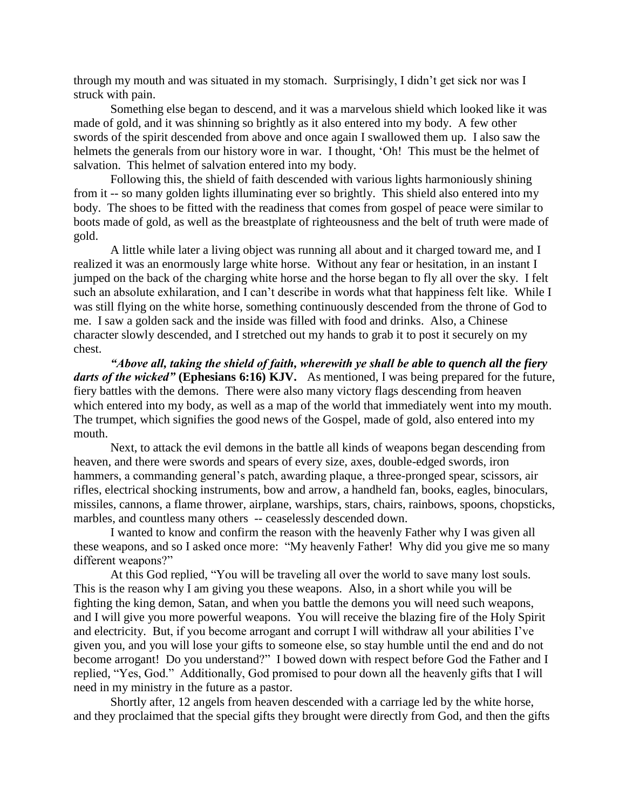through my mouth and was situated in my stomach. Surprisingly, I didn"t get sick nor was I struck with pain.

Something else began to descend, and it was a marvelous shield which looked like it was made of gold, and it was shinning so brightly as it also entered into my body. A few other swords of the spirit descended from above and once again I swallowed them up. I also saw the helmets the generals from our history wore in war. I thought, "Oh! This must be the helmet of salvation. This helmet of salvation entered into my body.

Following this, the shield of faith descended with various lights harmoniously shining from it -- so many golden lights illuminating ever so brightly. This shield also entered into my body. The shoes to be fitted with the readiness that comes from gospel of peace were similar to boots made of gold, as well as the breastplate of righteousness and the belt of truth were made of gold.

A little while later a living object was running all about and it charged toward me, and I realized it was an enormously large white horse. Without any fear or hesitation, in an instant I jumped on the back of the charging white horse and the horse began to fly all over the sky. I felt such an absolute exhilaration, and I can't describe in words what that happiness felt like. While I was still flying on the white horse, something continuously descended from the throne of God to me. I saw a golden sack and the inside was filled with food and drinks. Also, a Chinese character slowly descended, and I stretched out my hands to grab it to post it securely on my chest.

*"Above all, taking the shield of faith, wherewith ye shall be able to quench all the fiery darts of the wicked"* **(Ephesians 6:16) KJV.** As mentioned, I was being prepared for the future, fiery battles with the demons. There were also many victory flags descending from heaven which entered into my body, as well as a map of the world that immediately went into my mouth. The trumpet, which signifies the good news of the Gospel, made of gold, also entered into my mouth.

Next, to attack the evil demons in the battle all kinds of weapons began descending from heaven, and there were swords and spears of every size, axes, double-edged swords, iron hammers, a commanding general's patch, awarding plaque, a three-pronged spear, scissors, air rifles, electrical shocking instruments, bow and arrow, a handheld fan, books, eagles, binoculars, missiles, cannons, a flame thrower, airplane, warships, stars, chairs, rainbows, spoons, chopsticks, marbles, and countless many others -- ceaselessly descended down.

I wanted to know and confirm the reason with the heavenly Father why I was given all these weapons, and so I asked once more: "My heavenly Father! Why did you give me so many different weapons?"

At this God replied, "You will be traveling all over the world to save many lost souls. This is the reason why I am giving you these weapons. Also, in a short while you will be fighting the king demon, Satan, and when you battle the demons you will need such weapons, and I will give you more powerful weapons. You will receive the blazing fire of the Holy Spirit and electricity. But, if you become arrogant and corrupt I will withdraw all your abilities I"ve given you, and you will lose your gifts to someone else, so stay humble until the end and do not become arrogant! Do you understand?" I bowed down with respect before God the Father and I replied, "Yes, God." Additionally, God promised to pour down all the heavenly gifts that I will need in my ministry in the future as a pastor.

Shortly after, 12 angels from heaven descended with a carriage led by the white horse, and they proclaimed that the special gifts they brought were directly from God, and then the gifts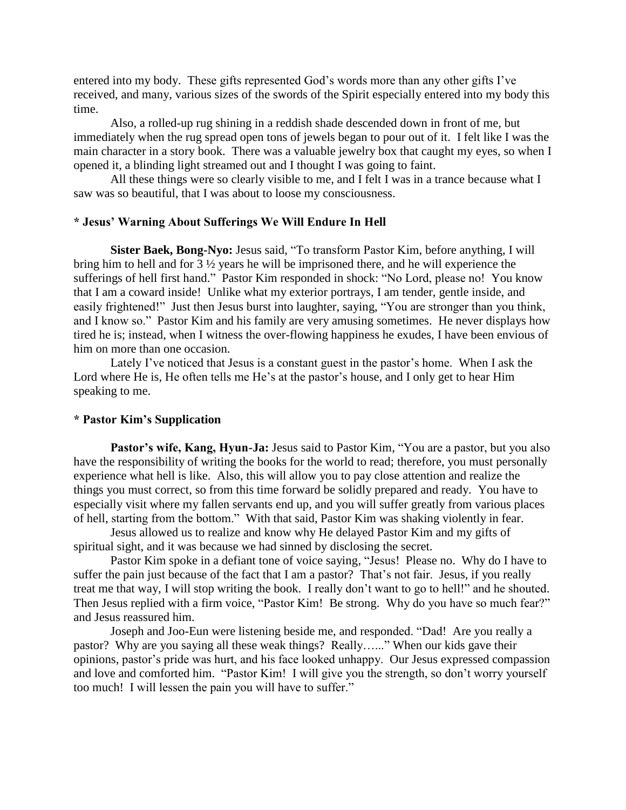entered into my body. These gifts represented God"s words more than any other gifts I"ve received, and many, various sizes of the swords of the Spirit especially entered into my body this time.

Also, a rolled-up rug shining in a reddish shade descended down in front of me, but immediately when the rug spread open tons of jewels began to pour out of it. I felt like I was the main character in a story book. There was a valuable jewelry box that caught my eyes, so when I opened it, a blinding light streamed out and I thought I was going to faint.

All these things were so clearly visible to me, and I felt I was in a trance because what I saw was so beautiful, that I was about to loose my consciousness.

# **\* Jesus' Warning About Sufferings We Will Endure In Hell**

**Sister Baek, Bong-Nyo:** Jesus said, "To transform Pastor Kim, before anything, I will bring him to hell and for 3 ½ years he will be imprisoned there, and he will experience the sufferings of hell first hand." Pastor Kim responded in shock: "No Lord, please no! You know that I am a coward inside! Unlike what my exterior portrays, I am tender, gentle inside, and easily frightened!" Just then Jesus burst into laughter, saying, "You are stronger than you think, and I know so." Pastor Kim and his family are very amusing sometimes. He never displays how tired he is; instead, when I witness the over-flowing happiness he exudes, I have been envious of him on more than one occasion.

Lately I've noticed that Jesus is a constant guest in the pastor's home. When I ask the Lord where He is, He often tells me He's at the pastor's house, and I only get to hear Him speaking to me.

# **\* Pastor Kim's Supplication**

Pastor's wife, Kang, Hyun-Ja: Jesus said to Pastor Kim, "You are a pastor, but you also have the responsibility of writing the books for the world to read; therefore, you must personally experience what hell is like. Also, this will allow you to pay close attention and realize the things you must correct, so from this time forward be solidly prepared and ready. You have to especially visit where my fallen servants end up, and you will suffer greatly from various places of hell, starting from the bottom." With that said, Pastor Kim was shaking violently in fear.

Jesus allowed us to realize and know why He delayed Pastor Kim and my gifts of spiritual sight, and it was because we had sinned by disclosing the secret.

Pastor Kim spoke in a defiant tone of voice saying, "Jesus! Please no. Why do I have to suffer the pain just because of the fact that I am a pastor? That's not fair. Jesus, if you really treat me that way, I will stop writing the book. I really don"t want to go to hell!" and he shouted. Then Jesus replied with a firm voice, "Pastor Kim! Be strong. Why do you have so much fear?" and Jesus reassured him.

Joseph and Joo-Eun were listening beside me, and responded. "Dad! Are you really a pastor? Why are you saying all these weak things? Really…..." When our kids gave their opinions, pastor"s pride was hurt, and his face looked unhappy. Our Jesus expressed compassion and love and comforted him. "Pastor Kim! I will give you the strength, so don"t worry yourself too much! I will lessen the pain you will have to suffer."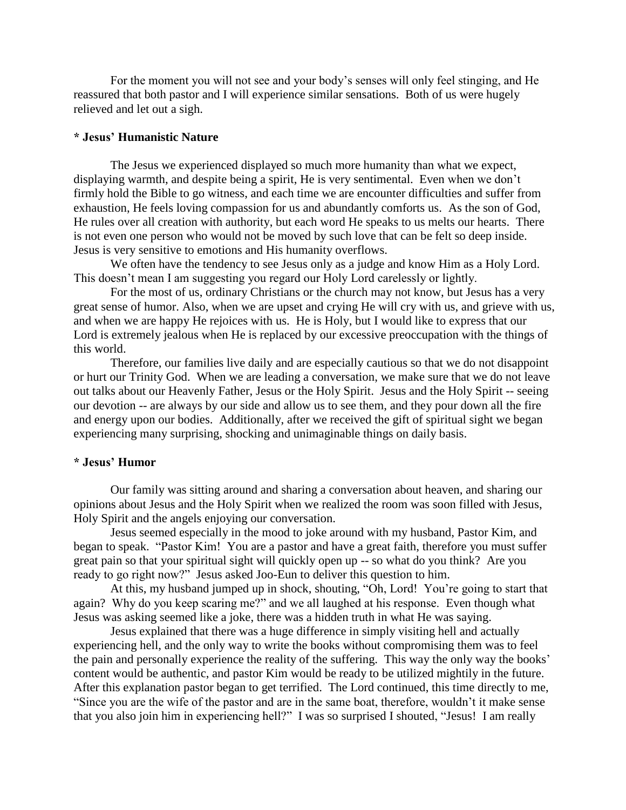For the moment you will not see and your body"s senses will only feel stinging, and He reassured that both pastor and I will experience similar sensations. Both of us were hugely relieved and let out a sigh.

# **\* Jesus' Humanistic Nature**

The Jesus we experienced displayed so much more humanity than what we expect, displaying warmth, and despite being a spirit, He is very sentimental. Even when we don't firmly hold the Bible to go witness, and each time we are encounter difficulties and suffer from exhaustion, He feels loving compassion for us and abundantly comforts us. As the son of God, He rules over all creation with authority, but each word He speaks to us melts our hearts. There is not even one person who would not be moved by such love that can be felt so deep inside. Jesus is very sensitive to emotions and His humanity overflows.

We often have the tendency to see Jesus only as a judge and know Him as a Holy Lord. This doesn"t mean I am suggesting you regard our Holy Lord carelessly or lightly.

For the most of us, ordinary Christians or the church may not know, but Jesus has a very great sense of humor. Also, when we are upset and crying He will cry with us, and grieve with us, and when we are happy He rejoices with us. He is Holy, but I would like to express that our Lord is extremely jealous when He is replaced by our excessive preoccupation with the things of this world.

Therefore, our families live daily and are especially cautious so that we do not disappoint or hurt our Trinity God. When we are leading a conversation, we make sure that we do not leave out talks about our Heavenly Father, Jesus or the Holy Spirit. Jesus and the Holy Spirit -- seeing our devotion -- are always by our side and allow us to see them, and they pour down all the fire and energy upon our bodies. Additionally, after we received the gift of spiritual sight we began experiencing many surprising, shocking and unimaginable things on daily basis.

# **\* Jesus' Humor**

Our family was sitting around and sharing a conversation about heaven, and sharing our opinions about Jesus and the Holy Spirit when we realized the room was soon filled with Jesus, Holy Spirit and the angels enjoying our conversation.

Jesus seemed especially in the mood to joke around with my husband, Pastor Kim, and began to speak. "Pastor Kim! You are a pastor and have a great faith, therefore you must suffer great pain so that your spiritual sight will quickly open up -- so what do you think? Are you ready to go right now?" Jesus asked Joo-Eun to deliver this question to him.

At this, my husband jumped up in shock, shouting, "Oh, Lord! You"re going to start that again? Why do you keep scaring me?" and we all laughed at his response. Even though what Jesus was asking seemed like a joke, there was a hidden truth in what He was saying.

Jesus explained that there was a huge difference in simply visiting hell and actually experiencing hell, and the only way to write the books without compromising them was to feel the pain and personally experience the reality of the suffering. This way the only way the books" content would be authentic, and pastor Kim would be ready to be utilized mightily in the future. After this explanation pastor began to get terrified. The Lord continued, this time directly to me, "Since you are the wife of the pastor and are in the same boat, therefore, wouldn"t it make sense that you also join him in experiencing hell?" I was so surprised I shouted, "Jesus! I am really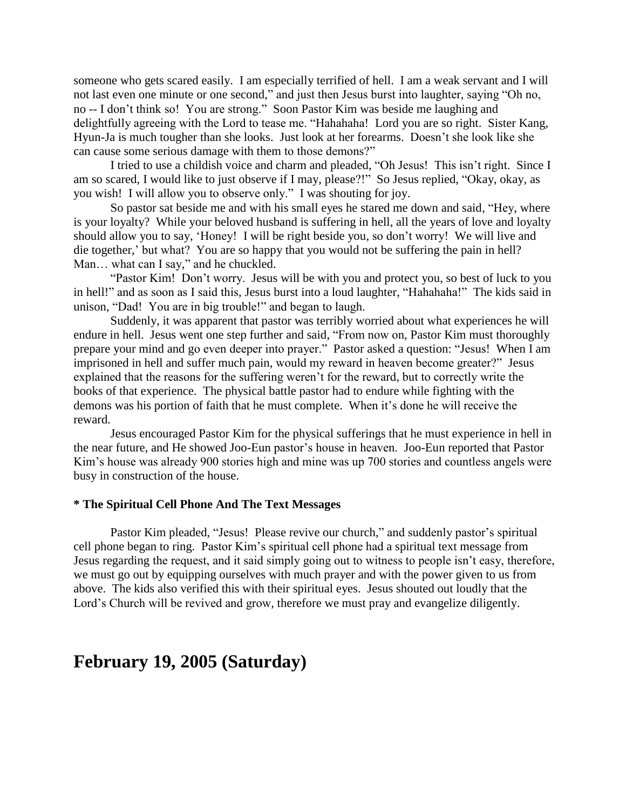someone who gets scared easily. I am especially terrified of hell. I am a weak servant and I will not last even one minute or one second," and just then Jesus burst into laughter, saying "Oh no, no -- I don"t think so! You are strong." Soon Pastor Kim was beside me laughing and delightfully agreeing with the Lord to tease me. "Hahahaha! Lord you are so right. Sister Kang, Hyun-Ja is much tougher than she looks. Just look at her forearms. Doesn"t she look like she can cause some serious damage with them to those demons?"

I tried to use a childish voice and charm and pleaded, "Oh Jesus! This isn't right. Since I am so scared, I would like to just observe if I may, please?!" So Jesus replied, "Okay, okay, as you wish! I will allow you to observe only." I was shouting for joy.

So pastor sat beside me and with his small eyes he stared me down and said, "Hey, where is your loyalty? While your beloved husband is suffering in hell, all the years of love and loyalty should allow you to say, "Honey! I will be right beside you, so don"t worry! We will live and die together,' but what? You are so happy that you would not be suffering the pain in hell? Man... what can I say," and he chuckled.

"Pastor Kim! Don"t worry. Jesus will be with you and protect you, so best of luck to you in hell!" and as soon as I said this, Jesus burst into a loud laughter, "Hahahaha!" The kids said in unison, "Dad! You are in big trouble!" and began to laugh.

Suddenly, it was apparent that pastor was terribly worried about what experiences he will endure in hell. Jesus went one step further and said, "From now on, Pastor Kim must thoroughly prepare your mind and go even deeper into prayer." Pastor asked a question: "Jesus! When I am imprisoned in hell and suffer much pain, would my reward in heaven become greater?" Jesus explained that the reasons for the suffering weren"t for the reward, but to correctly write the books of that experience. The physical battle pastor had to endure while fighting with the demons was his portion of faith that he must complete. When it's done he will receive the reward.

Jesus encouraged Pastor Kim for the physical sufferings that he must experience in hell in the near future, and He showed Joo-Eun pastor"s house in heaven. Joo-Eun reported that Pastor Kim"s house was already 900 stories high and mine was up 700 stories and countless angels were busy in construction of the house.

# **\* The Spiritual Cell Phone And The Text Messages**

Pastor Kim pleaded, "Jesus! Please revive our church," and suddenly pastor's spiritual cell phone began to ring. Pastor Kim"s spiritual cell phone had a spiritual text message from Jesus regarding the request, and it said simply going out to witness to people isn"t easy, therefore, we must go out by equipping ourselves with much prayer and with the power given to us from above. The kids also verified this with their spiritual eyes. Jesus shouted out loudly that the Lord's Church will be revived and grow, therefore we must pray and evangelize diligently.

# **February 19, 2005 (Saturday)**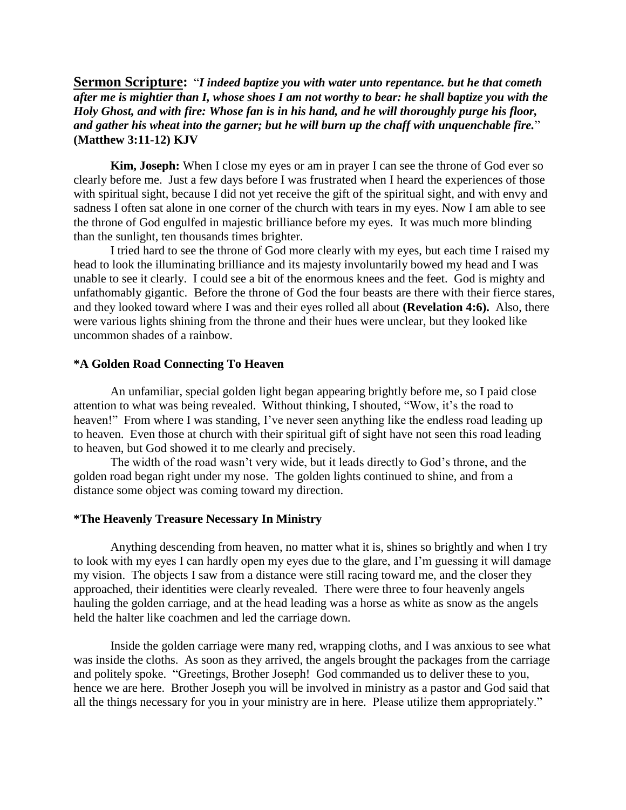**Sermon Scripture:** "*I indeed baptize you with water unto repentance. but he that cometh after me is mightier than I, whose shoes I am not worthy to bear: he shall baptize you with the Holy Ghost, and with fire: Whose fan is in his hand, and he will thoroughly purge his floor, and gather his wheat into the garner; but he will burn up the chaff with unquenchable fire.*" **(Matthew 3:11-12) KJV**

**Kim, Joseph:** When I close my eyes or am in prayer I can see the throne of God ever so clearly before me. Just a few days before I was frustrated when I heard the experiences of those with spiritual sight, because I did not yet receive the gift of the spiritual sight, and with envy and sadness I often sat alone in one corner of the church with tears in my eyes. Now I am able to see the throne of God engulfed in majestic brilliance before my eyes. It was much more blinding than the sunlight, ten thousands times brighter.

I tried hard to see the throne of God more clearly with my eyes, but each time I raised my head to look the illuminating brilliance and its majesty involuntarily bowed my head and I was unable to see it clearly. I could see a bit of the enormous knees and the feet. God is mighty and unfathomably gigantic. Before the throne of God the four beasts are there with their fierce stares, and they looked toward where I was and their eyes rolled all about **(Revelation 4:6).** Also, there were various lights shining from the throne and their hues were unclear, but they looked like uncommon shades of a rainbow.

### **\*A Golden Road Connecting To Heaven**

An unfamiliar, special golden light began appearing brightly before me, so I paid close attention to what was being revealed. Without thinking, I shouted, "Wow, it's the road to heaven!" From where I was standing, I've never seen anything like the endless road leading up to heaven. Even those at church with their spiritual gift of sight have not seen this road leading to heaven, but God showed it to me clearly and precisely.

The width of the road wasn"t very wide, but it leads directly to God"s throne, and the golden road began right under my nose. The golden lights continued to shine, and from a distance some object was coming toward my direction.

#### **\*The Heavenly Treasure Necessary In Ministry**

Anything descending from heaven, no matter what it is, shines so brightly and when I try to look with my eyes I can hardly open my eyes due to the glare, and I"m guessing it will damage my vision. The objects I saw from a distance were still racing toward me, and the closer they approached, their identities were clearly revealed. There were three to four heavenly angels hauling the golden carriage, and at the head leading was a horse as white as snow as the angels held the halter like coachmen and led the carriage down.

Inside the golden carriage were many red, wrapping cloths, and I was anxious to see what was inside the cloths. As soon as they arrived, the angels brought the packages from the carriage and politely spoke. "Greetings, Brother Joseph! God commanded us to deliver these to you, hence we are here. Brother Joseph you will be involved in ministry as a pastor and God said that all the things necessary for you in your ministry are in here. Please utilize them appropriately."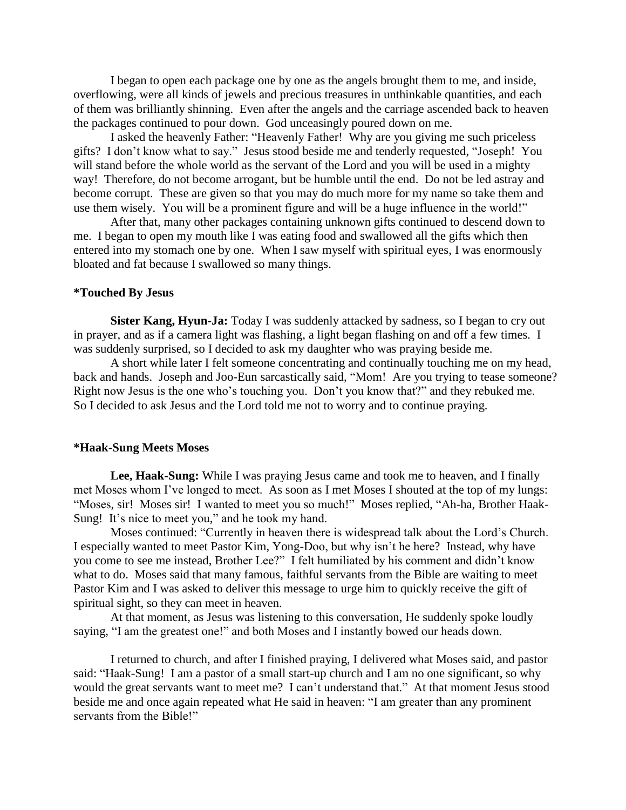I began to open each package one by one as the angels brought them to me, and inside, overflowing, were all kinds of jewels and precious treasures in unthinkable quantities, and each of them was brilliantly shinning. Even after the angels and the carriage ascended back to heaven the packages continued to pour down. God unceasingly poured down on me.

I asked the heavenly Father: "Heavenly Father! Why are you giving me such priceless gifts? I don"t know what to say." Jesus stood beside me and tenderly requested, "Joseph! You will stand before the whole world as the servant of the Lord and you will be used in a mighty way! Therefore, do not become arrogant, but be humble until the end. Do not be led astray and become corrupt. These are given so that you may do much more for my name so take them and use them wisely. You will be a prominent figure and will be a huge influence in the world!"

After that, many other packages containing unknown gifts continued to descend down to me. I began to open my mouth like I was eating food and swallowed all the gifts which then entered into my stomach one by one. When I saw myself with spiritual eyes, I was enormously bloated and fat because I swallowed so many things.

# **\*Touched By Jesus**

**Sister Kang, Hyun-Ja:** Today I was suddenly attacked by sadness, so I began to cry out in prayer, and as if a camera light was flashing, a light began flashing on and off a few times. I was suddenly surprised, so I decided to ask my daughter who was praying beside me.

A short while later I felt someone concentrating and continually touching me on my head, back and hands. Joseph and Joo-Eun sarcastically said, "Mom! Are you trying to tease someone? Right now Jesus is the one who"s touching you. Don"t you know that?" and they rebuked me. So I decided to ask Jesus and the Lord told me not to worry and to continue praying.

#### **\*Haak-Sung Meets Moses**

**Lee, Haak-Sung:** While I was praying Jesus came and took me to heaven, and I finally met Moses whom I"ve longed to meet. As soon as I met Moses I shouted at the top of my lungs: "Moses, sir! Moses sir! I wanted to meet you so much!" Moses replied, "Ah-ha, Brother Haak-Sung! It's nice to meet you," and he took my hand.

Moses continued: "Currently in heaven there is widespread talk about the Lord"s Church. I especially wanted to meet Pastor Kim, Yong-Doo, but why isn"t he here? Instead, why have you come to see me instead, Brother Lee?" I felt humiliated by his comment and didn"t know what to do. Moses said that many famous, faithful servants from the Bible are waiting to meet Pastor Kim and I was asked to deliver this message to urge him to quickly receive the gift of spiritual sight, so they can meet in heaven.

At that moment, as Jesus was listening to this conversation, He suddenly spoke loudly saying, "I am the greatest one!" and both Moses and I instantly bowed our heads down.

I returned to church, and after I finished praying, I delivered what Moses said, and pastor said: "Haak-Sung! I am a pastor of a small start-up church and I am no one significant, so why would the great servants want to meet me? I can"t understand that." At that moment Jesus stood beside me and once again repeated what He said in heaven: "I am greater than any prominent servants from the Bible!"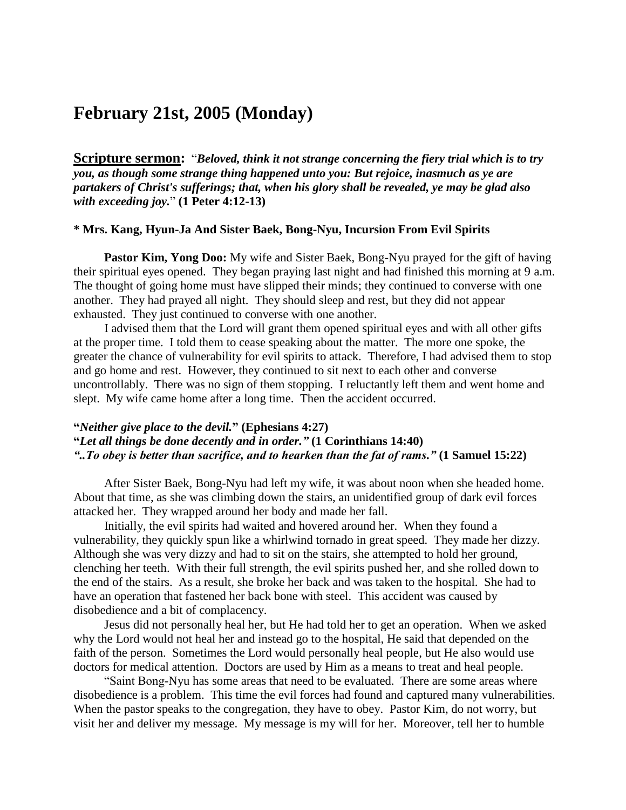# **February 21st, 2005 (Monday)**

**Scripture sermon:** "*Beloved, think it not strange concerning the fiery trial which is to try you, as though some strange thing happened unto you: But rejoice, inasmuch as ye are partakers of Christ's sufferings; that, when his glory shall be revealed, ye may be glad also with exceeding joy.*" **(1 Peter 4:12-13)**

# **\* Mrs. Kang, Hyun-Ja And Sister Baek, Bong-Nyu, Incursion From Evil Spirits**

**Pastor Kim, Yong Doo:** My wife and Sister Baek, Bong-Nyu prayed for the gift of having their spiritual eyes opened. They began praying last night and had finished this morning at 9 a.m. The thought of going home must have slipped their minds; they continued to converse with one another. They had prayed all night. They should sleep and rest, but they did not appear exhausted. They just continued to converse with one another.

 I advised them that the Lord will grant them opened spiritual eyes and with all other gifts at the proper time. I told them to cease speaking about the matter. The more one spoke, the greater the chance of vulnerability for evil spirits to attack. Therefore, I had advised them to stop and go home and rest. However, they continued to sit next to each other and converse uncontrollably. There was no sign of them stopping. I reluctantly left them and went home and slept. My wife came home after a long time. Then the accident occurred.

# **"***Neither give place to the devil.***" (Ephesians 4:27) "***Let all things be done decently and in order."* **(1 Corinthians 14:40)** *"..To obey is better than sacrifice, and to hearken than the fat of rams."* **(1 Samuel 15:22)**

 After Sister Baek, Bong-Nyu had left my wife, it was about noon when she headed home. About that time, as she was climbing down the stairs, an unidentified group of dark evil forces attacked her. They wrapped around her body and made her fall.

 Initially, the evil spirits had waited and hovered around her. When they found a vulnerability, they quickly spun like a whirlwind tornado in great speed. They made her dizzy. Although she was very dizzy and had to sit on the stairs, she attempted to hold her ground, clenching her teeth. With their full strength, the evil spirits pushed her, and she rolled down to the end of the stairs. As a result, she broke her back and was taken to the hospital. She had to have an operation that fastened her back bone with steel. This accident was caused by disobedience and a bit of complacency.

 Jesus did not personally heal her, but He had told her to get an operation. When we asked why the Lord would not heal her and instead go to the hospital, He said that depended on the faith of the person. Sometimes the Lord would personally heal people, but He also would use doctors for medical attention. Doctors are used by Him as a means to treat and heal people.

 "Saint Bong-Nyu has some areas that need to be evaluated. There are some areas where disobedience is a problem. This time the evil forces had found and captured many vulnerabilities. When the pastor speaks to the congregation, they have to obey. Pastor Kim, do not worry, but visit her and deliver my message. My message is my will for her. Moreover, tell her to humble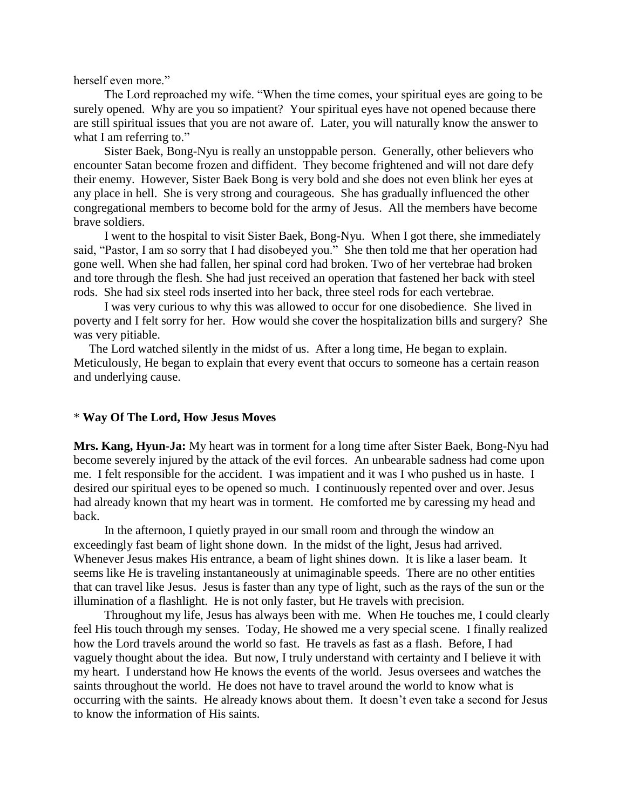herself even more."

 The Lord reproached my wife. "When the time comes, your spiritual eyes are going to be surely opened. Why are you so impatient? Your spiritual eyes have not opened because there are still spiritual issues that you are not aware of. Later, you will naturally know the answer to what I am referring to."

 Sister Baek, Bong-Nyu is really an unstoppable person. Generally, other believers who encounter Satan become frozen and diffident. They become frightened and will not dare defy their enemy. However, Sister Baek Bong is very bold and she does not even blink her eyes at any place in hell. She is very strong and courageous. She has gradually influenced the other congregational members to become bold for the army of Jesus. All the members have become brave soldiers.

 I went to the hospital to visit Sister Baek, Bong-Nyu. When I got there, she immediately said, "Pastor, I am so sorry that I had disobeyed you." She then told me that her operation had gone well. When she had fallen, her spinal cord had broken. Two of her vertebrae had broken and tore through the flesh. She had just received an operation that fastened her back with steel rods. She had six steel rods inserted into her back, three steel rods for each vertebrae.

 I was very curious to why this was allowed to occur for one disobedience. She lived in poverty and I felt sorry for her. How would she cover the hospitalization bills and surgery? She was very pitiable.

 The Lord watched silently in the midst of us. After a long time, He began to explain. Meticulously, He began to explain that every event that occurs to someone has a certain reason and underlying cause.

#### \* **Way Of The Lord, How Jesus Moves**

**Mrs. Kang, Hyun-Ja:** My heart was in torment for a long time after Sister Baek, Bong-Nyu had become severely injured by the attack of the evil forces. An unbearable sadness had come upon me. I felt responsible for the accident. I was impatient and it was I who pushed us in haste. I desired our spiritual eyes to be opened so much. I continuously repented over and over. Jesus had already known that my heart was in torment. He comforted me by caressing my head and back.

 In the afternoon, I quietly prayed in our small room and through the window an exceedingly fast beam of light shone down. In the midst of the light, Jesus had arrived. Whenever Jesus makes His entrance, a beam of light shines down. It is like a laser beam. It seems like He is traveling instantaneously at unimaginable speeds. There are no other entities that can travel like Jesus. Jesus is faster than any type of light, such as the rays of the sun or the illumination of a flashlight. He is not only faster, but He travels with precision.

 Throughout my life, Jesus has always been with me. When He touches me, I could clearly feel His touch through my senses. Today, He showed me a very special scene. I finally realized how the Lord travels around the world so fast. He travels as fast as a flash. Before, I had vaguely thought about the idea. But now, I truly understand with certainty and I believe it with my heart. I understand how He knows the events of the world. Jesus oversees and watches the saints throughout the world. He does not have to travel around the world to know what is occurring with the saints. He already knows about them. It doesn"t even take a second for Jesus to know the information of His saints.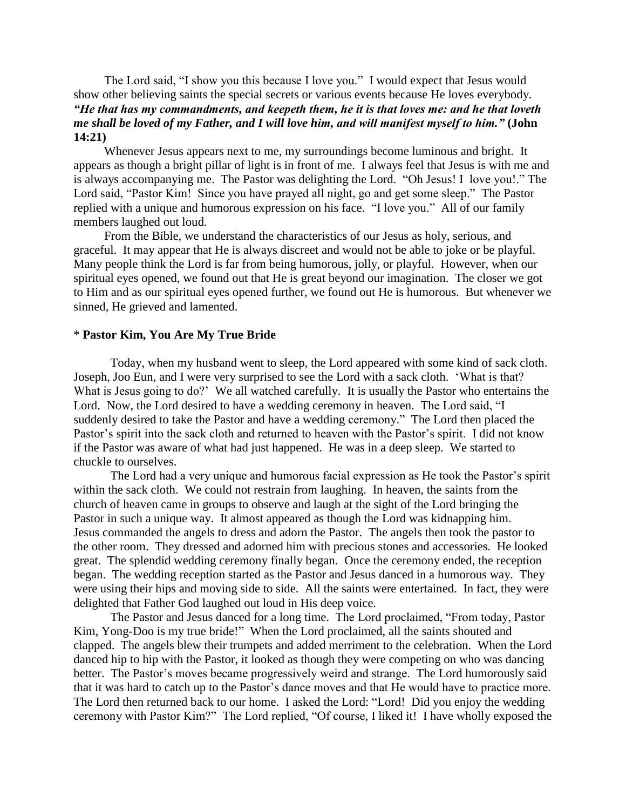The Lord said, "I show you this because I love you." I would expect that Jesus would show other believing saints the special secrets or various events because He loves everybody. *"He that has my commandments, and keepeth them, he it is that loves me: and he that loveth me shall be loved of my Father, and I will love him, and will manifest myself to him."* **(John 14:21)**

 Whenever Jesus appears next to me, my surroundings become luminous and bright. It appears as though a bright pillar of light is in front of me. I always feel that Jesus is with me and is always accompanying me. The Pastor was delighting the Lord. "Oh Jesus! I love you!." The Lord said, "Pastor Kim! Since you have prayed all night, go and get some sleep." The Pastor replied with a unique and humorous expression on his face. "I love you." All of our family members laughed out loud.

 From the Bible, we understand the characteristics of our Jesus as holy, serious, and graceful. It may appear that He is always discreet and would not be able to joke or be playful. Many people think the Lord is far from being humorous, jolly, or playful. However, when our spiritual eyes opened, we found out that He is great beyond our imagination. The closer we got to Him and as our spiritual eyes opened further, we found out He is humorous. But whenever we sinned, He grieved and lamented.

#### \* **Pastor Kim, You Are My True Bride**

Today, when my husband went to sleep, the Lord appeared with some kind of sack cloth. Joseph, Joo Eun, and I were very surprised to see the Lord with a sack cloth. "What is that? What is Jesus going to do?' We all watched carefully. It is usually the Pastor who entertains the Lord. Now, the Lord desired to have a wedding ceremony in heaven. The Lord said, "I suddenly desired to take the Pastor and have a wedding ceremony." The Lord then placed the Pastor's spirit into the sack cloth and returned to heaven with the Pastor's spirit. I did not know if the Pastor was aware of what had just happened. He was in a deep sleep. We started to chuckle to ourselves.

The Lord had a very unique and humorous facial expression as He took the Pastor's spirit within the sack cloth. We could not restrain from laughing. In heaven, the saints from the church of heaven came in groups to observe and laugh at the sight of the Lord bringing the Pastor in such a unique way. It almost appeared as though the Lord was kidnapping him. Jesus commanded the angels to dress and adorn the Pastor. The angels then took the pastor to the other room. They dressed and adorned him with precious stones and accessories. He looked great. The splendid wedding ceremony finally began. Once the ceremony ended, the reception began. The wedding reception started as the Pastor and Jesus danced in a humorous way. They were using their hips and moving side to side. All the saints were entertained. In fact, they were delighted that Father God laughed out loud in His deep voice.

The Pastor and Jesus danced for a long time. The Lord proclaimed, "From today, Pastor Kim, Yong-Doo is my true bride!" When the Lord proclaimed, all the saints shouted and clapped. The angels blew their trumpets and added merriment to the celebration. When the Lord danced hip to hip with the Pastor, it looked as though they were competing on who was dancing better. The Pastor's moves became progressively weird and strange. The Lord humorously said that it was hard to catch up to the Pastor"s dance moves and that He would have to practice more. The Lord then returned back to our home. I asked the Lord: "Lord! Did you enjoy the wedding ceremony with Pastor Kim?" The Lord replied, "Of course, I liked it! I have wholly exposed the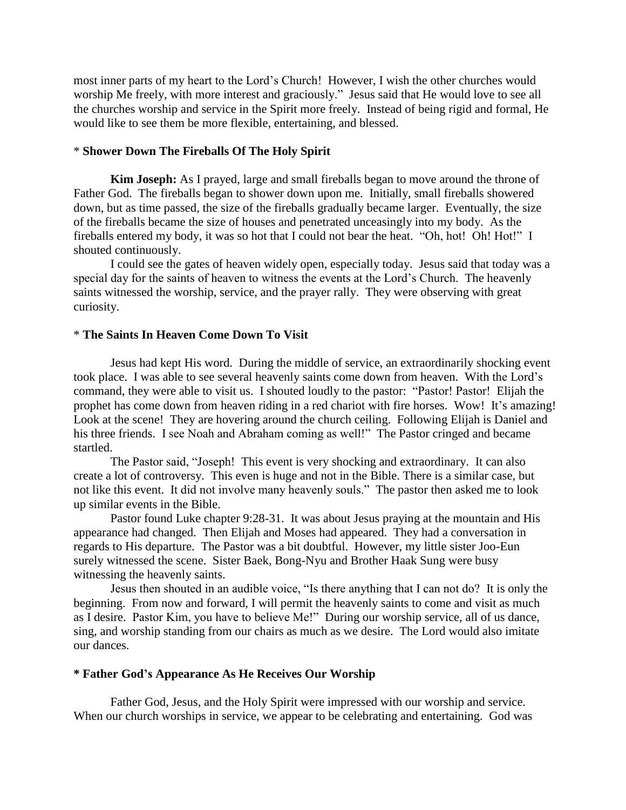most inner parts of my heart to the Lord"s Church! However, I wish the other churches would worship Me freely, with more interest and graciously." Jesus said that He would love to see all the churches worship and service in the Spirit more freely. Instead of being rigid and formal, He would like to see them be more flexible, entertaining, and blessed.

# \* **Shower Down The Fireballs Of The Holy Spirit**

**Kim Joseph:** As I prayed, large and small fireballs began to move around the throne of Father God. The fireballs began to shower down upon me. Initially, small fireballs showered down, but as time passed, the size of the fireballs gradually became larger. Eventually, the size of the fireballs became the size of houses and penetrated unceasingly into my body. As the fireballs entered my body, it was so hot that I could not bear the heat. "Oh, hot! Oh! Hot!" I shouted continuously.

I could see the gates of heaven widely open, especially today. Jesus said that today was a special day for the saints of heaven to witness the events at the Lord"s Church. The heavenly saints witnessed the worship, service, and the prayer rally. They were observing with great curiosity.

#### \* **The Saints In Heaven Come Down To Visit**

Jesus had kept His word. During the middle of service, an extraordinarily shocking event took place. I was able to see several heavenly saints come down from heaven. With the Lord"s command, they were able to visit us. I shouted loudly to the pastor: "Pastor! Pastor! Elijah the prophet has come down from heaven riding in a red chariot with fire horses. Wow! It's amazing! Look at the scene! They are hovering around the church ceiling. Following Elijah is Daniel and his three friends. I see Noah and Abraham coming as well!" The Pastor cringed and became startled.

The Pastor said, "Joseph! This event is very shocking and extraordinary. It can also create a lot of controversy. This even is huge and not in the Bible. There is a similar case, but not like this event. It did not involve many heavenly souls." The pastor then asked me to look up similar events in the Bible.

Pastor found Luke chapter 9:28-31. It was about Jesus praying at the mountain and His appearance had changed. Then Elijah and Moses had appeared. They had a conversation in regards to His departure. The Pastor was a bit doubtful. However, my little sister Joo-Eun surely witnessed the scene. Sister Baek, Bong-Nyu and Brother Haak Sung were busy witnessing the heavenly saints.

Jesus then shouted in an audible voice, "Is there anything that I can not do? It is only the beginning. From now and forward, I will permit the heavenly saints to come and visit as much as I desire. Pastor Kim, you have to believe Me!" During our worship service, all of us dance, sing, and worship standing from our chairs as much as we desire. The Lord would also imitate our dances.

#### **\* Father God's Appearance As He Receives Our Worship**

Father God, Jesus, and the Holy Spirit were impressed with our worship and service. When our church worships in service, we appear to be celebrating and entertaining. God was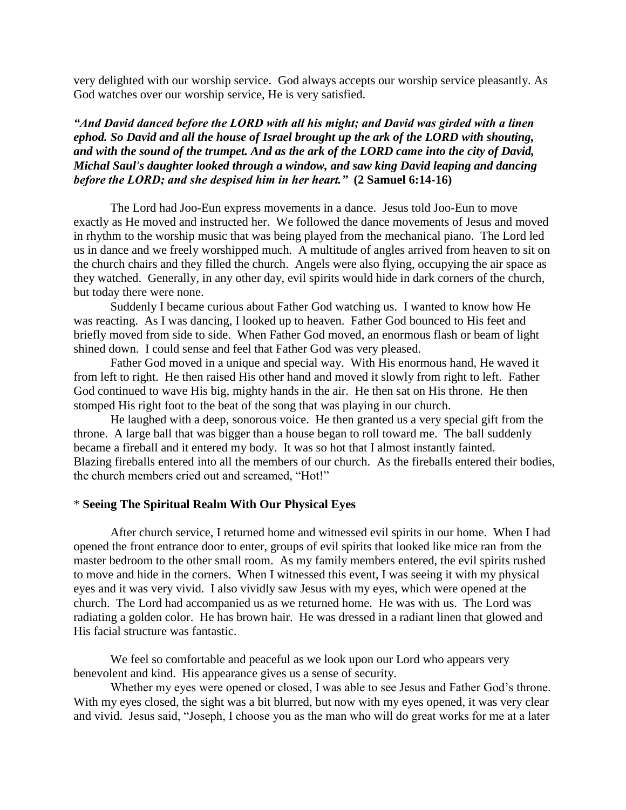very delighted with our worship service. God always accepts our worship service pleasantly. As God watches over our worship service, He is very satisfied.

*"And David danced before the LORD with all his might; and David was girded with a linen ephod. So David and all the house of Israel brought up the ark of the LORD with shouting, and with the sound of the trumpet. And as the ark of the LORD came into the city of David, Michal Saul's daughter looked through a window, and saw king David leaping and dancing before the LORD; and she despised him in her heart."* **(2 Samuel 6:14-16)**

The Lord had Joo-Eun express movements in a dance. Jesus told Joo-Eun to move exactly as He moved and instructed her. We followed the dance movements of Jesus and moved in rhythm to the worship music that was being played from the mechanical piano. The Lord led us in dance and we freely worshipped much. A multitude of angles arrived from heaven to sit on the church chairs and they filled the church. Angels were also flying, occupying the air space as they watched. Generally, in any other day, evil spirits would hide in dark corners of the church, but today there were none.

Suddenly I became curious about Father God watching us. I wanted to know how He was reacting. As I was dancing, I looked up to heaven. Father God bounced to His feet and briefly moved from side to side. When Father God moved, an enormous flash or beam of light shined down. I could sense and feel that Father God was very pleased.

Father God moved in a unique and special way. With His enormous hand, He waved it from left to right. He then raised His other hand and moved it slowly from right to left. Father God continued to wave His big, mighty hands in the air. He then sat on His throne. He then stomped His right foot to the beat of the song that was playing in our church.

He laughed with a deep, sonorous voice. He then granted us a very special gift from the throne. A large ball that was bigger than a house began to roll toward me. The ball suddenly became a fireball and it entered my body. It was so hot that I almost instantly fainted. Blazing fireballs entered into all the members of our church. As the fireballs entered their bodies, the church members cried out and screamed, "Hot!"

### \* **Seeing The Spiritual Realm With Our Physical Eyes**

After church service, I returned home and witnessed evil spirits in our home. When I had opened the front entrance door to enter, groups of evil spirits that looked like mice ran from the master bedroom to the other small room. As my family members entered, the evil spirits rushed to move and hide in the corners. When I witnessed this event, I was seeing it with my physical eyes and it was very vivid. I also vividly saw Jesus with my eyes, which were opened at the church. The Lord had accompanied us as we returned home. He was with us. The Lord was radiating a golden color. He has brown hair. He was dressed in a radiant linen that glowed and His facial structure was fantastic.

We feel so comfortable and peaceful as we look upon our Lord who appears very benevolent and kind. His appearance gives us a sense of security.

Whether my eyes were opened or closed, I was able to see Jesus and Father God's throne. With my eyes closed, the sight was a bit blurred, but now with my eyes opened, it was very clear and vivid. Jesus said, "Joseph, I choose you as the man who will do great works for me at a later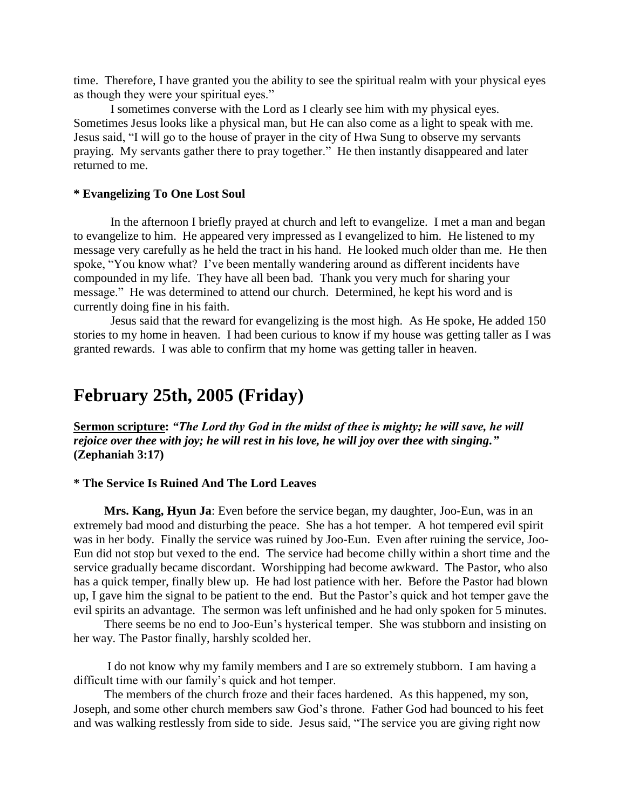time. Therefore, I have granted you the ability to see the spiritual realm with your physical eyes as though they were your spiritual eyes."

I sometimes converse with the Lord as I clearly see him with my physical eyes. Sometimes Jesus looks like a physical man, but He can also come as a light to speak with me. Jesus said, "I will go to the house of prayer in the city of Hwa Sung to observe my servants praying. My servants gather there to pray together." He then instantly disappeared and later returned to me.

# **\* Evangelizing To One Lost Soul**

In the afternoon I briefly prayed at church and left to evangelize. I met a man and began to evangelize to him. He appeared very impressed as I evangelized to him. He listened to my message very carefully as he held the tract in his hand. He looked much older than me. He then spoke, "You know what? I've been mentally wandering around as different incidents have compounded in my life. They have all been bad. Thank you very much for sharing your message." He was determined to attend our church. Determined, he kept his word and is currently doing fine in his faith.

Jesus said that the reward for evangelizing is the most high. As He spoke, He added 150 stories to my home in heaven. I had been curious to know if my house was getting taller as I was granted rewards. I was able to confirm that my home was getting taller in heaven.

# **February 25th, 2005 (Friday)**

**Sermon scripture:** *"The Lord thy God in the midst of thee is mighty; he will save, he will rejoice over thee with joy; he will rest in his love, he will joy over thee with singing."* **(Zephaniah 3:17)**

# **\* The Service Is Ruined And The Lord Leaves**

 **Mrs. Kang, Hyun Ja**: Even before the service began, my daughter, Joo-Eun, was in an extremely bad mood and disturbing the peace. She has a hot temper. A hot tempered evil spirit was in her body. Finally the service was ruined by Joo-Eun. Even after ruining the service, Joo-Eun did not stop but vexed to the end. The service had become chilly within a short time and the service gradually became discordant. Worshipping had become awkward. The Pastor, who also has a quick temper, finally blew up. He had lost patience with her. Before the Pastor had blown up, I gave him the signal to be patient to the end. But the Pastor"s quick and hot temper gave the evil spirits an advantage. The sermon was left unfinished and he had only spoken for 5 minutes.

 There seems be no end to Joo-Eun"s hysterical temper. She was stubborn and insisting on her way. The Pastor finally, harshly scolded her.

 I do not know why my family members and I are so extremely stubborn. I am having a difficult time with our family"s quick and hot temper.

 The members of the church froze and their faces hardened. As this happened, my son, Joseph, and some other church members saw God"s throne. Father God had bounced to his feet and was walking restlessly from side to side. Jesus said, "The service you are giving right now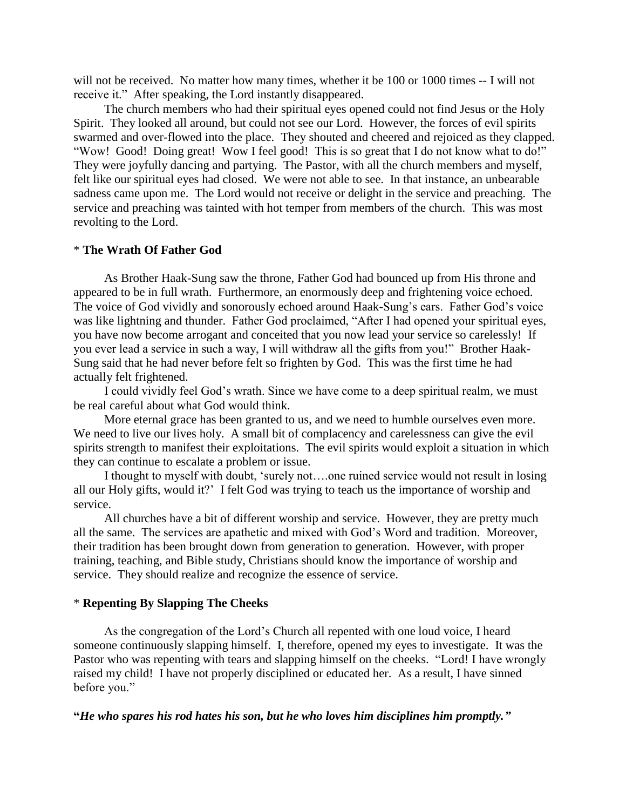will not be received. No matter how many times, whether it be 100 or 1000 times  $-$  I will not receive it." After speaking, the Lord instantly disappeared.

 The church members who had their spiritual eyes opened could not find Jesus or the Holy Spirit. They looked all around, but could not see our Lord. However, the forces of evil spirits swarmed and over-flowed into the place. They shouted and cheered and rejoiced as they clapped. "Wow! Good! Doing great! Wow I feel good! This is so great that I do not know what to do!" They were joyfully dancing and partying. The Pastor, with all the church members and myself, felt like our spiritual eyes had closed. We were not able to see. In that instance, an unbearable sadness came upon me. The Lord would not receive or delight in the service and preaching. The service and preaching was tainted with hot temper from members of the church. This was most revolting to the Lord.

### \* **The Wrath Of Father God**

 As Brother Haak-Sung saw the throne, Father God had bounced up from His throne and appeared to be in full wrath. Furthermore, an enormously deep and frightening voice echoed. The voice of God vividly and sonorously echoed around Haak-Sung"s ears. Father God"s voice was like lightning and thunder. Father God proclaimed, "After I had opened your spiritual eyes, you have now become arrogant and conceited that you now lead your service so carelessly! If you ever lead a service in such a way, I will withdraw all the gifts from you!" Brother Haak-Sung said that he had never before felt so frighten by God. This was the first time he had actually felt frightened.

 I could vividly feel God"s wrath. Since we have come to a deep spiritual realm, we must be real careful about what God would think.

 More eternal grace has been granted to us, and we need to humble ourselves even more. We need to live our lives holy. A small bit of complacency and carelessness can give the evil spirits strength to manifest their exploitations. The evil spirits would exploit a situation in which they can continue to escalate a problem or issue.

 I thought to myself with doubt, "surely not….one ruined service would not result in losing all our Holy gifts, would it?" I felt God was trying to teach us the importance of worship and service.

 All churches have a bit of different worship and service. However, they are pretty much all the same. The services are apathetic and mixed with God"s Word and tradition. Moreover, their tradition has been brought down from generation to generation. However, with proper training, teaching, and Bible study, Christians should know the importance of worship and service. They should realize and recognize the essence of service.

### \* **Repenting By Slapping The Cheeks**

 As the congregation of the Lord"s Church all repented with one loud voice, I heard someone continuously slapping himself. I, therefore, opened my eyes to investigate. It was the Pastor who was repenting with tears and slapping himself on the cheeks. "Lord! I have wrongly raised my child! I have not properly disciplined or educated her. As a result, I have sinned before you."

**"***He who spares his rod hates his son, but he who loves him disciplines him promptly."*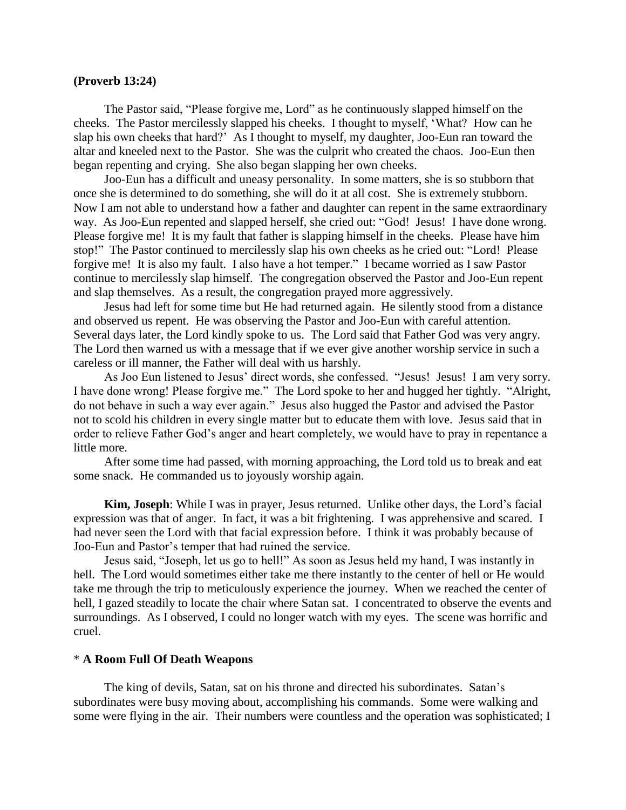#### **(Proverb 13:24)**

 The Pastor said, "Please forgive me, Lord" as he continuously slapped himself on the cheeks. The Pastor mercilessly slapped his cheeks. I thought to myself, "What? How can he slap his own cheeks that hard?" As I thought to myself, my daughter, Joo-Eun ran toward the altar and kneeled next to the Pastor. She was the culprit who created the chaos. Joo-Eun then began repenting and crying. She also began slapping her own cheeks.

 Joo-Eun has a difficult and uneasy personality. In some matters, she is so stubborn that once she is determined to do something, she will do it at all cost. She is extremely stubborn. Now I am not able to understand how a father and daughter can repent in the same extraordinary way. As Joo-Eun repented and slapped herself, she cried out: "God! Jesus! I have done wrong. Please forgive me! It is my fault that father is slapping himself in the cheeks. Please have him stop!" The Pastor continued to mercilessly slap his own cheeks as he cried out: "Lord! Please forgive me! It is also my fault. I also have a hot temper." I became worried as I saw Pastor continue to mercilessly slap himself. The congregation observed the Pastor and Joo-Eun repent and slap themselves. As a result, the congregation prayed more aggressively.

 Jesus had left for some time but He had returned again. He silently stood from a distance and observed us repent. He was observing the Pastor and Joo-Eun with careful attention. Several days later, the Lord kindly spoke to us. The Lord said that Father God was very angry. The Lord then warned us with a message that if we ever give another worship service in such a careless or ill manner, the Father will deal with us harshly.

 As Joo Eun listened to Jesus" direct words, she confessed. "Jesus! Jesus! I am very sorry. I have done wrong! Please forgive me." The Lord spoke to her and hugged her tightly. "Alright, do not behave in such a way ever again." Jesus also hugged the Pastor and advised the Pastor not to scold his children in every single matter but to educate them with love. Jesus said that in order to relieve Father God"s anger and heart completely, we would have to pray in repentance a little more.

 After some time had passed, with morning approaching, the Lord told us to break and eat some snack. He commanded us to joyously worship again.

 **Kim, Joseph**: While I was in prayer, Jesus returned. Unlike other days, the Lord"s facial expression was that of anger. In fact, it was a bit frightening. I was apprehensive and scared. I had never seen the Lord with that facial expression before. I think it was probably because of Joo-Eun and Pastor"s temper that had ruined the service.

 Jesus said, "Joseph, let us go to hell!" As soon as Jesus held my hand, I was instantly in hell. The Lord would sometimes either take me there instantly to the center of hell or He would take me through the trip to meticulously experience the journey. When we reached the center of hell, I gazed steadily to locate the chair where Satan sat. I concentrated to observe the events and surroundings. As I observed, I could no longer watch with my eyes. The scene was horrific and cruel.

#### \* **A Room Full Of Death Weapons**

 The king of devils, Satan, sat on his throne and directed his subordinates. Satan"s subordinates were busy moving about, accomplishing his commands. Some were walking and some were flying in the air. Their numbers were countless and the operation was sophisticated; I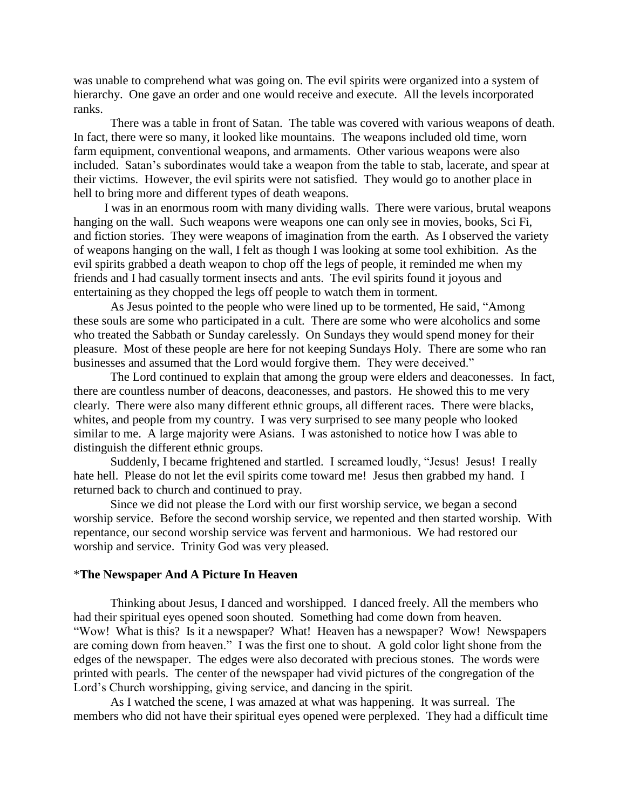was unable to comprehend what was going on. The evil spirits were organized into a system of hierarchy. One gave an order and one would receive and execute. All the levels incorporated ranks.

 There was a table in front of Satan. The table was covered with various weapons of death. In fact, there were so many, it looked like mountains. The weapons included old time, worn farm equipment, conventional weapons, and armaments. Other various weapons were also included. Satan"s subordinates would take a weapon from the table to stab, lacerate, and spear at their victims. However, the evil spirits were not satisfied. They would go to another place in hell to bring more and different types of death weapons.

 I was in an enormous room with many dividing walls. There were various, brutal weapons hanging on the wall. Such weapons were weapons one can only see in movies, books, Sci Fi, and fiction stories. They were weapons of imagination from the earth. As I observed the variety of weapons hanging on the wall, I felt as though I was looking at some tool exhibition. As the evil spirits grabbed a death weapon to chop off the legs of people, it reminded me when my friends and I had casually torment insects and ants. The evil spirits found it joyous and entertaining as they chopped the legs off people to watch them in torment.

As Jesus pointed to the people who were lined up to be tormented, He said, "Among these souls are some who participated in a cult. There are some who were alcoholics and some who treated the Sabbath or Sunday carelessly. On Sundays they would spend money for their pleasure. Most of these people are here for not keeping Sundays Holy. There are some who ran businesses and assumed that the Lord would forgive them. They were deceived."

The Lord continued to explain that among the group were elders and deaconesses. In fact, there are countless number of deacons, deaconesses, and pastors. He showed this to me very clearly. There were also many different ethnic groups, all different races. There were blacks, whites, and people from my country. I was very surprised to see many people who looked similar to me. A large majority were Asians. I was astonished to notice how I was able to distinguish the different ethnic groups.

Suddenly, I became frightened and startled. I screamed loudly, "Jesus! Jesus! I really hate hell. Please do not let the evil spirits come toward me! Jesus then grabbed my hand. I returned back to church and continued to pray.

Since we did not please the Lord with our first worship service, we began a second worship service. Before the second worship service, we repented and then started worship. With repentance, our second worship service was fervent and harmonious. We had restored our worship and service. Trinity God was very pleased.

### \***The Newspaper And A Picture In Heaven**

Thinking about Jesus, I danced and worshipped. I danced freely. All the members who had their spiritual eyes opened soon shouted. Something had come down from heaven. "Wow! What is this? Is it a newspaper? What! Heaven has a newspaper? Wow! Newspapers are coming down from heaven." I was the first one to shout. A gold color light shone from the edges of the newspaper. The edges were also decorated with precious stones. The words were printed with pearls. The center of the newspaper had vivid pictures of the congregation of the Lord"s Church worshipping, giving service, and dancing in the spirit.

As I watched the scene, I was amazed at what was happening. It was surreal. The members who did not have their spiritual eyes opened were perplexed. They had a difficult time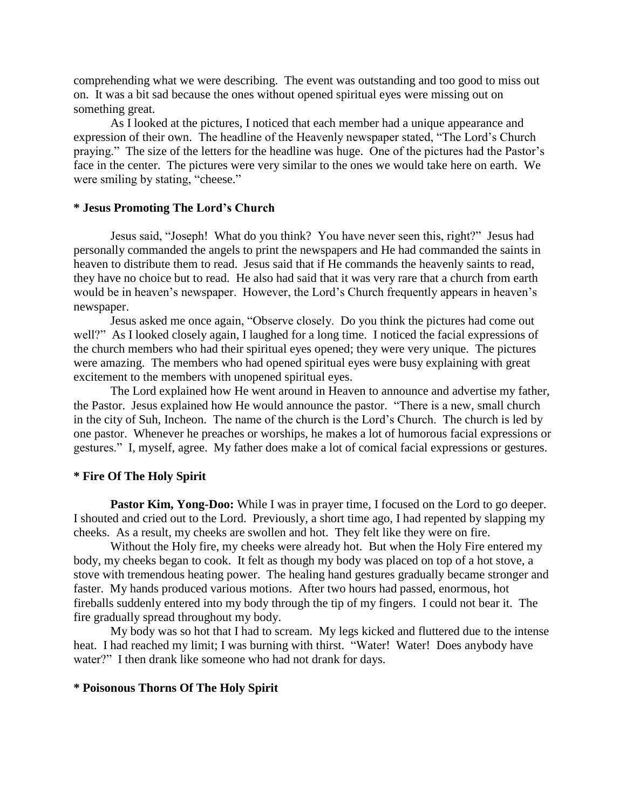comprehending what we were describing. The event was outstanding and too good to miss out on. It was a bit sad because the ones without opened spiritual eyes were missing out on something great.

As I looked at the pictures, I noticed that each member had a unique appearance and expression of their own. The headline of the Heavenly newspaper stated, "The Lord"s Church praying." The size of the letters for the headline was huge. One of the pictures had the Pastor's face in the center. The pictures were very similar to the ones we would take here on earth. We were smiling by stating, "cheese."

### **\* Jesus Promoting The Lord's Church**

Jesus said, "Joseph! What do you think? You have never seen this, right?" Jesus had personally commanded the angels to print the newspapers and He had commanded the saints in heaven to distribute them to read. Jesus said that if He commands the heavenly saints to read, they have no choice but to read. He also had said that it was very rare that a church from earth would be in heaven's newspaper. However, the Lord's Church frequently appears in heaven's newspaper.

Jesus asked me once again, "Observe closely. Do you think the pictures had come out well?" As I looked closely again, I laughed for a long time. I noticed the facial expressions of the church members who had their spiritual eyes opened; they were very unique. The pictures were amazing. The members who had opened spiritual eyes were busy explaining with great excitement to the members with unopened spiritual eyes.

The Lord explained how He went around in Heaven to announce and advertise my father, the Pastor. Jesus explained how He would announce the pastor. "There is a new, small church in the city of Suh, Incheon. The name of the church is the Lord"s Church. The church is led by one pastor. Whenever he preaches or worships, he makes a lot of humorous facial expressions or gestures." I, myself, agree. My father does make a lot of comical facial expressions or gestures.

#### **\* Fire Of The Holy Spirit**

Pastor Kim, Yong-Doo: While I was in prayer time, I focused on the Lord to go deeper. I shouted and cried out to the Lord. Previously, a short time ago, I had repented by slapping my cheeks. As a result, my cheeks are swollen and hot. They felt like they were on fire.

Without the Holy fire, my cheeks were already hot. But when the Holy Fire entered my body, my cheeks began to cook. It felt as though my body was placed on top of a hot stove, a stove with tremendous heating power. The healing hand gestures gradually became stronger and faster. My hands produced various motions. After two hours had passed, enormous, hot fireballs suddenly entered into my body through the tip of my fingers. I could not bear it. The fire gradually spread throughout my body.

My body was so hot that I had to scream. My legs kicked and fluttered due to the intense heat. I had reached my limit; I was burning with thirst. "Water! Water! Does anybody have water?" I then drank like someone who had not drank for days.

### **\* Poisonous Thorns Of The Holy Spirit**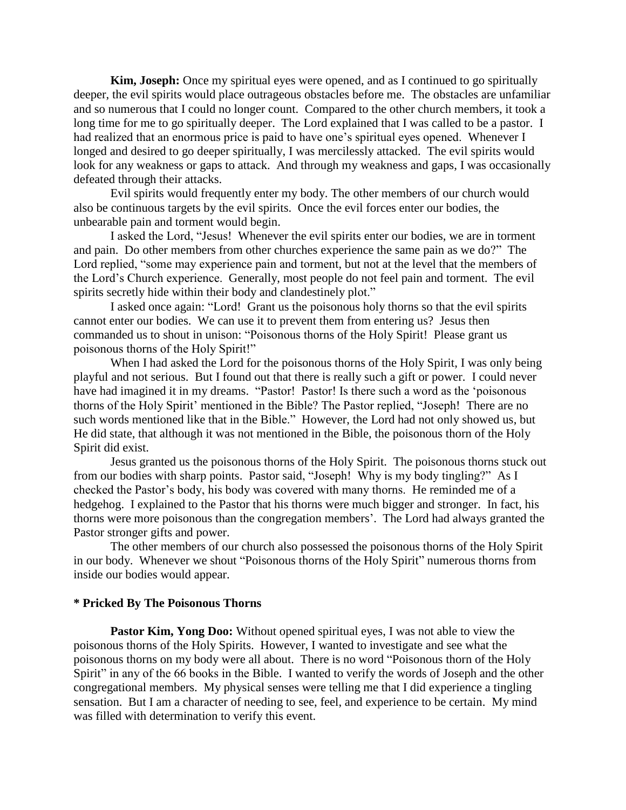**Kim, Joseph:** Once my spiritual eyes were opened, and as I continued to go spiritually deeper, the evil spirits would place outrageous obstacles before me. The obstacles are unfamiliar and so numerous that I could no longer count. Compared to the other church members, it took a long time for me to go spiritually deeper. The Lord explained that I was called to be a pastor. I had realized that an enormous price is paid to have one"s spiritual eyes opened. Whenever I longed and desired to go deeper spiritually, I was mercilessly attacked. The evil spirits would look for any weakness or gaps to attack. And through my weakness and gaps, I was occasionally defeated through their attacks.

Evil spirits would frequently enter my body. The other members of our church would also be continuous targets by the evil spirits. Once the evil forces enter our bodies, the unbearable pain and torment would begin.

I asked the Lord, "Jesus! Whenever the evil spirits enter our bodies, we are in torment and pain. Do other members from other churches experience the same pain as we do?" The Lord replied, "some may experience pain and torment, but not at the level that the members of the Lord"s Church experience. Generally, most people do not feel pain and torment. The evil spirits secretly hide within their body and clandestinely plot."

I asked once again: "Lord! Grant us the poisonous holy thorns so that the evil spirits cannot enter our bodies. We can use it to prevent them from entering us? Jesus then commanded us to shout in unison: "Poisonous thorns of the Holy Spirit! Please grant us poisonous thorns of the Holy Spirit!"

When I had asked the Lord for the poisonous thorns of the Holy Spirit, I was only being playful and not serious. But I found out that there is really such a gift or power. I could never have had imagined it in my dreams. "Pastor! Pastor! Is there such a word as the 'poisonous' thorns of the Holy Spirit" mentioned in the Bible? The Pastor replied, "Joseph! There are no such words mentioned like that in the Bible." However, the Lord had not only showed us, but He did state, that although it was not mentioned in the Bible, the poisonous thorn of the Holy Spirit did exist.

Jesus granted us the poisonous thorns of the Holy Spirit. The poisonous thorns stuck out from our bodies with sharp points. Pastor said, "Joseph! Why is my body tingling?" As I checked the Pastor"s body, his body was covered with many thorns. He reminded me of a hedgehog. I explained to the Pastor that his thorns were much bigger and stronger. In fact, his thorns were more poisonous than the congregation members". The Lord had always granted the Pastor stronger gifts and power.

The other members of our church also possessed the poisonous thorns of the Holy Spirit in our body. Whenever we shout "Poisonous thorns of the Holy Spirit" numerous thorns from inside our bodies would appear.

### **\* Pricked By The Poisonous Thorns**

**Pastor Kim, Yong Doo:** Without opened spiritual eyes, I was not able to view the poisonous thorns of the Holy Spirits. However, I wanted to investigate and see what the poisonous thorns on my body were all about. There is no word "Poisonous thorn of the Holy Spirit" in any of the 66 books in the Bible. I wanted to verify the words of Joseph and the other congregational members. My physical senses were telling me that I did experience a tingling sensation. But I am a character of needing to see, feel, and experience to be certain. My mind was filled with determination to verify this event.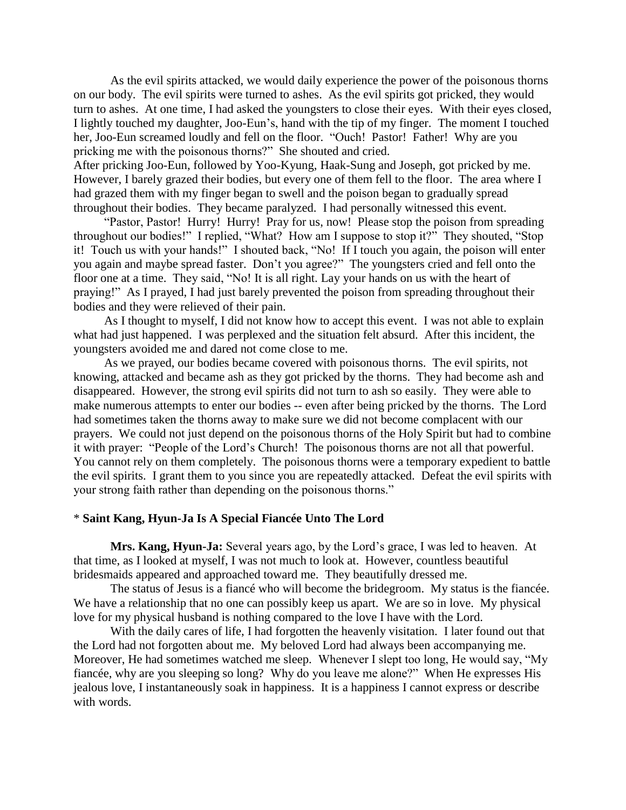As the evil spirits attacked, we would daily experience the power of the poisonous thorns on our body. The evil spirits were turned to ashes. As the evil spirits got pricked, they would turn to ashes. At one time, I had asked the youngsters to close their eyes. With their eyes closed, I lightly touched my daughter, Joo-Eun"s, hand with the tip of my finger. The moment I touched her, Joo-Eun screamed loudly and fell on the floor. "Ouch! Pastor! Father! Why are you pricking me with the poisonous thorns?" She shouted and cried.

After pricking Joo-Eun, followed by Yoo-Kyung, Haak-Sung and Joseph, got pricked by me. However, I barely grazed their bodies, but every one of them fell to the floor. The area where I had grazed them with my finger began to swell and the poison began to gradually spread throughout their bodies. They became paralyzed. I had personally witnessed this event.

 "Pastor, Pastor! Hurry! Hurry! Pray for us, now! Please stop the poison from spreading throughout our bodies!" I replied, "What? How am I suppose to stop it?" They shouted, "Stop it! Touch us with your hands!" I shouted back, "No! If I touch you again, the poison will enter you again and maybe spread faster. Don"t you agree?" The youngsters cried and fell onto the floor one at a time. They said, "No! It is all right. Lay your hands on us with the heart of praying!" As I prayed, I had just barely prevented the poison from spreading throughout their bodies and they were relieved of their pain.

 As I thought to myself, I did not know how to accept this event. I was not able to explain what had just happened. I was perplexed and the situation felt absurd. After this incident, the youngsters avoided me and dared not come close to me.

 As we prayed, our bodies became covered with poisonous thorns. The evil spirits, not knowing, attacked and became ash as they got pricked by the thorns. They had become ash and disappeared. However, the strong evil spirits did not turn to ash so easily. They were able to make numerous attempts to enter our bodies -- even after being pricked by the thorns. The Lord had sometimes taken the thorns away to make sure we did not become complacent with our prayers. We could not just depend on the poisonous thorns of the Holy Spirit but had to combine it with prayer: "People of the Lord"s Church! The poisonous thorns are not all that powerful. You cannot rely on them completely. The poisonous thorns were a temporary expedient to battle the evil spirits. I grant them to you since you are repeatedly attacked. Defeat the evil spirits with your strong faith rather than depending on the poisonous thorns."

## \* **Saint Kang, Hyun-Ja Is A Special Fiancée Unto The Lord**

**Mrs. Kang, Hyun-Ja:** Several years ago, by the Lord"s grace, I was led to heaven. At that time, as I looked at myself, I was not much to look at. However, countless beautiful bridesmaids appeared and approached toward me. They beautifully dressed me.

The status of Jesus is a fiancé who will become the bridegroom. My status is the fiancée. We have a relationship that no one can possibly keep us apart. We are so in love. My physical love for my physical husband is nothing compared to the love I have with the Lord.

With the daily cares of life, I had forgotten the heavenly visitation. I later found out that the Lord had not forgotten about me. My beloved Lord had always been accompanying me. Moreover, He had sometimes watched me sleep. Whenever I slept too long, He would say, "My fiancée, why are you sleeping so long? Why do you leave me alone?" When He expresses His jealous love, I instantaneously soak in happiness. It is a happiness I cannot express or describe with words.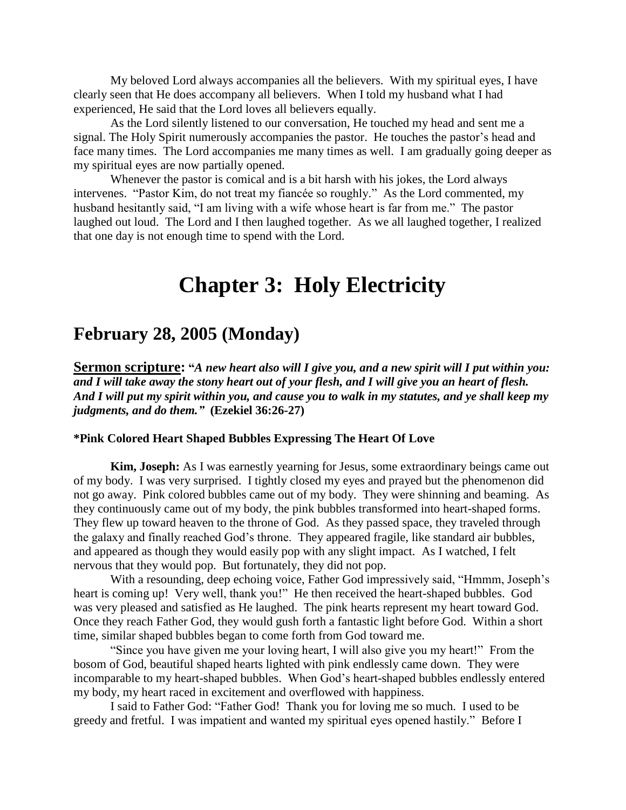My beloved Lord always accompanies all the believers. With my spiritual eyes, I have clearly seen that He does accompany all believers. When I told my husband what I had experienced, He said that the Lord loves all believers equally.

As the Lord silently listened to our conversation, He touched my head and sent me a signal. The Holy Spirit numerously accompanies the pastor. He touches the pastor's head and face many times. The Lord accompanies me many times as well. I am gradually going deeper as my spiritual eyes are now partially opened.

Whenever the pastor is comical and is a bit harsh with his jokes, the Lord always intervenes. "Pastor Kim, do not treat my fiancée so roughly." As the Lord commented, my husband hesitantly said, "I am living with a wife whose heart is far from me." The pastor laughed out loud. The Lord and I then laughed together. As we all laughed together, I realized that one day is not enough time to spend with the Lord.

# **Chapter 3: Holy Electricity**

# **February 28, 2005 (Monday)**

**Sermon scripture: "***A new heart also will I give you, and a new spirit will I put within you: and I will take away the stony heart out of your flesh, and I will give you an heart of flesh. And I will put my spirit within you, and cause you to walk in my statutes, and ye shall keep my judgments, and do them."* **(Ezekiel 36:26-27)**

# **\*Pink Colored Heart Shaped Bubbles Expressing The Heart Of Love**

**Kim, Joseph:** As I was earnestly yearning for Jesus, some extraordinary beings came out of my body. I was very surprised. I tightly closed my eyes and prayed but the phenomenon did not go away. Pink colored bubbles came out of my body. They were shinning and beaming. As they continuously came out of my body, the pink bubbles transformed into heart-shaped forms. They flew up toward heaven to the throne of God. As they passed space, they traveled through the galaxy and finally reached God"s throne. They appeared fragile, like standard air bubbles, and appeared as though they would easily pop with any slight impact. As I watched, I felt nervous that they would pop. But fortunately, they did not pop.

With a resounding, deep echoing voice, Father God impressively said, "Hmmm, Joseph's heart is coming up! Very well, thank you!" He then received the heart-shaped bubbles. God was very pleased and satisfied as He laughed. The pink hearts represent my heart toward God. Once they reach Father God, they would gush forth a fantastic light before God. Within a short time, similar shaped bubbles began to come forth from God toward me.

"Since you have given me your loving heart, I will also give you my heart!" From the bosom of God, beautiful shaped hearts lighted with pink endlessly came down. They were incomparable to my heart-shaped bubbles. When God"s heart-shaped bubbles endlessly entered my body, my heart raced in excitement and overflowed with happiness.

I said to Father God: "Father God! Thank you for loving me so much. I used to be greedy and fretful. I was impatient and wanted my spiritual eyes opened hastily." Before I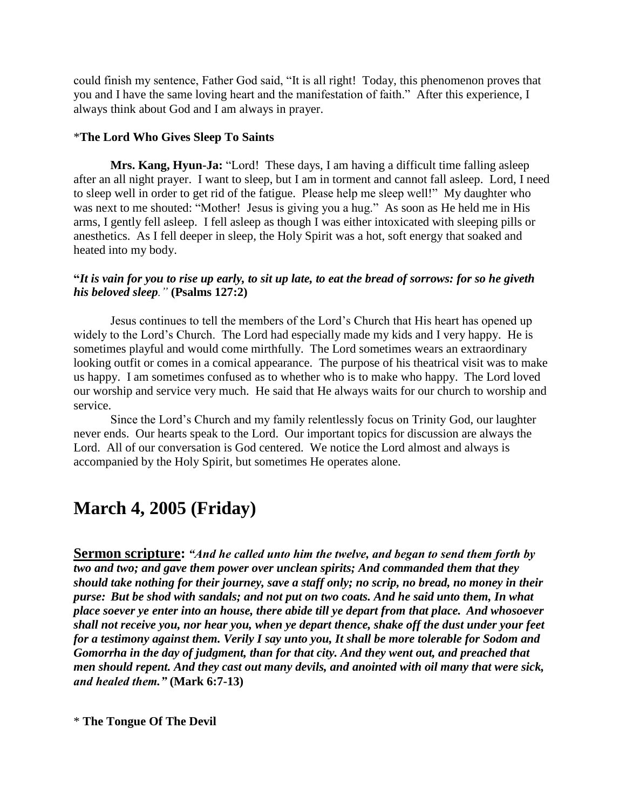could finish my sentence, Father God said, "It is all right! Today, this phenomenon proves that you and I have the same loving heart and the manifestation of faith." After this experience, I always think about God and I am always in prayer.

# \***The Lord Who Gives Sleep To Saints**

**Mrs. Kang, Hyun-Ja:** "Lord! These days, I am having a difficult time falling asleep after an all night prayer. I want to sleep, but I am in torment and cannot fall asleep. Lord, I need to sleep well in order to get rid of the fatigue. Please help me sleep well!" My daughter who was next to me shouted: "Mother! Jesus is giving you a hug." As soon as He held me in His arms, I gently fell asleep. I fell asleep as though I was either intoxicated with sleeping pills or anesthetics. As I fell deeper in sleep, the Holy Spirit was a hot, soft energy that soaked and heated into my body.

# **"***It is vain for you to rise up early, to sit up late, to eat the bread of sorrows: for so he giveth his beloved sleep."* **(Psalms 127:2)**

Jesus continues to tell the members of the Lord"s Church that His heart has opened up widely to the Lord"s Church. The Lord had especially made my kids and I very happy. He is sometimes playful and would come mirthfully. The Lord sometimes wears an extraordinary looking outfit or comes in a comical appearance. The purpose of his theatrical visit was to make us happy. I am sometimes confused as to whether who is to make who happy. The Lord loved our worship and service very much. He said that He always waits for our church to worship and service.

Since the Lord"s Church and my family relentlessly focus on Trinity God, our laughter never ends. Our hearts speak to the Lord. Our important topics for discussion are always the Lord. All of our conversation is God centered. We notice the Lord almost and always is accompanied by the Holy Spirit, but sometimes He operates alone.

# **March 4, 2005 (Friday)**

**Sermon scripture:** *"And he called unto him the twelve, and began to send them forth by two and two; and gave them power over unclean spirits; And commanded them that they should take nothing for their journey, save a staff only; no scrip, no bread, no money in their purse: But be shod with sandals; and not put on two coats. And he said unto them, In what place soever ye enter into an house, there abide till ye depart from that place. And whosoever shall not receive you, nor hear you, when ye depart thence, shake off the dust under your feet for a testimony against them. Verily I say unto you, It shall be more tolerable for Sodom and Gomorrha in the day of judgment, than for that city. And they went out, and preached that men should repent. And they cast out many devils, and anointed with oil many that were sick, and healed them."* **(Mark 6:7-13)**

\* **The Tongue Of The Devil**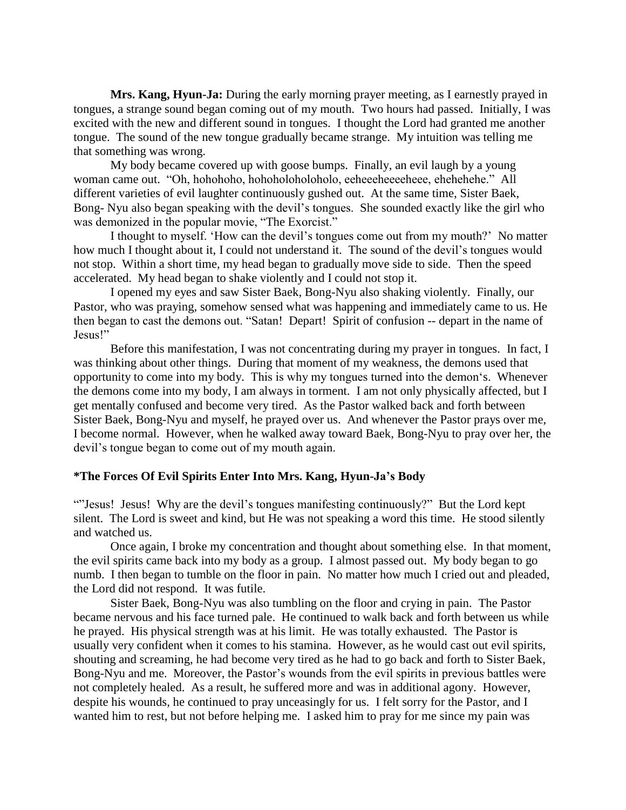**Mrs. Kang, Hyun-Ja:** During the early morning prayer meeting, as I earnestly prayed in tongues, a strange sound began coming out of my mouth. Two hours had passed. Initially, I was excited with the new and different sound in tongues. I thought the Lord had granted me another tongue. The sound of the new tongue gradually became strange. My intuition was telling me that something was wrong.

My body became covered up with goose bumps. Finally, an evil laugh by a young woman came out. "Oh, hohohoho, hohoholoholoholo, eeheeeheeeeheee, ehehehehe." All different varieties of evil laughter continuously gushed out. At the same time, Sister Baek, Bong- Nyu also began speaking with the devil"s tongues. She sounded exactly like the girl who was demonized in the popular movie, "The Exorcist."

I thought to myself. "How can the devil"s tongues come out from my mouth?" No matter how much I thought about it, I could not understand it. The sound of the devil's tongues would not stop. Within a short time, my head began to gradually move side to side. Then the speed accelerated. My head began to shake violently and I could not stop it.

I opened my eyes and saw Sister Baek, Bong-Nyu also shaking violently. Finally, our Pastor, who was praying, somehow sensed what was happening and immediately came to us. He then began to cast the demons out. "Satan! Depart! Spirit of confusion -- depart in the name of Jesus!"

Before this manifestation, I was not concentrating during my prayer in tongues. In fact, I was thinking about other things. During that moment of my weakness, the demons used that opportunity to come into my body. This is why my tongues turned into the demon"s. Whenever the demons come into my body, I am always in torment. I am not only physically affected, but I get mentally confused and become very tired. As the Pastor walked back and forth between Sister Baek, Bong-Nyu and myself, he prayed over us. And whenever the Pastor prays over me, I become normal. However, when he walked away toward Baek, Bong-Nyu to pray over her, the devil"s tongue began to come out of my mouth again.

### **\*The Forces Of Evil Spirits Enter Into Mrs. Kang, Hyun-Ja's Body**

""Jesus! Jesus! Why are the devil"s tongues manifesting continuously?" But the Lord kept silent. The Lord is sweet and kind, but He was not speaking a word this time. He stood silently and watched us.

Once again, I broke my concentration and thought about something else. In that moment, the evil spirits came back into my body as a group. I almost passed out. My body began to go numb. I then began to tumble on the floor in pain. No matter how much I cried out and pleaded, the Lord did not respond. It was futile.

Sister Baek, Bong-Nyu was also tumbling on the floor and crying in pain. The Pastor became nervous and his face turned pale. He continued to walk back and forth between us while he prayed. His physical strength was at his limit. He was totally exhausted. The Pastor is usually very confident when it comes to his stamina. However, as he would cast out evil spirits, shouting and screaming, he had become very tired as he had to go back and forth to Sister Baek, Bong-Nyu and me. Moreover, the Pastor's wounds from the evil spirits in previous battles were not completely healed. As a result, he suffered more and was in additional agony. However, despite his wounds, he continued to pray unceasingly for us. I felt sorry for the Pastor, and I wanted him to rest, but not before helping me. I asked him to pray for me since my pain was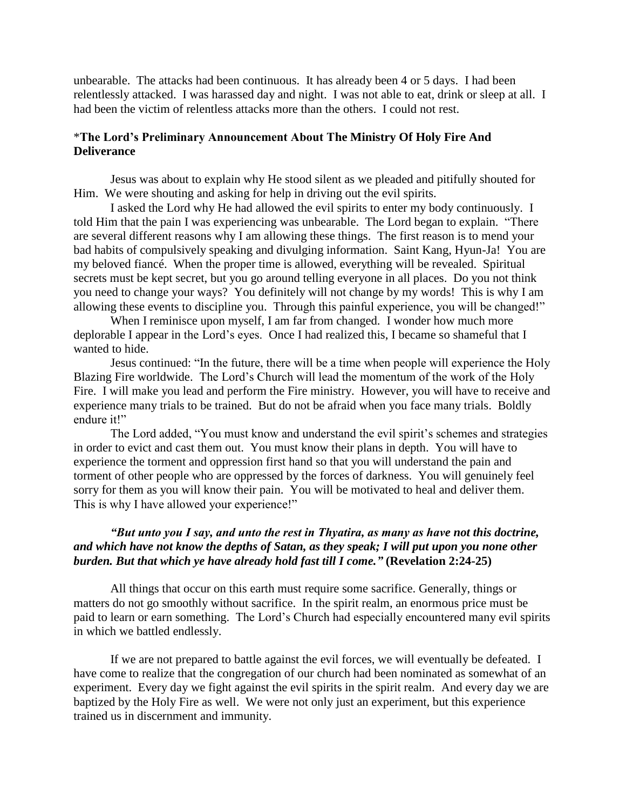unbearable. The attacks had been continuous. It has already been 4 or 5 days. I had been relentlessly attacked. I was harassed day and night. I was not able to eat, drink or sleep at all. I had been the victim of relentless attacks more than the others. I could not rest.

# \***The Lord's Preliminary Announcement About The Ministry Of Holy Fire And Deliverance**

Jesus was about to explain why He stood silent as we pleaded and pitifully shouted for Him. We were shouting and asking for help in driving out the evil spirits.

I asked the Lord why He had allowed the evil spirits to enter my body continuously. I told Him that the pain I was experiencing was unbearable. The Lord began to explain. "There are several different reasons why I am allowing these things. The first reason is to mend your bad habits of compulsively speaking and divulging information. Saint Kang, Hyun-Ja! You are my beloved fiancé. When the proper time is allowed, everything will be revealed. Spiritual secrets must be kept secret, but you go around telling everyone in all places. Do you not think you need to change your ways? You definitely will not change by my words! This is why I am allowing these events to discipline you. Through this painful experience, you will be changed!"

When I reminisce upon myself, I am far from changed. I wonder how much more deplorable I appear in the Lord"s eyes. Once I had realized this, I became so shameful that I wanted to hide.

Jesus continued: "In the future, there will be a time when people will experience the Holy Blazing Fire worldwide. The Lord"s Church will lead the momentum of the work of the Holy Fire. I will make you lead and perform the Fire ministry. However, you will have to receive and experience many trials to be trained. But do not be afraid when you face many trials. Boldly endure it!"

The Lord added, "You must know and understand the evil spirit's schemes and strategies in order to evict and cast them out. You must know their plans in depth. You will have to experience the torment and oppression first hand so that you will understand the pain and torment of other people who are oppressed by the forces of darkness. You will genuinely feel sorry for them as you will know their pain. You will be motivated to heal and deliver them. This is why I have allowed your experience!"

# *"But unto you I say, and unto the rest in Thyatira, as many as have not this doctrine, and which have not know the depths of Satan, as they speak; I will put upon you none other burden. But that which ye have already hold fast till I come."* **(Revelation 2:24-25)**

All things that occur on this earth must require some sacrifice. Generally, things or matters do not go smoothly without sacrifice. In the spirit realm, an enormous price must be paid to learn or earn something. The Lord"s Church had especially encountered many evil spirits in which we battled endlessly.

If we are not prepared to battle against the evil forces, we will eventually be defeated. I have come to realize that the congregation of our church had been nominated as somewhat of an experiment. Every day we fight against the evil spirits in the spirit realm. And every day we are baptized by the Holy Fire as well. We were not only just an experiment, but this experience trained us in discernment and immunity.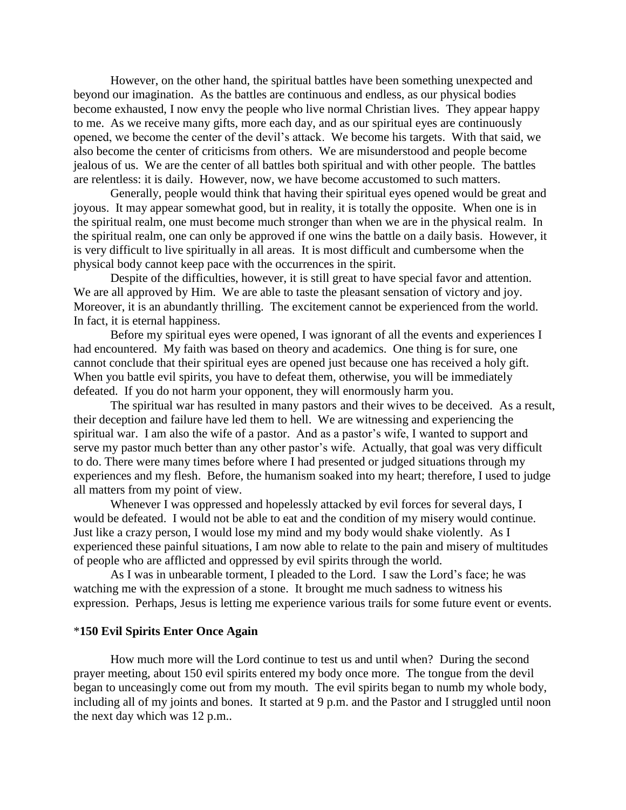However, on the other hand, the spiritual battles have been something unexpected and beyond our imagination. As the battles are continuous and endless, as our physical bodies become exhausted, I now envy the people who live normal Christian lives. They appear happy to me. As we receive many gifts, more each day, and as our spiritual eyes are continuously opened, we become the center of the devil"s attack. We become his targets. With that said, we also become the center of criticisms from others. We are misunderstood and people become jealous of us. We are the center of all battles both spiritual and with other people. The battles are relentless: it is daily. However, now, we have become accustomed to such matters.

Generally, people would think that having their spiritual eyes opened would be great and joyous. It may appear somewhat good, but in reality, it is totally the opposite. When one is in the spiritual realm, one must become much stronger than when we are in the physical realm. In the spiritual realm, one can only be approved if one wins the battle on a daily basis. However, it is very difficult to live spiritually in all areas. It is most difficult and cumbersome when the physical body cannot keep pace with the occurrences in the spirit.

Despite of the difficulties, however, it is still great to have special favor and attention. We are all approved by Him. We are able to taste the pleasant sensation of victory and joy. Moreover, it is an abundantly thrilling. The excitement cannot be experienced from the world. In fact, it is eternal happiness.

Before my spiritual eyes were opened, I was ignorant of all the events and experiences I had encountered. My faith was based on theory and academics. One thing is for sure, one cannot conclude that their spiritual eyes are opened just because one has received a holy gift. When you battle evil spirits, you have to defeat them, otherwise, you will be immediately defeated. If you do not harm your opponent, they will enormously harm you.

The spiritual war has resulted in many pastors and their wives to be deceived. As a result, their deception and failure have led them to hell. We are witnessing and experiencing the spiritual war. I am also the wife of a pastor. And as a pastor's wife, I wanted to support and serve my pastor much better than any other pastor's wife. Actually, that goal was very difficult to do. There were many times before where I had presented or judged situations through my experiences and my flesh. Before, the humanism soaked into my heart; therefore, I used to judge all matters from my point of view.

Whenever I was oppressed and hopelessly attacked by evil forces for several days, I would be defeated. I would not be able to eat and the condition of my misery would continue. Just like a crazy person, I would lose my mind and my body would shake violently. As I experienced these painful situations, I am now able to relate to the pain and misery of multitudes of people who are afflicted and oppressed by evil spirits through the world.

As I was in unbearable torment, I pleaded to the Lord. I saw the Lord"s face; he was watching me with the expression of a stone. It brought me much sadness to witness his expression. Perhaps, Jesus is letting me experience various trails for some future event or events.

#### \***150 Evil Spirits Enter Once Again**

How much more will the Lord continue to test us and until when? During the second prayer meeting, about 150 evil spirits entered my body once more. The tongue from the devil began to unceasingly come out from my mouth. The evil spirits began to numb my whole body, including all of my joints and bones. It started at 9 p.m. and the Pastor and I struggled until noon the next day which was 12 p.m..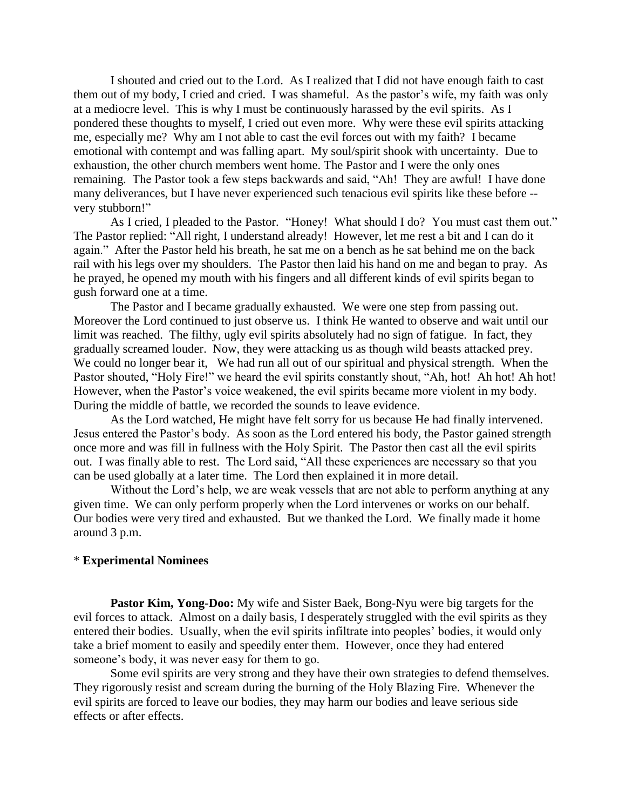I shouted and cried out to the Lord. As I realized that I did not have enough faith to cast them out of my body, I cried and cried. I was shameful. As the pastor's wife, my faith was only at a mediocre level. This is why I must be continuously harassed by the evil spirits. As I pondered these thoughts to myself, I cried out even more. Why were these evil spirits attacking me, especially me? Why am I not able to cast the evil forces out with my faith? I became emotional with contempt and was falling apart. My soul/spirit shook with uncertainty. Due to exhaustion, the other church members went home. The Pastor and I were the only ones remaining. The Pastor took a few steps backwards and said, "Ah! They are awful! I have done many deliverances, but I have never experienced such tenacious evil spirits like these before - very stubborn!"

As I cried, I pleaded to the Pastor. "Honey! What should I do? You must cast them out." The Pastor replied: "All right, I understand already! However, let me rest a bit and I can do it again." After the Pastor held his breath, he sat me on a bench as he sat behind me on the back rail with his legs over my shoulders. The Pastor then laid his hand on me and began to pray. As he prayed, he opened my mouth with his fingers and all different kinds of evil spirits began to gush forward one at a time.

The Pastor and I became gradually exhausted. We were one step from passing out. Moreover the Lord continued to just observe us. I think He wanted to observe and wait until our limit was reached. The filthy, ugly evil spirits absolutely had no sign of fatigue. In fact, they gradually screamed louder. Now, they were attacking us as though wild beasts attacked prey. We could no longer bear it, We had run all out of our spiritual and physical strength. When the Pastor shouted, "Holy Fire!" we heard the evil spirits constantly shout, "Ah, hot! Ah hot! Ah hot! However, when the Pastor's voice weakened, the evil spirits became more violent in my body. During the middle of battle, we recorded the sounds to leave evidence.

As the Lord watched, He might have felt sorry for us because He had finally intervened. Jesus entered the Pastor"s body. As soon as the Lord entered his body, the Pastor gained strength once more and was fill in fullness with the Holy Spirit. The Pastor then cast all the evil spirits out. I was finally able to rest. The Lord said, "All these experiences are necessary so that you can be used globally at a later time. The Lord then explained it in more detail.

Without the Lord's help, we are weak vessels that are not able to perform anything at any given time. We can only perform properly when the Lord intervenes or works on our behalf. Our bodies were very tired and exhausted. But we thanked the Lord. We finally made it home around 3 p.m.

### \* **Experimental Nominees**

**Pastor Kim, Yong-Doo:** My wife and Sister Baek, Bong-Nyu were big targets for the evil forces to attack. Almost on a daily basis, I desperately struggled with the evil spirits as they entered their bodies. Usually, when the evil spirits infiltrate into peoples" bodies, it would only take a brief moment to easily and speedily enter them. However, once they had entered someone's body, it was never easy for them to go.

Some evil spirits are very strong and they have their own strategies to defend themselves. They rigorously resist and scream during the burning of the Holy Blazing Fire. Whenever the evil spirits are forced to leave our bodies, they may harm our bodies and leave serious side effects or after effects.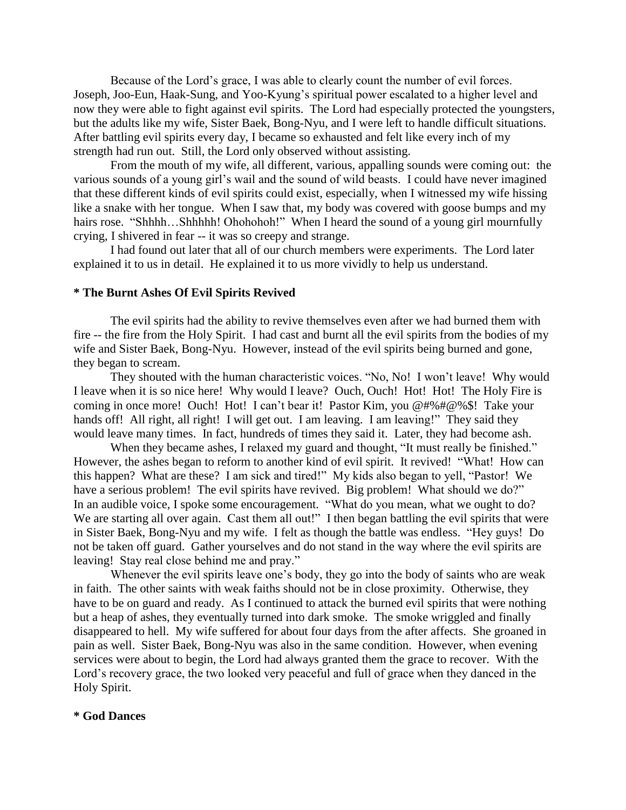Because of the Lord"s grace, I was able to clearly count the number of evil forces. Joseph, Joo-Eun, Haak-Sung, and Yoo-Kyung"s spiritual power escalated to a higher level and now they were able to fight against evil spirits. The Lord had especially protected the youngsters, but the adults like my wife, Sister Baek, Bong-Nyu, and I were left to handle difficult situations. After battling evil spirits every day, I became so exhausted and felt like every inch of my strength had run out. Still, the Lord only observed without assisting.

From the mouth of my wife, all different, various, appalling sounds were coming out: the various sounds of a young girl"s wail and the sound of wild beasts. I could have never imagined that these different kinds of evil spirits could exist, especially, when I witnessed my wife hissing like a snake with her tongue. When I saw that, my body was covered with goose bumps and my hairs rose. "Shhhh...Shhhhh! Ohohohoh!" When I heard the sound of a young girl mournfully crying, I shivered in fear -- it was so creepy and strange.

I had found out later that all of our church members were experiments. The Lord later explained it to us in detail. He explained it to us more vividly to help us understand.

### **\* The Burnt Ashes Of Evil Spirits Revived**

The evil spirits had the ability to revive themselves even after we had burned them with fire -- the fire from the Holy Spirit. I had cast and burnt all the evil spirits from the bodies of my wife and Sister Baek, Bong-Nyu. However, instead of the evil spirits being burned and gone, they began to scream.

They shouted with the human characteristic voices. "No, No! I won"t leave! Why would I leave when it is so nice here! Why would I leave? Ouch, Ouch! Hot! Hot! The Holy Fire is coming in once more! Ouch! Hot! I can"t bear it! Pastor Kim, you @#%#@%\$! Take your hands off! All right, all right! I will get out. I am leaving. I am leaving!" They said they would leave many times. In fact, hundreds of times they said it. Later, they had become ash.

When they became ashes, I relaxed my guard and thought, "It must really be finished." However, the ashes began to reform to another kind of evil spirit. It revived! "What! How can this happen? What are these? I am sick and tired!" My kids also began to yell, "Pastor! We have a serious problem! The evil spirits have revived. Big problem! What should we do?" In an audible voice, I spoke some encouragement. "What do you mean, what we ought to do? We are starting all over again. Cast them all out!" I then began battling the evil spirits that were in Sister Baek, Bong-Nyu and my wife. I felt as though the battle was endless. "Hey guys! Do not be taken off guard. Gather yourselves and do not stand in the way where the evil spirits are leaving! Stay real close behind me and pray."

Whenever the evil spirits leave one's body, they go into the body of saints who are weak in faith. The other saints with weak faiths should not be in close proximity. Otherwise, they have to be on guard and ready. As I continued to attack the burned evil spirits that were nothing but a heap of ashes, they eventually turned into dark smoke. The smoke wriggled and finally disappeared to hell. My wife suffered for about four days from the after affects. She groaned in pain as well. Sister Baek, Bong-Nyu was also in the same condition. However, when evening services were about to begin, the Lord had always granted them the grace to recover. With the Lord"s recovery grace, the two looked very peaceful and full of grace when they danced in the Holy Spirit.

### **\* God Dances**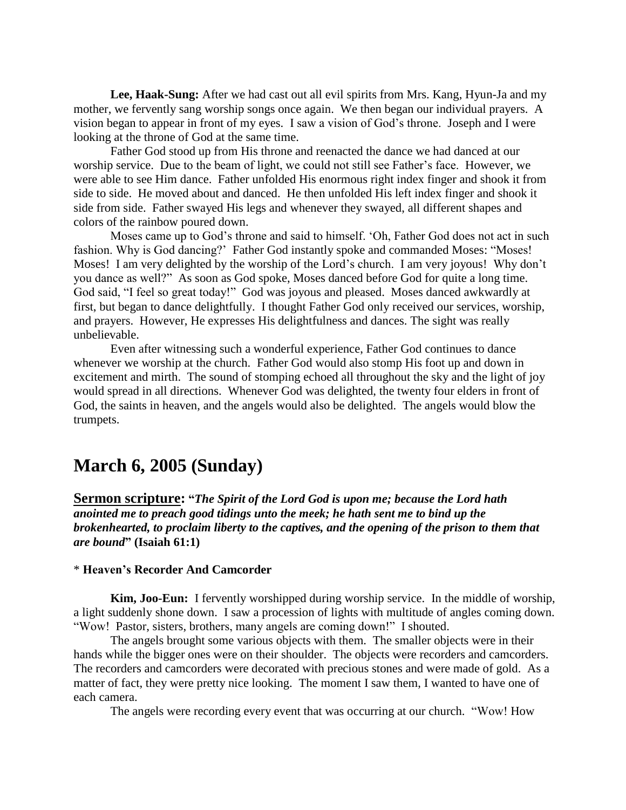**Lee, Haak-Sung:** After we had cast out all evil spirits from Mrs. Kang, Hyun-Ja and my mother, we fervently sang worship songs once again. We then began our individual prayers. A vision began to appear in front of my eyes. I saw a vision of God"s throne. Joseph and I were looking at the throne of God at the same time.

Father God stood up from His throne and reenacted the dance we had danced at our worship service. Due to the beam of light, we could not still see Father"s face. However, we were able to see Him dance. Father unfolded His enormous right index finger and shook it from side to side. He moved about and danced. He then unfolded His left index finger and shook it side from side. Father swayed His legs and whenever they swayed, all different shapes and colors of the rainbow poured down.

Moses came up to God"s throne and said to himself. "Oh, Father God does not act in such fashion. Why is God dancing?' Father God instantly spoke and commanded Moses: "Moses! Moses! I am very delighted by the worship of the Lord's church. I am very joyous! Why don't you dance as well?" As soon as God spoke, Moses danced before God for quite a long time. God said, "I feel so great today!" God was joyous and pleased. Moses danced awkwardly at first, but began to dance delightfully. I thought Father God only received our services, worship, and prayers. However, He expresses His delightfulness and dances. The sight was really unbelievable.

Even after witnessing such a wonderful experience, Father God continues to dance whenever we worship at the church. Father God would also stomp His foot up and down in excitement and mirth. The sound of stomping echoed all throughout the sky and the light of joy would spread in all directions. Whenever God was delighted, the twenty four elders in front of God, the saints in heaven, and the angels would also be delighted. The angels would blow the trumpets.

# **March 6, 2005 (Sunday)**

**Sermon scripture: "***The Spirit of the Lord God is upon me; because the Lord hath anointed me to preach good tidings unto the meek; he hath sent me to bind up the brokenhearted, to proclaim liberty to the captives, and the opening of the prison to them that are bound***" (Isaiah 61:1)**

### \* **Heaven's Recorder And Camcorder**

**Kim, Joo-Eun:** I fervently worshipped during worship service. In the middle of worship, a light suddenly shone down. I saw a procession of lights with multitude of angles coming down. "Wow! Pastor, sisters, brothers, many angels are coming down!" I shouted.

The angels brought some various objects with them. The smaller objects were in their hands while the bigger ones were on their shoulder. The objects were recorders and camcorders. The recorders and camcorders were decorated with precious stones and were made of gold. As a matter of fact, they were pretty nice looking. The moment I saw them, I wanted to have one of each camera.

The angels were recording every event that was occurring at our church. "Wow! How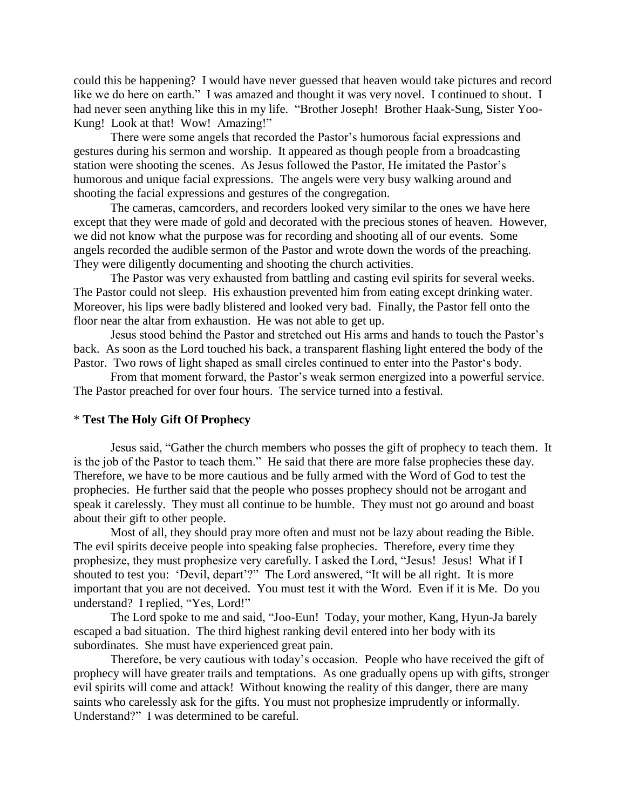could this be happening? I would have never guessed that heaven would take pictures and record like we do here on earth." I was amazed and thought it was very novel. I continued to shout. I had never seen anything like this in my life. "Brother Joseph! Brother Haak-Sung, Sister Yoo-Kung! Look at that! Wow! Amazing!"

There were some angels that recorded the Pastor"s humorous facial expressions and gestures during his sermon and worship. It appeared as though people from a broadcasting station were shooting the scenes. As Jesus followed the Pastor, He imitated the Pastor"s humorous and unique facial expressions. The angels were very busy walking around and shooting the facial expressions and gestures of the congregation.

The cameras, camcorders, and recorders looked very similar to the ones we have here except that they were made of gold and decorated with the precious stones of heaven. However, we did not know what the purpose was for recording and shooting all of our events. Some angels recorded the audible sermon of the Pastor and wrote down the words of the preaching. They were diligently documenting and shooting the church activities.

The Pastor was very exhausted from battling and casting evil spirits for several weeks. The Pastor could not sleep. His exhaustion prevented him from eating except drinking water. Moreover, his lips were badly blistered and looked very bad. Finally, the Pastor fell onto the floor near the altar from exhaustion. He was not able to get up.

Jesus stood behind the Pastor and stretched out His arms and hands to touch the Pastor"s back. As soon as the Lord touched his back, a transparent flashing light entered the body of the Pastor. Two rows of light shaped as small circles continued to enter into the Pastor's body.

From that moment forward, the Pastor's weak sermon energized into a powerful service. The Pastor preached for over four hours. The service turned into a festival.

### \* **Test The Holy Gift Of Prophecy**

Jesus said, "Gather the church members who posses the gift of prophecy to teach them. It is the job of the Pastor to teach them." He said that there are more false prophecies these day. Therefore, we have to be more cautious and be fully armed with the Word of God to test the prophecies. He further said that the people who posses prophecy should not be arrogant and speak it carelessly. They must all continue to be humble. They must not go around and boast about their gift to other people.

Most of all, they should pray more often and must not be lazy about reading the Bible. The evil spirits deceive people into speaking false prophecies. Therefore, every time they prophesize, they must prophesize very carefully. I asked the Lord, "Jesus! Jesus! What if I shouted to test you: 'Devil, depart'?" The Lord answered, "It will be all right. It is more important that you are not deceived. You must test it with the Word. Even if it is Me. Do you understand? I replied, "Yes, Lord!"

The Lord spoke to me and said, "Joo-Eun! Today, your mother, Kang, Hyun-Ja barely escaped a bad situation. The third highest ranking devil entered into her body with its subordinates. She must have experienced great pain.

Therefore, be very cautious with today"s occasion. People who have received the gift of prophecy will have greater trails and temptations. As one gradually opens up with gifts, stronger evil spirits will come and attack! Without knowing the reality of this danger, there are many saints who carelessly ask for the gifts. You must not prophesize imprudently or informally. Understand?" I was determined to be careful.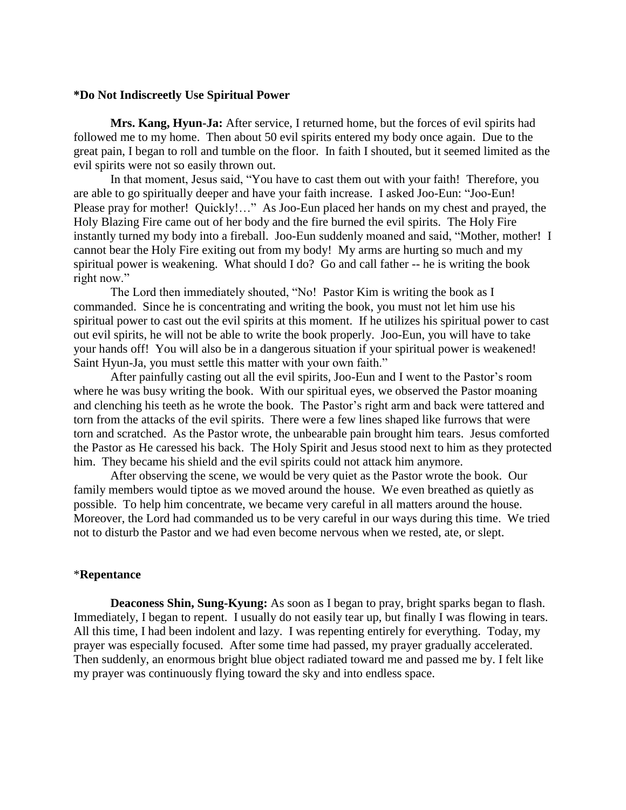### **\*Do Not Indiscreetly Use Spiritual Power**

**Mrs. Kang, Hyun-Ja:** After service, I returned home, but the forces of evil spirits had followed me to my home. Then about 50 evil spirits entered my body once again. Due to the great pain, I began to roll and tumble on the floor. In faith I shouted, but it seemed limited as the evil spirits were not so easily thrown out.

In that moment, Jesus said, "You have to cast them out with your faith! Therefore, you are able to go spiritually deeper and have your faith increase. I asked Joo-Eun: "Joo-Eun! Please pray for mother! Quickly!…" As Joo-Eun placed her hands on my chest and prayed, the Holy Blazing Fire came out of her body and the fire burned the evil spirits. The Holy Fire instantly turned my body into a fireball. Joo-Eun suddenly moaned and said, "Mother, mother! I cannot bear the Holy Fire exiting out from my body! My arms are hurting so much and my spiritual power is weakening. What should I do? Go and call father -- he is writing the book right now."

The Lord then immediately shouted, "No! Pastor Kim is writing the book as I commanded. Since he is concentrating and writing the book, you must not let him use his spiritual power to cast out the evil spirits at this moment. If he utilizes his spiritual power to cast out evil spirits, he will not be able to write the book properly. Joo-Eun, you will have to take your hands off! You will also be in a dangerous situation if your spiritual power is weakened! Saint Hyun-Ja, you must settle this matter with your own faith."

After painfully casting out all the evil spirits, Joo-Eun and I went to the Pastor"s room where he was busy writing the book. With our spiritual eyes, we observed the Pastor moaning and clenching his teeth as he wrote the book. The Pastor's right arm and back were tattered and torn from the attacks of the evil spirits. There were a few lines shaped like furrows that were torn and scratched. As the Pastor wrote, the unbearable pain brought him tears. Jesus comforted the Pastor as He caressed his back. The Holy Spirit and Jesus stood next to him as they protected him. They became his shield and the evil spirits could not attack him anymore.

After observing the scene, we would be very quiet as the Pastor wrote the book. Our family members would tiptoe as we moved around the house. We even breathed as quietly as possible. To help him concentrate, we became very careful in all matters around the house. Moreover, the Lord had commanded us to be very careful in our ways during this time. We tried not to disturb the Pastor and we had even become nervous when we rested, ate, or slept.

### \***Repentance**

**Deaconess Shin, Sung-Kyung:** As soon as I began to pray, bright sparks began to flash. Immediately, I began to repent. I usually do not easily tear up, but finally I was flowing in tears. All this time, I had been indolent and lazy. I was repenting entirely for everything. Today, my prayer was especially focused. After some time had passed, my prayer gradually accelerated. Then suddenly, an enormous bright blue object radiated toward me and passed me by. I felt like my prayer was continuously flying toward the sky and into endless space.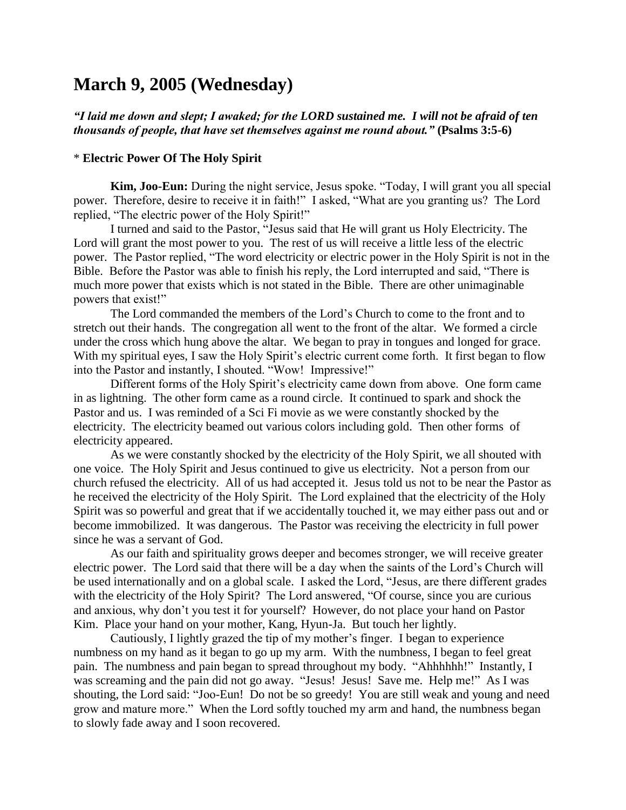# **March 9, 2005 (Wednesday)**

# *"I laid me down and slept; I awaked; for the LORD sustained me. I will not be afraid of ten thousands of people, that have set themselves against me round about."* **(Psalms 3:5-6)**

# \* **Electric Power Of The Holy Spirit**

**Kim, Joo-Eun:** During the night service, Jesus spoke. "Today, I will grant you all special power. Therefore, desire to receive it in faith!" I asked, "What are you granting us? The Lord replied, "The electric power of the Holy Spirit!"

I turned and said to the Pastor, "Jesus said that He will grant us Holy Electricity. The Lord will grant the most power to you. The rest of us will receive a little less of the electric power. The Pastor replied, "The word electricity or electric power in the Holy Spirit is not in the Bible. Before the Pastor was able to finish his reply, the Lord interrupted and said, "There is much more power that exists which is not stated in the Bible. There are other unimaginable powers that exist!"

The Lord commanded the members of the Lord"s Church to come to the front and to stretch out their hands. The congregation all went to the front of the altar. We formed a circle under the cross which hung above the altar. We began to pray in tongues and longed for grace. With my spiritual eyes, I saw the Holy Spirit's electric current come forth. It first began to flow into the Pastor and instantly, I shouted. "Wow! Impressive!"

Different forms of the Holy Spirit's electricity came down from above. One form came in as lightning. The other form came as a round circle. It continued to spark and shock the Pastor and us. I was reminded of a Sci Fi movie as we were constantly shocked by the electricity. The electricity beamed out various colors including gold. Then other forms of electricity appeared.

As we were constantly shocked by the electricity of the Holy Spirit, we all shouted with one voice. The Holy Spirit and Jesus continued to give us electricity. Not a person from our church refused the electricity. All of us had accepted it. Jesus told us not to be near the Pastor as he received the electricity of the Holy Spirit. The Lord explained that the electricity of the Holy Spirit was so powerful and great that if we accidentally touched it, we may either pass out and or become immobilized. It was dangerous. The Pastor was receiving the electricity in full power since he was a servant of God.

As our faith and spirituality grows deeper and becomes stronger, we will receive greater electric power. The Lord said that there will be a day when the saints of the Lord"s Church will be used internationally and on a global scale. I asked the Lord, "Jesus, are there different grades with the electricity of the Holy Spirit? The Lord answered, "Of course, since you are curious and anxious, why don"t you test it for yourself? However, do not place your hand on Pastor Kim. Place your hand on your mother, Kang, Hyun-Ja. But touch her lightly.

Cautiously, I lightly grazed the tip of my mother"s finger. I began to experience numbness on my hand as it began to go up my arm. With the numbness, I began to feel great pain. The numbness and pain began to spread throughout my body. "Ahhhhhh!" Instantly, I was screaming and the pain did not go away. "Jesus! Jesus! Save me. Help me!" As I was shouting, the Lord said: "Joo-Eun! Do not be so greedy! You are still weak and young and need grow and mature more." When the Lord softly touched my arm and hand, the numbness began to slowly fade away and I soon recovered.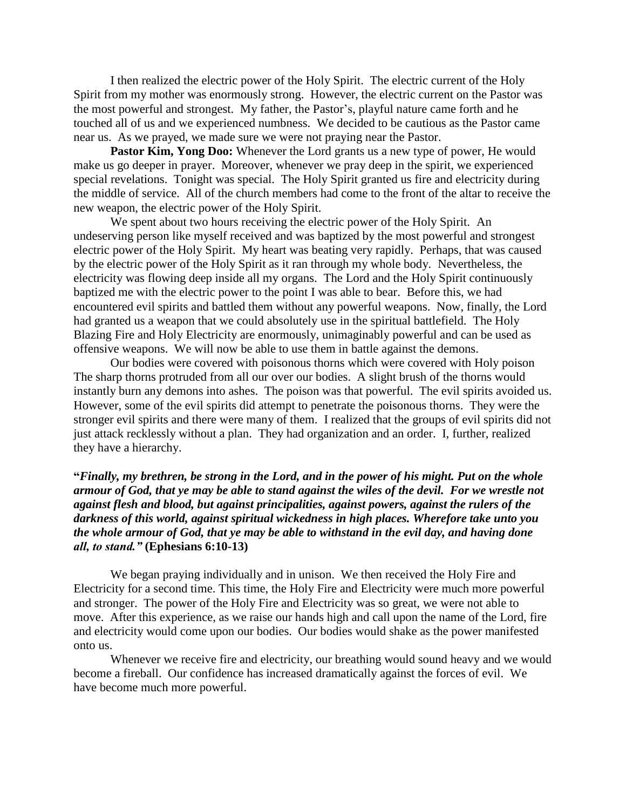I then realized the electric power of the Holy Spirit. The electric current of the Holy Spirit from my mother was enormously strong. However, the electric current on the Pastor was the most powerful and strongest. My father, the Pastor"s, playful nature came forth and he touched all of us and we experienced numbness. We decided to be cautious as the Pastor came near us. As we prayed, we made sure we were not praying near the Pastor.

**Pastor Kim, Yong Doo:** Whenever the Lord grants us a new type of power, He would make us go deeper in prayer. Moreover, whenever we pray deep in the spirit, we experienced special revelations. Tonight was special. The Holy Spirit granted us fire and electricity during the middle of service. All of the church members had come to the front of the altar to receive the new weapon, the electric power of the Holy Spirit.

We spent about two hours receiving the electric power of the Holy Spirit. An undeserving person like myself received and was baptized by the most powerful and strongest electric power of the Holy Spirit. My heart was beating very rapidly. Perhaps, that was caused by the electric power of the Holy Spirit as it ran through my whole body. Nevertheless, the electricity was flowing deep inside all my organs. The Lord and the Holy Spirit continuously baptized me with the electric power to the point I was able to bear. Before this, we had encountered evil spirits and battled them without any powerful weapons. Now, finally, the Lord had granted us a weapon that we could absolutely use in the spiritual battlefield. The Holy Blazing Fire and Holy Electricity are enormously, unimaginably powerful and can be used as offensive weapons. We will now be able to use them in battle against the demons.

Our bodies were covered with poisonous thorns which were covered with Holy poison The sharp thorns protruded from all our over our bodies. A slight brush of the thorns would instantly burn any demons into ashes. The poison was that powerful. The evil spirits avoided us. However, some of the evil spirits did attempt to penetrate the poisonous thorns. They were the stronger evil spirits and there were many of them. I realized that the groups of evil spirits did not just attack recklessly without a plan. They had organization and an order. I, further, realized they have a hierarchy.

**"***Finally, my brethren, be strong in the Lord, and in the power of his might. Put on the whole armour of God, that ye may be able to stand against the wiles of the devil. For we wrestle not against flesh and blood, but against principalities, against powers, against the rulers of the darkness of this world, against spiritual wickedness in high places. Wherefore take unto you the whole armour of God, that ye may be able to withstand in the evil day, and having done all, to stand."* **(Ephesians 6:10-13)**

We began praying individually and in unison. We then received the Holy Fire and Electricity for a second time. This time, the Holy Fire and Electricity were much more powerful and stronger. The power of the Holy Fire and Electricity was so great, we were not able to move. After this experience, as we raise our hands high and call upon the name of the Lord, fire and electricity would come upon our bodies. Our bodies would shake as the power manifested onto us.

Whenever we receive fire and electricity, our breathing would sound heavy and we would become a fireball. Our confidence has increased dramatically against the forces of evil. We have become much more powerful.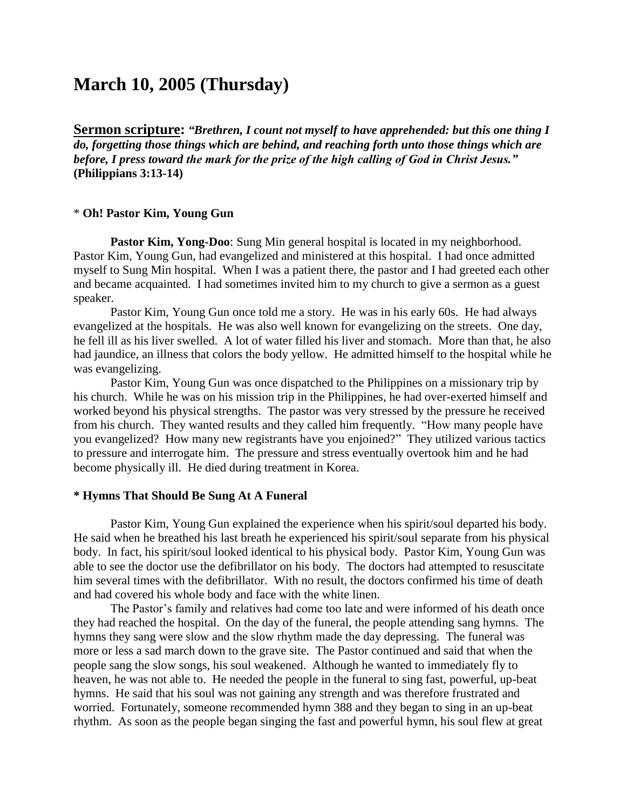# **March 10, 2005 (Thursday)**

**Sermon scripture:** *"Brethren, I count not myself to have apprehended: but this one thing I do, forgetting those things which are behind, and reaching forth unto those things which are before, I press toward the mark for the prize of the high calling of God in Christ Jesus."* **(Philippians 3:13-14)**

### \* **Oh! Pastor Kim, Young Gun**

**Pastor Kim, Yong-Doo**: Sung Min general hospital is located in my neighborhood. Pastor Kim, Young Gun, had evangelized and ministered at this hospital. I had once admitted myself to Sung Min hospital. When I was a patient there, the pastor and I had greeted each other and became acquainted. I had sometimes invited him to my church to give a sermon as a guest speaker.

Pastor Kim, Young Gun once told me a story. He was in his early 60s. He had always evangelized at the hospitals. He was also well known for evangelizing on the streets. One day, he fell ill as his liver swelled. A lot of water filled his liver and stomach. More than that, he also had jaundice, an illness that colors the body yellow. He admitted himself to the hospital while he was evangelizing.

Pastor Kim, Young Gun was once dispatched to the Philippines on a missionary trip by his church. While he was on his mission trip in the Philippines, he had over-exerted himself and worked beyond his physical strengths. The pastor was very stressed by the pressure he received from his church. They wanted results and they called him frequently. "How many people have you evangelized? How many new registrants have you enjoined?" They utilized various tactics to pressure and interrogate him. The pressure and stress eventually overtook him and he had become physically ill. He died during treatment in Korea.

# **\* Hymns That Should Be Sung At A Funeral**

Pastor Kim, Young Gun explained the experience when his spirit/soul departed his body. He said when he breathed his last breath he experienced his spirit/soul separate from his physical body. In fact, his spirit/soul looked identical to his physical body. Pastor Kim, Young Gun was able to see the doctor use the defibrillator on his body. The doctors had attempted to resuscitate him several times with the defibrillator. With no result, the doctors confirmed his time of death and had covered his whole body and face with the white linen.

The Pastor's family and relatives had come too late and were informed of his death once they had reached the hospital. On the day of the funeral, the people attending sang hymns. The hymns they sang were slow and the slow rhythm made the day depressing. The funeral was more or less a sad march down to the grave site. The Pastor continued and said that when the people sang the slow songs, his soul weakened. Although he wanted to immediately fly to heaven, he was not able to. He needed the people in the funeral to sing fast, powerful, up-beat hymns. He said that his soul was not gaining any strength and was therefore frustrated and worried. Fortunately, someone recommended hymn 388 and they began to sing in an up-beat rhythm. As soon as the people began singing the fast and powerful hymn, his soul flew at great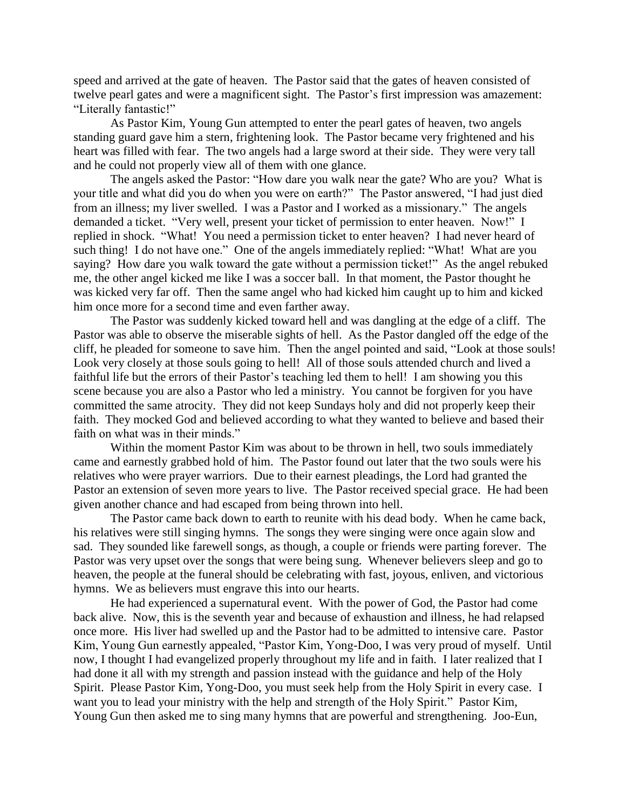speed and arrived at the gate of heaven. The Pastor said that the gates of heaven consisted of twelve pearl gates and were a magnificent sight. The Pastor's first impression was amazement: "Literally fantastic!"

As Pastor Kim, Young Gun attempted to enter the pearl gates of heaven, two angels standing guard gave him a stern, frightening look. The Pastor became very frightened and his heart was filled with fear. The two angels had a large sword at their side. They were very tall and he could not properly view all of them with one glance.

The angels asked the Pastor: "How dare you walk near the gate? Who are you? What is your title and what did you do when you were on earth?" The Pastor answered, "I had just died from an illness; my liver swelled. I was a Pastor and I worked as a missionary." The angels demanded a ticket. "Very well, present your ticket of permission to enter heaven. Now!" I replied in shock. "What! You need a permission ticket to enter heaven? I had never heard of such thing! I do not have one." One of the angels immediately replied: "What! What are you saying? How dare you walk toward the gate without a permission ticket!" As the angel rebuked me, the other angel kicked me like I was a soccer ball. In that moment, the Pastor thought he was kicked very far off. Then the same angel who had kicked him caught up to him and kicked him once more for a second time and even farther away.

The Pastor was suddenly kicked toward hell and was dangling at the edge of a cliff. The Pastor was able to observe the miserable sights of hell. As the Pastor dangled off the edge of the cliff, he pleaded for someone to save him. Then the angel pointed and said, "Look at those souls! Look very closely at those souls going to hell! All of those souls attended church and lived a faithful life but the errors of their Pastor's teaching led them to hell! I am showing you this scene because you are also a Pastor who led a ministry. You cannot be forgiven for you have committed the same atrocity. They did not keep Sundays holy and did not properly keep their faith. They mocked God and believed according to what they wanted to believe and based their faith on what was in their minds."

Within the moment Pastor Kim was about to be thrown in hell, two souls immediately came and earnestly grabbed hold of him. The Pastor found out later that the two souls were his relatives who were prayer warriors. Due to their earnest pleadings, the Lord had granted the Pastor an extension of seven more years to live. The Pastor received special grace. He had been given another chance and had escaped from being thrown into hell.

The Pastor came back down to earth to reunite with his dead body. When he came back, his relatives were still singing hymns. The songs they were singing were once again slow and sad. They sounded like farewell songs, as though, a couple or friends were parting forever. The Pastor was very upset over the songs that were being sung. Whenever believers sleep and go to heaven, the people at the funeral should be celebrating with fast, joyous, enliven, and victorious hymns. We as believers must engrave this into our hearts.

He had experienced a supernatural event. With the power of God, the Pastor had come back alive. Now, this is the seventh year and because of exhaustion and illness, he had relapsed once more. His liver had swelled up and the Pastor had to be admitted to intensive care. Pastor Kim, Young Gun earnestly appealed, "Pastor Kim, Yong-Doo, I was very proud of myself. Until now, I thought I had evangelized properly throughout my life and in faith. I later realized that I had done it all with my strength and passion instead with the guidance and help of the Holy Spirit. Please Pastor Kim, Yong-Doo, you must seek help from the Holy Spirit in every case. I want you to lead your ministry with the help and strength of the Holy Spirit." Pastor Kim, Young Gun then asked me to sing many hymns that are powerful and strengthening. Joo-Eun,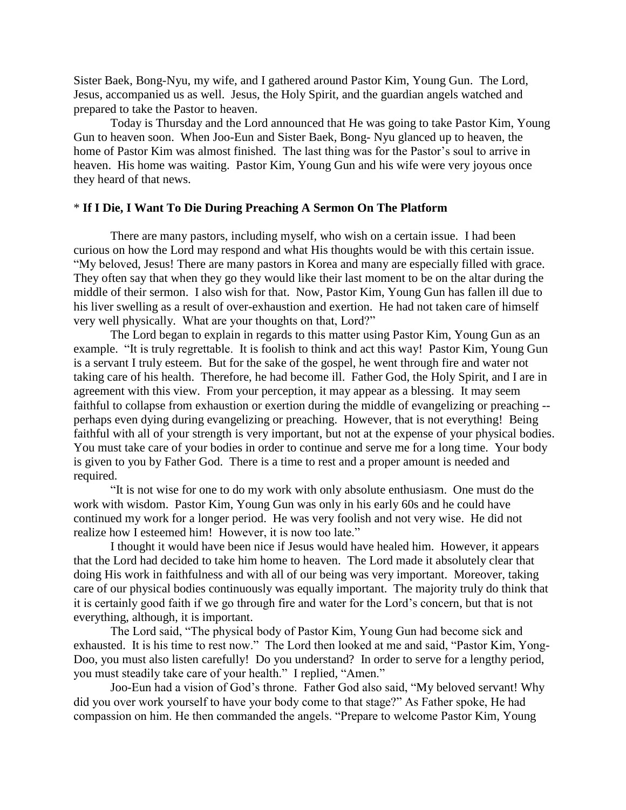Sister Baek, Bong-Nyu, my wife, and I gathered around Pastor Kim, Young Gun. The Lord, Jesus, accompanied us as well. Jesus, the Holy Spirit, and the guardian angels watched and prepared to take the Pastor to heaven.

Today is Thursday and the Lord announced that He was going to take Pastor Kim, Young Gun to heaven soon. When Joo-Eun and Sister Baek, Bong- Nyu glanced up to heaven, the home of Pastor Kim was almost finished. The last thing was for the Pastor's soul to arrive in heaven. His home was waiting. Pastor Kim, Young Gun and his wife were very joyous once they heard of that news.

# \* **If I Die, I Want To Die During Preaching A Sermon On The Platform**

There are many pastors, including myself, who wish on a certain issue. I had been curious on how the Lord may respond and what His thoughts would be with this certain issue. "My beloved, Jesus! There are many pastors in Korea and many are especially filled with grace. They often say that when they go they would like their last moment to be on the altar during the middle of their sermon. I also wish for that. Now, Pastor Kim, Young Gun has fallen ill due to his liver swelling as a result of over-exhaustion and exertion. He had not taken care of himself very well physically. What are your thoughts on that, Lord?"

The Lord began to explain in regards to this matter using Pastor Kim, Young Gun as an example. "It is truly regrettable. It is foolish to think and act this way! Pastor Kim, Young Gun is a servant I truly esteem. But for the sake of the gospel, he went through fire and water not taking care of his health. Therefore, he had become ill. Father God, the Holy Spirit, and I are in agreement with this view. From your perception, it may appear as a blessing. It may seem faithful to collapse from exhaustion or exertion during the middle of evangelizing or preaching - perhaps even dying during evangelizing or preaching. However, that is not everything! Being faithful with all of your strength is very important, but not at the expense of your physical bodies. You must take care of your bodies in order to continue and serve me for a long time. Your body is given to you by Father God. There is a time to rest and a proper amount is needed and required.

"It is not wise for one to do my work with only absolute enthusiasm. One must do the work with wisdom. Pastor Kim, Young Gun was only in his early 60s and he could have continued my work for a longer period. He was very foolish and not very wise. He did not realize how I esteemed him! However, it is now too late."

I thought it would have been nice if Jesus would have healed him. However, it appears that the Lord had decided to take him home to heaven. The Lord made it absolutely clear that doing His work in faithfulness and with all of our being was very important. Moreover, taking care of our physical bodies continuously was equally important. The majority truly do think that it is certainly good faith if we go through fire and water for the Lord"s concern, but that is not everything, although, it is important.

The Lord said, "The physical body of Pastor Kim, Young Gun had become sick and exhausted. It is his time to rest now." The Lord then looked at me and said, "Pastor Kim, Yong-Doo, you must also listen carefully! Do you understand? In order to serve for a lengthy period, you must steadily take care of your health." I replied, "Amen."

Joo-Eun had a vision of God"s throne. Father God also said, "My beloved servant! Why did you over work yourself to have your body come to that stage?" As Father spoke, He had compassion on him. He then commanded the angels. "Prepare to welcome Pastor Kim, Young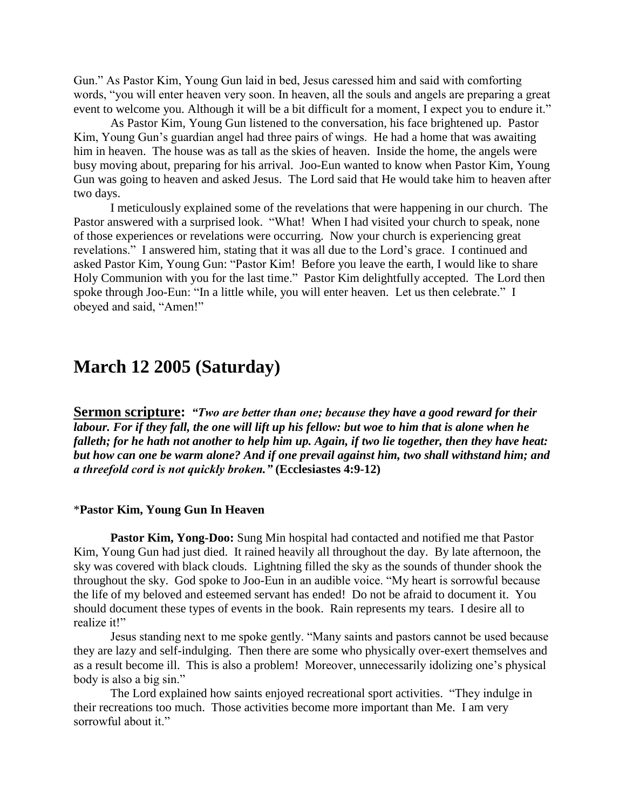Gun." As Pastor Kim, Young Gun laid in bed, Jesus caressed him and said with comforting words, "you will enter heaven very soon. In heaven, all the souls and angels are preparing a great event to welcome you. Although it will be a bit difficult for a moment, I expect you to endure it."

As Pastor Kim, Young Gun listened to the conversation, his face brightened up. Pastor Kim, Young Gun"s guardian angel had three pairs of wings. He had a home that was awaiting him in heaven. The house was as tall as the skies of heaven. Inside the home, the angels were busy moving about, preparing for his arrival. Joo-Eun wanted to know when Pastor Kim, Young Gun was going to heaven and asked Jesus. The Lord said that He would take him to heaven after two days.

I meticulously explained some of the revelations that were happening in our church. The Pastor answered with a surprised look. "What! When I had visited your church to speak, none of those experiences or revelations were occurring. Now your church is experiencing great revelations." I answered him, stating that it was all due to the Lord"s grace. I continued and asked Pastor Kim, Young Gun: "Pastor Kim! Before you leave the earth, I would like to share Holy Communion with you for the last time." Pastor Kim delightfully accepted. The Lord then spoke through Joo-Eun: "In a little while, you will enter heaven. Let us then celebrate." I obeyed and said, "Amen!"

# **March 12 2005 (Saturday)**

**Sermon scripture:** *"Two are better than one; because they have a good reward for their labour. For if they fall, the one will lift up his fellow: but woe to him that is alone when he falleth; for he hath not another to help him up. Again, if two lie together, then they have heat: but how can one be warm alone? And if one prevail against him, two shall withstand him; and a threefold cord is not quickly broken."* **(Ecclesiastes 4:9-12)**

### \***Pastor Kim, Young Gun In Heaven**

**Pastor Kim, Yong-Doo:** Sung Min hospital had contacted and notified me that Pastor Kim, Young Gun had just died. It rained heavily all throughout the day. By late afternoon, the sky was covered with black clouds. Lightning filled the sky as the sounds of thunder shook the throughout the sky. God spoke to Joo-Eun in an audible voice. "My heart is sorrowful because the life of my beloved and esteemed servant has ended! Do not be afraid to document it. You should document these types of events in the book. Rain represents my tears. I desire all to realize it!"

Jesus standing next to me spoke gently. "Many saints and pastors cannot be used because they are lazy and self-indulging. Then there are some who physically over-exert themselves and as a result become ill. This is also a problem! Moreover, unnecessarily idolizing one"s physical body is also a big sin."

The Lord explained how saints enjoyed recreational sport activities. "They indulge in their recreations too much. Those activities become more important than Me. I am very sorrowful about it."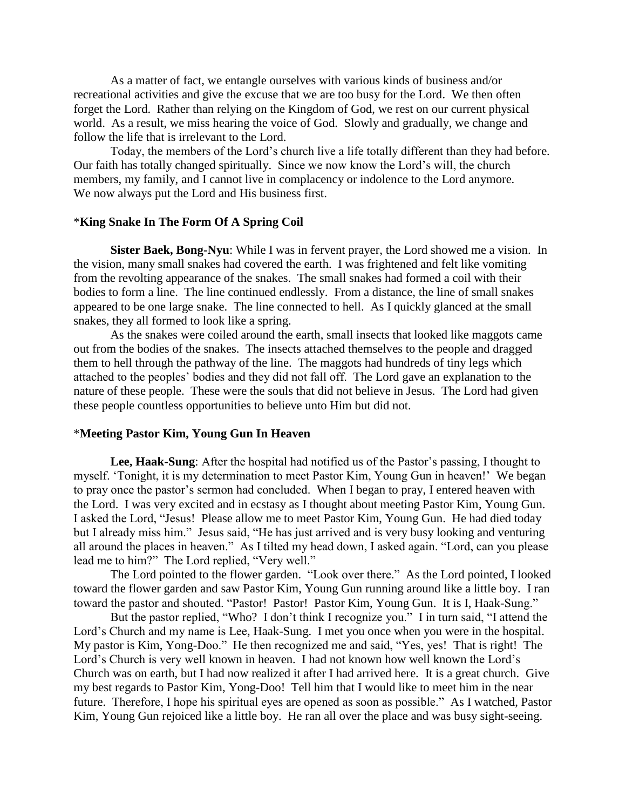As a matter of fact, we entangle ourselves with various kinds of business and/or recreational activities and give the excuse that we are too busy for the Lord. We then often forget the Lord. Rather than relying on the Kingdom of God, we rest on our current physical world. As a result, we miss hearing the voice of God. Slowly and gradually, we change and follow the life that is irrelevant to the Lord.

Today, the members of the Lord"s church live a life totally different than they had before. Our faith has totally changed spiritually. Since we now know the Lord"s will, the church members, my family, and I cannot live in complacency or indolence to the Lord anymore. We now always put the Lord and His business first.

### \***King Snake In The Form Of A Spring Coil**

**Sister Baek, Bong-Nyu**: While I was in fervent prayer, the Lord showed me a vision. In the vision, many small snakes had covered the earth. I was frightened and felt like vomiting from the revolting appearance of the snakes. The small snakes had formed a coil with their bodies to form a line. The line continued endlessly. From a distance, the line of small snakes appeared to be one large snake. The line connected to hell. As I quickly glanced at the small snakes, they all formed to look like a spring.

As the snakes were coiled around the earth, small insects that looked like maggots came out from the bodies of the snakes. The insects attached themselves to the people and dragged them to hell through the pathway of the line. The maggots had hundreds of tiny legs which attached to the peoples" bodies and they did not fall off. The Lord gave an explanation to the nature of these people. These were the souls that did not believe in Jesus. The Lord had given these people countless opportunities to believe unto Him but did not.

# \***Meeting Pastor Kim, Young Gun In Heaven**

Lee, **Haak-Sung**: After the hospital had notified us of the Pastor's passing, I thought to myself. "Tonight, it is my determination to meet Pastor Kim, Young Gun in heaven!" We began to pray once the pastor's sermon had concluded. When I began to pray, I entered heaven with the Lord. I was very excited and in ecstasy as I thought about meeting Pastor Kim, Young Gun. I asked the Lord, "Jesus! Please allow me to meet Pastor Kim, Young Gun. He had died today but I already miss him." Jesus said, "He has just arrived and is very busy looking and venturing all around the places in heaven." As I tilted my head down, I asked again. "Lord, can you please lead me to him?" The Lord replied, "Very well."

The Lord pointed to the flower garden. "Look over there." As the Lord pointed, I looked toward the flower garden and saw Pastor Kim, Young Gun running around like a little boy. I ran toward the pastor and shouted. "Pastor! Pastor! Pastor Kim, Young Gun. It is I, Haak-Sung."

But the pastor replied, "Who? I don"t think I recognize you." I in turn said, "I attend the Lord"s Church and my name is Lee, Haak-Sung. I met you once when you were in the hospital. My pastor is Kim, Yong-Doo." He then recognized me and said, "Yes, yes! That is right! The Lord's Church is very well known in heaven. I had not known how well known the Lord's Church was on earth, but I had now realized it after I had arrived here. It is a great church. Give my best regards to Pastor Kim, Yong-Doo! Tell him that I would like to meet him in the near future. Therefore, I hope his spiritual eyes are opened as soon as possible." As I watched, Pastor Kim, Young Gun rejoiced like a little boy. He ran all over the place and was busy sight-seeing.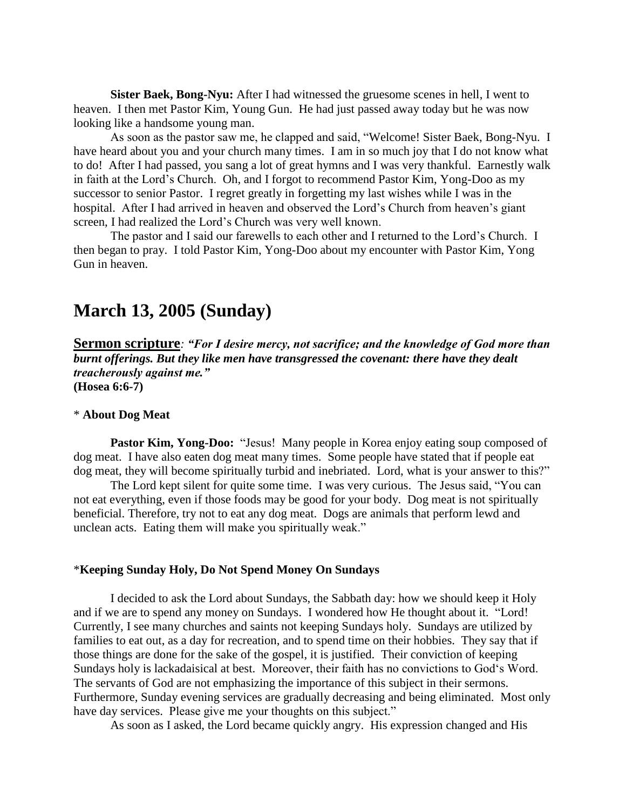**Sister Baek, Bong-Nyu:** After I had witnessed the gruesome scenes in hell, I went to heaven. I then met Pastor Kim, Young Gun. He had just passed away today but he was now looking like a handsome young man.

As soon as the pastor saw me, he clapped and said, "Welcome! Sister Baek, Bong-Nyu. I have heard about you and your church many times. I am in so much joy that I do not know what to do! After I had passed, you sang a lot of great hymns and I was very thankful. Earnestly walk in faith at the Lord"s Church. Oh, and I forgot to recommend Pastor Kim, Yong-Doo as my successor to senior Pastor. I regret greatly in forgetting my last wishes while I was in the hospital. After I had arrived in heaven and observed the Lord's Church from heaven's giant screen, I had realized the Lord"s Church was very well known.

The pastor and I said our farewells to each other and I returned to the Lord"s Church. I then began to pray. I told Pastor Kim, Yong-Doo about my encounter with Pastor Kim, Yong Gun in heaven.

# **March 13, 2005 (Sunday)**

**Sermon scripture***: "For I desire mercy, not sacrifice; and the knowledge of God more than burnt offerings. But they like men have transgressed the covenant: there have they dealt treacherously against me."* **(Hosea 6:6-7)**

### \* **About Dog Meat**

**Pastor Kim, Yong-Doo:** "Jesus! Many people in Korea enjoy eating soup composed of dog meat. I have also eaten dog meat many times. Some people have stated that if people eat dog meat, they will become spiritually turbid and inebriated. Lord, what is your answer to this?"

The Lord kept silent for quite some time. I was very curious. The Jesus said, "You can not eat everything, even if those foods may be good for your body. Dog meat is not spiritually beneficial. Therefore, try not to eat any dog meat. Dogs are animals that perform lewd and unclean acts. Eating them will make you spiritually weak."

### \***Keeping Sunday Holy, Do Not Spend Money On Sundays**

I decided to ask the Lord about Sundays, the Sabbath day: how we should keep it Holy and if we are to spend any money on Sundays. I wondered how He thought about it. "Lord! Currently, I see many churches and saints not keeping Sundays holy. Sundays are utilized by families to eat out, as a day for recreation, and to spend time on their hobbies. They say that if those things are done for the sake of the gospel, it is justified. Their conviction of keeping Sundays holy is lackadaisical at best. Moreover, their faith has no convictions to God"s Word. The servants of God are not emphasizing the importance of this subject in their sermons. Furthermore, Sunday evening services are gradually decreasing and being eliminated. Most only have day services. Please give me your thoughts on this subject."

As soon as I asked, the Lord became quickly angry. His expression changed and His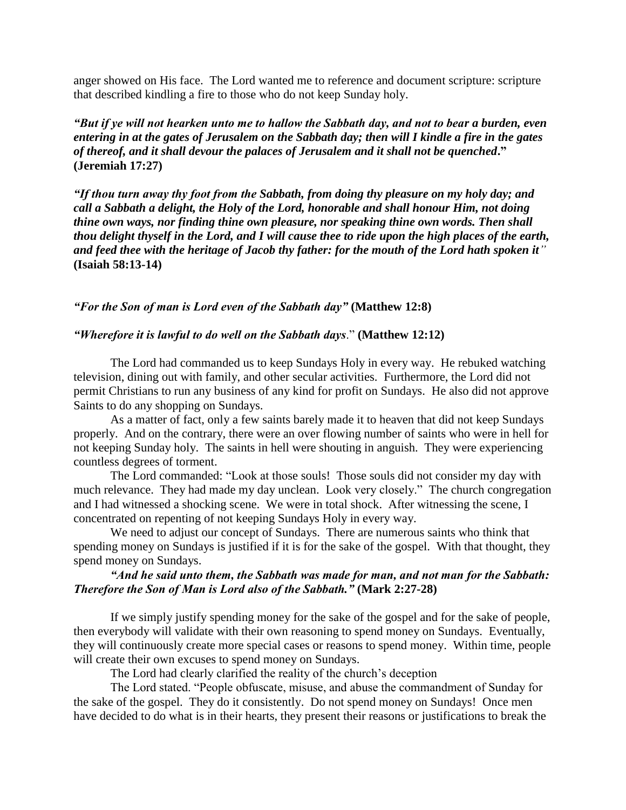anger showed on His face. The Lord wanted me to reference and document scripture: scripture that described kindling a fire to those who do not keep Sunday holy.

*"But if ye will not hearken unto me to hallow the Sabbath day, and not to bear a burden, even entering in at the gates of Jerusalem on the Sabbath day; then will I kindle a fire in the gates of thereof, and it shall devour the palaces of Jerusalem and it shall not be quenched***." (Jeremiah 17:27)**

*"If thou turn away thy foot from the Sabbath, from doing thy pleasure on my holy day; and call a Sabbath a delight, the Holy of the Lord, honorable and shall honour Him, not doing thine own ways, nor finding thine own pleasure, nor speaking thine own words. Then shall thou delight thyself in the Lord, and I will cause thee to ride upon the high places of the earth, and feed thee with the heritage of Jacob thy father: for the mouth of the Lord hath spoken it"* **(Isaiah 58:13-14)**

*"For the Son of man is Lord even of the Sabbath day"* **(Matthew 12:8)**

### *"Wherefore it is lawful to do well on the Sabbath days*." **(Matthew 12:12)**

The Lord had commanded us to keep Sundays Holy in every way. He rebuked watching television, dining out with family, and other secular activities. Furthermore, the Lord did not permit Christians to run any business of any kind for profit on Sundays. He also did not approve Saints to do any shopping on Sundays.

As a matter of fact, only a few saints barely made it to heaven that did not keep Sundays properly. And on the contrary, there were an over flowing number of saints who were in hell for not keeping Sunday holy. The saints in hell were shouting in anguish. They were experiencing countless degrees of torment.

The Lord commanded: "Look at those souls! Those souls did not consider my day with much relevance. They had made my day unclean. Look very closely." The church congregation and I had witnessed a shocking scene. We were in total shock. After witnessing the scene, I concentrated on repenting of not keeping Sundays Holy in every way.

We need to adjust our concept of Sundays. There are numerous saints who think that spending money on Sundays is justified if it is for the sake of the gospel. With that thought, they spend money on Sundays.

# *"And he said unto them, the Sabbath was made for man, and not man for the Sabbath: Therefore the Son of Man is Lord also of the Sabbath."* **(Mark 2:27-28)**

If we simply justify spending money for the sake of the gospel and for the sake of people, then everybody will validate with their own reasoning to spend money on Sundays. Eventually, they will continuously create more special cases or reasons to spend money. Within time, people will create their own excuses to spend money on Sundays.

The Lord had clearly clarified the reality of the church"s deception

The Lord stated. "People obfuscate, misuse, and abuse the commandment of Sunday for the sake of the gospel. They do it consistently. Do not spend money on Sundays! Once men have decided to do what is in their hearts, they present their reasons or justifications to break the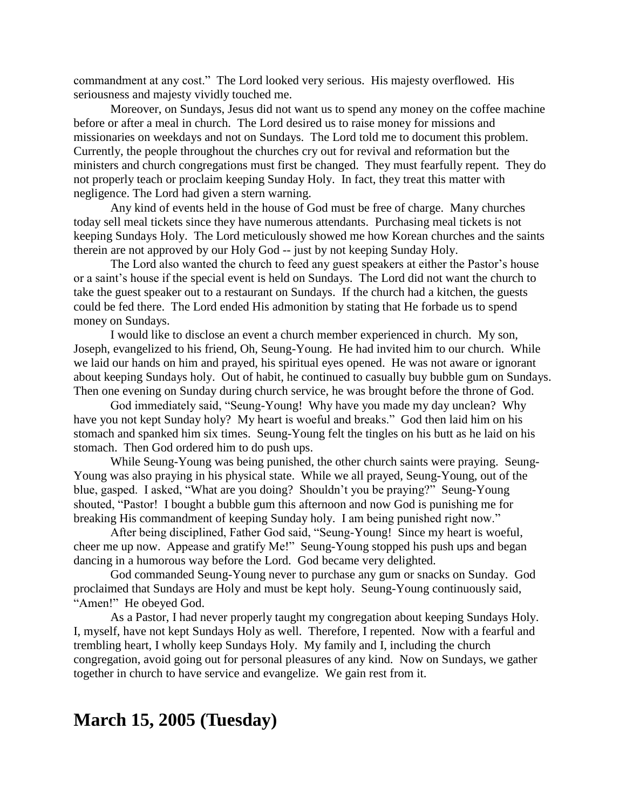commandment at any cost." The Lord looked very serious. His majesty overflowed. His seriousness and majesty vividly touched me.

Moreover, on Sundays, Jesus did not want us to spend any money on the coffee machine before or after a meal in church. The Lord desired us to raise money for missions and missionaries on weekdays and not on Sundays. The Lord told me to document this problem. Currently, the people throughout the churches cry out for revival and reformation but the ministers and church congregations must first be changed. They must fearfully repent. They do not properly teach or proclaim keeping Sunday Holy. In fact, they treat this matter with negligence. The Lord had given a stern warning.

Any kind of events held in the house of God must be free of charge. Many churches today sell meal tickets since they have numerous attendants. Purchasing meal tickets is not keeping Sundays Holy. The Lord meticulously showed me how Korean churches and the saints therein are not approved by our Holy God -- just by not keeping Sunday Holy.

The Lord also wanted the church to feed any guest speakers at either the Pastor's house or a saint"s house if the special event is held on Sundays. The Lord did not want the church to take the guest speaker out to a restaurant on Sundays. If the church had a kitchen, the guests could be fed there. The Lord ended His admonition by stating that He forbade us to spend money on Sundays.

I would like to disclose an event a church member experienced in church. My son, Joseph, evangelized to his friend, Oh, Seung-Young. He had invited him to our church. While we laid our hands on him and prayed, his spiritual eyes opened. He was not aware or ignorant about keeping Sundays holy. Out of habit, he continued to casually buy bubble gum on Sundays. Then one evening on Sunday during church service, he was brought before the throne of God.

God immediately said, "Seung-Young! Why have you made my day unclean? Why have you not kept Sunday holy? My heart is woeful and breaks." God then laid him on his stomach and spanked him six times. Seung-Young felt the tingles on his butt as he laid on his stomach. Then God ordered him to do push ups.

While Seung-Young was being punished, the other church saints were praying. Seung-Young was also praying in his physical state. While we all prayed, Seung-Young, out of the blue, gasped. I asked, "What are you doing? Shouldn"t you be praying?" Seung-Young shouted, "Pastor! I bought a bubble gum this afternoon and now God is punishing me for breaking His commandment of keeping Sunday holy. I am being punished right now."

After being disciplined, Father God said, "Seung-Young! Since my heart is woeful, cheer me up now. Appease and gratify Me!" Seung-Young stopped his push ups and began dancing in a humorous way before the Lord. God became very delighted.

God commanded Seung-Young never to purchase any gum or snacks on Sunday. God proclaimed that Sundays are Holy and must be kept holy. Seung-Young continuously said, "Amen!" He obeyed God.

As a Pastor, I had never properly taught my congregation about keeping Sundays Holy. I, myself, have not kept Sundays Holy as well. Therefore, I repented. Now with a fearful and trembling heart, I wholly keep Sundays Holy. My family and I, including the church congregation, avoid going out for personal pleasures of any kind. Now on Sundays, we gather together in church to have service and evangelize. We gain rest from it.

# **March 15, 2005 (Tuesday)**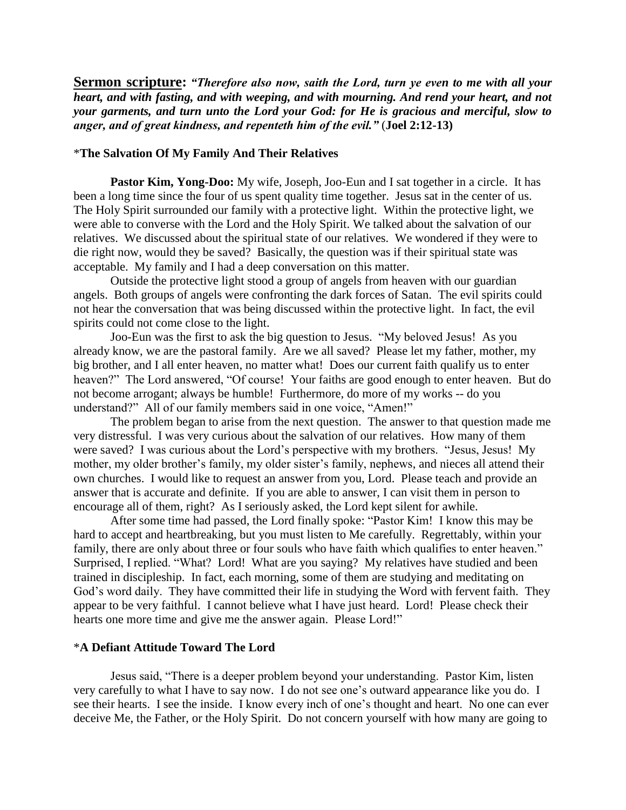**Sermon scripture:** *"Therefore also now, saith the Lord, turn ye even to me with all your heart, and with fasting, and with weeping, and with mourning. And rend your heart, and not your garments, and turn unto the Lord your God: for He is gracious and merciful, slow to anger, and of great kindness, and repenteth him of the evil."* (**Joel 2:12-13)**

#### \***The Salvation Of My Family And Their Relatives**

**Pastor Kim, Yong-Doo:** My wife, Joseph, Joo-Eun and I sat together in a circle. It has been a long time since the four of us spent quality time together. Jesus sat in the center of us. The Holy Spirit surrounded our family with a protective light. Within the protective light, we were able to converse with the Lord and the Holy Spirit. We talked about the salvation of our relatives. We discussed about the spiritual state of our relatives. We wondered if they were to die right now, would they be saved? Basically, the question was if their spiritual state was acceptable. My family and I had a deep conversation on this matter.

Outside the protective light stood a group of angels from heaven with our guardian angels. Both groups of angels were confronting the dark forces of Satan. The evil spirits could not hear the conversation that was being discussed within the protective light. In fact, the evil spirits could not come close to the light.

Joo-Eun was the first to ask the big question to Jesus. "My beloved Jesus! As you already know, we are the pastoral family. Are we all saved? Please let my father, mother, my big brother, and I all enter heaven, no matter what! Does our current faith qualify us to enter heaven?" The Lord answered, "Of course! Your faiths are good enough to enter heaven. But do not become arrogant; always be humble! Furthermore, do more of my works -- do you understand?" All of our family members said in one voice, "Amen!"

The problem began to arise from the next question. The answer to that question made me very distressful. I was very curious about the salvation of our relatives. How many of them were saved? I was curious about the Lord"s perspective with my brothers. "Jesus, Jesus! My mother, my older brother's family, my older sister's family, nephews, and nieces all attend their own churches. I would like to request an answer from you, Lord. Please teach and provide an answer that is accurate and definite. If you are able to answer, I can visit them in person to encourage all of them, right? As I seriously asked, the Lord kept silent for awhile.

After some time had passed, the Lord finally spoke: "Pastor Kim! I know this may be hard to accept and heartbreaking, but you must listen to Me carefully. Regrettably, within your family, there are only about three or four souls who have faith which qualifies to enter heaven." Surprised, I replied. "What? Lord! What are you saying? My relatives have studied and been trained in discipleship. In fact, each morning, some of them are studying and meditating on God"s word daily. They have committed their life in studying the Word with fervent faith. They appear to be very faithful. I cannot believe what I have just heard. Lord! Please check their hearts one more time and give me the answer again. Please Lord!"

### \***A Defiant Attitude Toward The Lord**

Jesus said, "There is a deeper problem beyond your understanding. Pastor Kim, listen very carefully to what I have to say now. I do not see one"s outward appearance like you do. I see their hearts. I see the inside. I know every inch of one"s thought and heart. No one can ever deceive Me, the Father, or the Holy Spirit. Do not concern yourself with how many are going to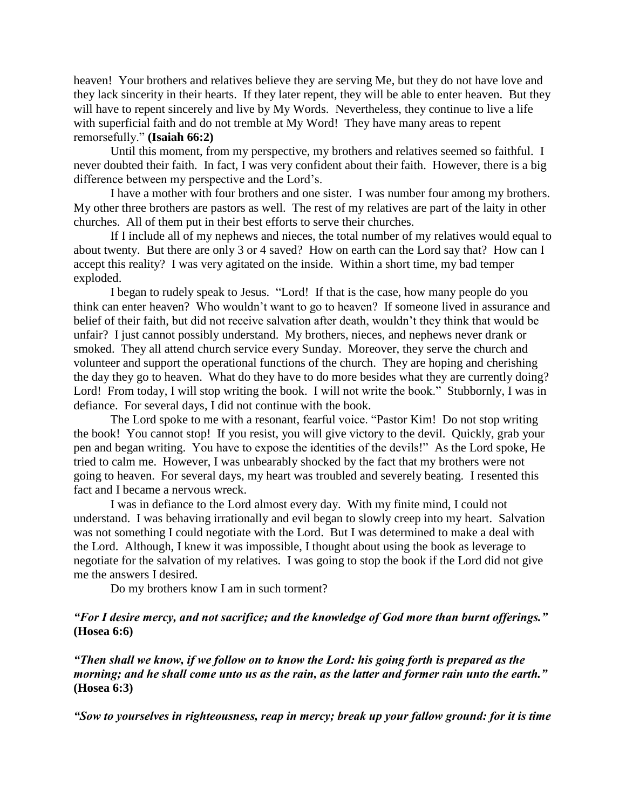heaven! Your brothers and relatives believe they are serving Me, but they do not have love and they lack sincerity in their hearts. If they later repent, they will be able to enter heaven. But they will have to repent sincerely and live by My Words. Nevertheless, they continue to live a life with superficial faith and do not tremble at My Word! They have many areas to repent remorsefully." **(Isaiah 66:2)**

Until this moment, from my perspective, my brothers and relatives seemed so faithful. I never doubted their faith. In fact, I was very confident about their faith. However, there is a big difference between my perspective and the Lord"s.

I have a mother with four brothers and one sister. I was number four among my brothers. My other three brothers are pastors as well. The rest of my relatives are part of the laity in other churches. All of them put in their best efforts to serve their churches.

If I include all of my nephews and nieces, the total number of my relatives would equal to about twenty. But there are only 3 or 4 saved? How on earth can the Lord say that? How can I accept this reality? I was very agitated on the inside. Within a short time, my bad temper exploded.

I began to rudely speak to Jesus. "Lord! If that is the case, how many people do you think can enter heaven? Who wouldn"t want to go to heaven? If someone lived in assurance and belief of their faith, but did not receive salvation after death, wouldn"t they think that would be unfair? I just cannot possibly understand. My brothers, nieces, and nephews never drank or smoked. They all attend church service every Sunday. Moreover, they serve the church and volunteer and support the operational functions of the church. They are hoping and cherishing the day they go to heaven. What do they have to do more besides what they are currently doing? Lord! From today, I will stop writing the book. I will not write the book." Stubbornly, I was in defiance. For several days, I did not continue with the book.

The Lord spoke to me with a resonant, fearful voice. "Pastor Kim! Do not stop writing the book! You cannot stop! If you resist, you will give victory to the devil. Quickly, grab your pen and began writing. You have to expose the identities of the devils!" As the Lord spoke, He tried to calm me. However, I was unbearably shocked by the fact that my brothers were not going to heaven. For several days, my heart was troubled and severely beating. I resented this fact and I became a nervous wreck.

I was in defiance to the Lord almost every day. With my finite mind, I could not understand. I was behaving irrationally and evil began to slowly creep into my heart. Salvation was not something I could negotiate with the Lord. But I was determined to make a deal with the Lord. Although, I knew it was impossible, I thought about using the book as leverage to negotiate for the salvation of my relatives. I was going to stop the book if the Lord did not give me the answers I desired.

Do my brothers know I am in such torment?

*"For I desire mercy, and not sacrifice; and the knowledge of God more than burnt offerings."* **(Hosea 6:6)**

*"Then shall we know, if we follow on to know the Lord: his going forth is prepared as the morning; and he shall come unto us as the rain, as the latter and former rain unto the earth."* **(Hosea 6:3)**

*"Sow to yourselves in righteousness, reap in mercy; break up your fallow ground: for it is time*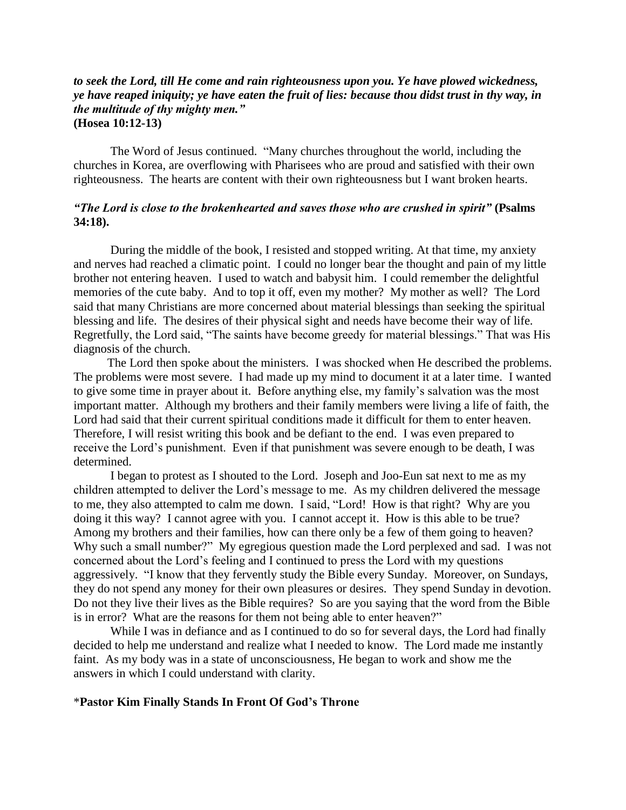## *to seek the Lord, till He come and rain righteousness upon you. Ye have plowed wickedness, ye have reaped iniquity; ye have eaten the fruit of lies: because thou didst trust in thy way, in the multitude of thy mighty men."* **(Hosea 10:12-13)**

The Word of Jesus continued. "Many churches throughout the world, including the churches in Korea, are overflowing with Pharisees who are proud and satisfied with their own righteousness. The hearts are content with their own righteousness but I want broken hearts.

# *"The Lord is close to the brokenhearted and saves those who are crushed in spirit"* **(Psalms 34:18).**

During the middle of the book, I resisted and stopped writing. At that time, my anxiety and nerves had reached a climatic point. I could no longer bear the thought and pain of my little brother not entering heaven. I used to watch and babysit him. I could remember the delightful memories of the cute baby. And to top it off, even my mother? My mother as well? The Lord said that many Christians are more concerned about material blessings than seeking the spiritual blessing and life. The desires of their physical sight and needs have become their way of life. Regretfully, the Lord said, "The saints have become greedy for material blessings." That was His diagnosis of the church.

The Lord then spoke about the ministers. I was shocked when He described the problems. The problems were most severe. I had made up my mind to document it at a later time. I wanted to give some time in prayer about it. Before anything else, my family"s salvation was the most important matter. Although my brothers and their family members were living a life of faith, the Lord had said that their current spiritual conditions made it difficult for them to enter heaven. Therefore, I will resist writing this book and be defiant to the end. I was even prepared to receive the Lord"s punishment. Even if that punishment was severe enough to be death, I was determined.

I began to protest as I shouted to the Lord. Joseph and Joo-Eun sat next to me as my children attempted to deliver the Lord"s message to me. As my children delivered the message to me, they also attempted to calm me down. I said, "Lord! How is that right? Why are you doing it this way? I cannot agree with you. I cannot accept it. How is this able to be true? Among my brothers and their families, how can there only be a few of them going to heaven? Why such a small number?" My egregious question made the Lord perplexed and sad. I was not concerned about the Lord"s feeling and I continued to press the Lord with my questions aggressively. "I know that they fervently study the Bible every Sunday. Moreover, on Sundays, they do not spend any money for their own pleasures or desires. They spend Sunday in devotion. Do not they live their lives as the Bible requires? So are you saying that the word from the Bible is in error? What are the reasons for them not being able to enter heaven?"

While I was in defiance and as I continued to do so for several days, the Lord had finally decided to help me understand and realize what I needed to know. The Lord made me instantly faint. As my body was in a state of unconsciousness, He began to work and show me the answers in which I could understand with clarity.

### \***Pastor Kim Finally Stands In Front Of God's Throne**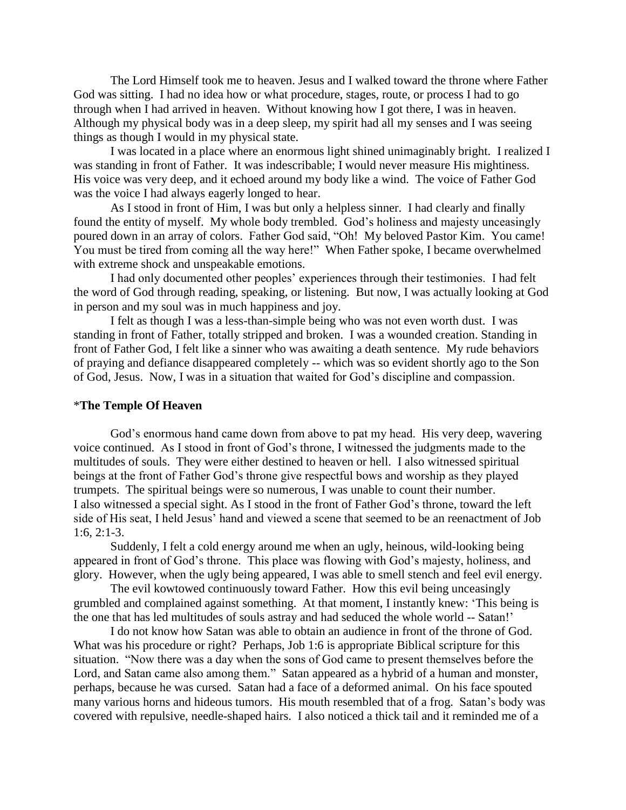The Lord Himself took me to heaven. Jesus and I walked toward the throne where Father God was sitting. I had no idea how or what procedure, stages, route, or process I had to go through when I had arrived in heaven. Without knowing how I got there, I was in heaven. Although my physical body was in a deep sleep, my spirit had all my senses and I was seeing things as though I would in my physical state.

I was located in a place where an enormous light shined unimaginably bright. I realized I was standing in front of Father. It was indescribable; I would never measure His mightiness. His voice was very deep, and it echoed around my body like a wind. The voice of Father God was the voice I had always eagerly longed to hear.

As I stood in front of Him, I was but only a helpless sinner. I had clearly and finally found the entity of myself. My whole body trembled. God"s holiness and majesty unceasingly poured down in an array of colors. Father God said, "Oh! My beloved Pastor Kim. You came! You must be tired from coming all the way here!" When Father spoke, I became overwhelmed with extreme shock and unspeakable emotions.

I had only documented other peoples" experiences through their testimonies. I had felt the word of God through reading, speaking, or listening. But now, I was actually looking at God in person and my soul was in much happiness and joy.

I felt as though I was a less-than-simple being who was not even worth dust. I was standing in front of Father, totally stripped and broken. I was a wounded creation. Standing in front of Father God, I felt like a sinner who was awaiting a death sentence. My rude behaviors of praying and defiance disappeared completely -- which was so evident shortly ago to the Son of God, Jesus. Now, I was in a situation that waited for God"s discipline and compassion.

### \***The Temple Of Heaven**

God"s enormous hand came down from above to pat my head. His very deep, wavering voice continued. As I stood in front of God"s throne, I witnessed the judgments made to the multitudes of souls. They were either destined to heaven or hell. I also witnessed spiritual beings at the front of Father God"s throne give respectful bows and worship as they played trumpets. The spiritual beings were so numerous, I was unable to count their number. I also witnessed a special sight. As I stood in the front of Father God"s throne, toward the left side of His seat. I held Jesus' hand and viewed a scene that seemed to be an reenactment of Job 1:6, 2:1-3.

Suddenly, I felt a cold energy around me when an ugly, heinous, wild-looking being appeared in front of God"s throne. This place was flowing with God"s majesty, holiness, and glory. However, when the ugly being appeared, I was able to smell stench and feel evil energy.

The evil kowtowed continuously toward Father. How this evil being unceasingly grumbled and complained against something. At that moment, I instantly knew: "This being is the one that has led multitudes of souls astray and had seduced the whole world -- Satan!"

I do not know how Satan was able to obtain an audience in front of the throne of God. What was his procedure or right? Perhaps, Job 1:6 is appropriate Biblical scripture for this situation. "Now there was a day when the sons of God came to present themselves before the Lord, and Satan came also among them." Satan appeared as a hybrid of a human and monster, perhaps, because he was cursed. Satan had a face of a deformed animal. On his face spouted many various horns and hideous tumors. His mouth resembled that of a frog. Satan"s body was covered with repulsive, needle-shaped hairs. I also noticed a thick tail and it reminded me of a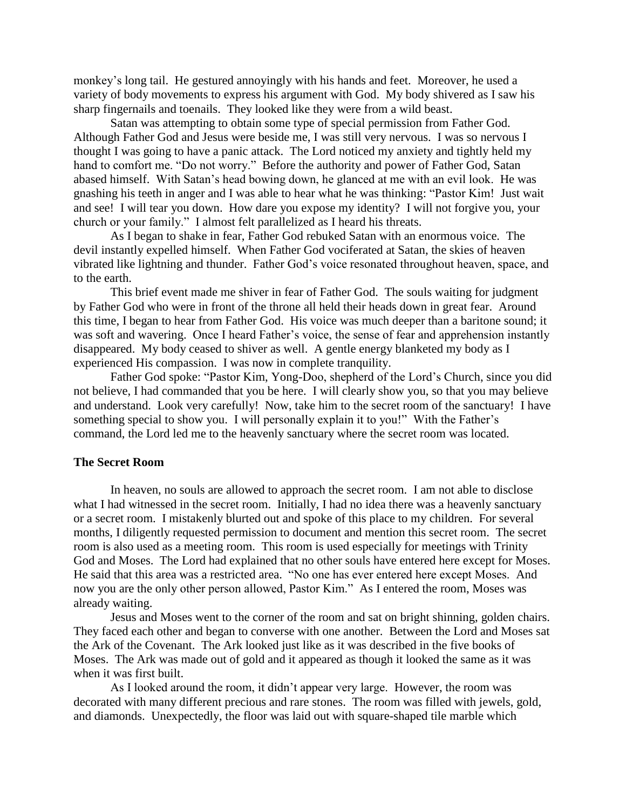monkey"s long tail. He gestured annoyingly with his hands and feet. Moreover, he used a variety of body movements to express his argument with God. My body shivered as I saw his sharp fingernails and toenails. They looked like they were from a wild beast.

Satan was attempting to obtain some type of special permission from Father God. Although Father God and Jesus were beside me, I was still very nervous. I was so nervous I thought I was going to have a panic attack. The Lord noticed my anxiety and tightly held my hand to comfort me. "Do not worry." Before the authority and power of Father God, Satan abased himself. With Satan"s head bowing down, he glanced at me with an evil look. He was gnashing his teeth in anger and I was able to hear what he was thinking: "Pastor Kim! Just wait and see! I will tear you down. How dare you expose my identity? I will not forgive you, your church or your family." I almost felt parallelized as I heard his threats.

As I began to shake in fear, Father God rebuked Satan with an enormous voice. The devil instantly expelled himself. When Father God vociferated at Satan, the skies of heaven vibrated like lightning and thunder. Father God"s voice resonated throughout heaven, space, and to the earth.

This brief event made me shiver in fear of Father God. The souls waiting for judgment by Father God who were in front of the throne all held their heads down in great fear. Around this time, I began to hear from Father God. His voice was much deeper than a baritone sound; it was soft and wavering. Once I heard Father's voice, the sense of fear and apprehension instantly disappeared. My body ceased to shiver as well. A gentle energy blanketed my body as I experienced His compassion. I was now in complete tranquility.

Father God spoke: "Pastor Kim, Yong-Doo, shepherd of the Lord"s Church, since you did not believe, I had commanded that you be here. I will clearly show you, so that you may believe and understand. Look very carefully! Now, take him to the secret room of the sanctuary! I have something special to show you. I will personally explain it to you!" With the Father's command, the Lord led me to the heavenly sanctuary where the secret room was located.

### **The Secret Room**

In heaven, no souls are allowed to approach the secret room. I am not able to disclose what I had witnessed in the secret room. Initially, I had no idea there was a heavenly sanctuary or a secret room. I mistakenly blurted out and spoke of this place to my children. For several months, I diligently requested permission to document and mention this secret room. The secret room is also used as a meeting room. This room is used especially for meetings with Trinity God and Moses. The Lord had explained that no other souls have entered here except for Moses. He said that this area was a restricted area. "No one has ever entered here except Moses. And now you are the only other person allowed, Pastor Kim." As I entered the room, Moses was already waiting.

Jesus and Moses went to the corner of the room and sat on bright shinning, golden chairs. They faced each other and began to converse with one another. Between the Lord and Moses sat the Ark of the Covenant. The Ark looked just like as it was described in the five books of Moses. The Ark was made out of gold and it appeared as though it looked the same as it was when it was first built.

As I looked around the room, it didn"t appear very large. However, the room was decorated with many different precious and rare stones. The room was filled with jewels, gold, and diamonds. Unexpectedly, the floor was laid out with square-shaped tile marble which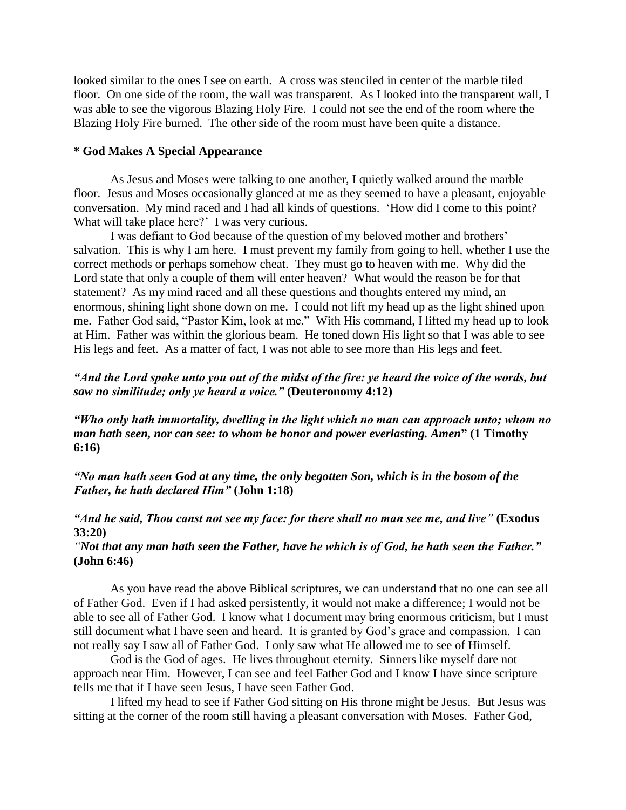looked similar to the ones I see on earth. A cross was stenciled in center of the marble tiled floor. On one side of the room, the wall was transparent. As I looked into the transparent wall, I was able to see the vigorous Blazing Holy Fire. I could not see the end of the room where the Blazing Holy Fire burned. The other side of the room must have been quite a distance.

### **\* God Makes A Special Appearance**

As Jesus and Moses were talking to one another, I quietly walked around the marble floor. Jesus and Moses occasionally glanced at me as they seemed to have a pleasant, enjoyable conversation. My mind raced and I had all kinds of questions. "How did I come to this point? What will take place here?' I was very curious.

I was defiant to God because of the question of my beloved mother and brothers" salvation. This is why I am here. I must prevent my family from going to hell, whether I use the correct methods or perhaps somehow cheat. They must go to heaven with me. Why did the Lord state that only a couple of them will enter heaven? What would the reason be for that statement? As my mind raced and all these questions and thoughts entered my mind, an enormous, shining light shone down on me. I could not lift my head up as the light shined upon me. Father God said, "Pastor Kim, look at me." With His command, I lifted my head up to look at Him. Father was within the glorious beam. He toned down His light so that I was able to see His legs and feet. As a matter of fact, I was not able to see more than His legs and feet.

# *"And the Lord spoke unto you out of the midst of the fire: ye heard the voice of the words, but saw no similitude; only ye heard a voice."* **(Deuteronomy 4:12)**

*"Who only hath immortality, dwelling in the light which no man can approach unto; whom no man hath seen, nor can see: to whom be honor and power everlasting. Amen***" (1 Timothy 6:16)**

*"No man hath seen God at any time, the only begotten Son, which is in the bosom of the Father, he hath declared Him"* **(John 1:18)**

*"And he said, Thou canst not see my face: for there shall no man see me, and live"* **(Exodus 33:20)**

*"Not that any man hath seen the Father, have he which is of God, he hath seen the Father."* **(John 6:46)**

As you have read the above Biblical scriptures, we can understand that no one can see all of Father God. Even if I had asked persistently, it would not make a difference; I would not be able to see all of Father God. I know what I document may bring enormous criticism, but I must still document what I have seen and heard. It is granted by God"s grace and compassion. I can not really say I saw all of Father God. I only saw what He allowed me to see of Himself.

God is the God of ages. He lives throughout eternity. Sinners like myself dare not approach near Him. However, I can see and feel Father God and I know I have since scripture tells me that if I have seen Jesus, I have seen Father God.

I lifted my head to see if Father God sitting on His throne might be Jesus. But Jesus was sitting at the corner of the room still having a pleasant conversation with Moses. Father God,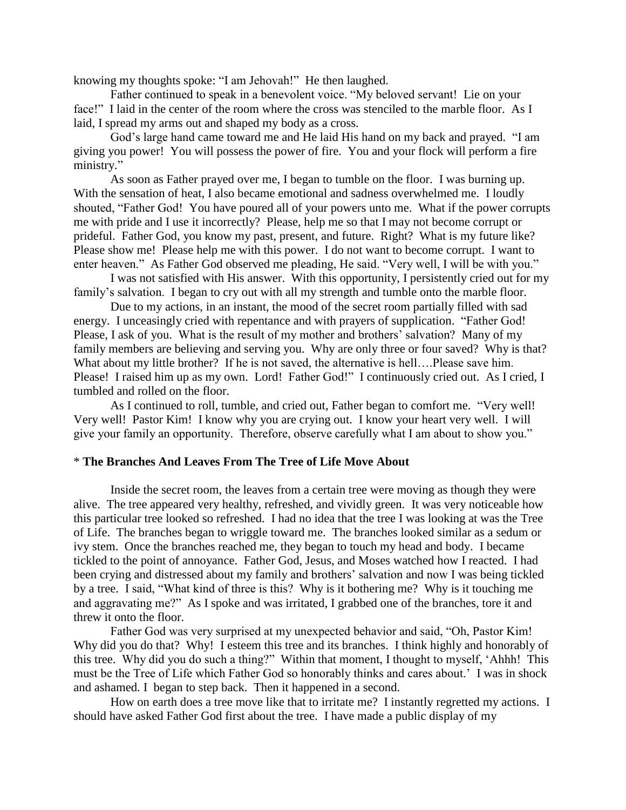knowing my thoughts spoke: "I am Jehovah!" He then laughed.

Father continued to speak in a benevolent voice. "My beloved servant! Lie on your face!" I laid in the center of the room where the cross was stenciled to the marble floor. As I laid, I spread my arms out and shaped my body as a cross.

God"s large hand came toward me and He laid His hand on my back and prayed. "I am giving you power! You will possess the power of fire. You and your flock will perform a fire ministry."

As soon as Father prayed over me, I began to tumble on the floor. I was burning up. With the sensation of heat, I also became emotional and sadness overwhelmed me. I loudly shouted, "Father God! You have poured all of your powers unto me. What if the power corrupts me with pride and I use it incorrectly? Please, help me so that I may not become corrupt or prideful. Father God, you know my past, present, and future. Right? What is my future like? Please show me! Please help me with this power. I do not want to become corrupt. I want to enter heaven." As Father God observed me pleading, He said. "Very well, I will be with you."

I was not satisfied with His answer. With this opportunity, I persistently cried out for my family's salvation. I began to cry out with all my strength and tumble onto the marble floor.

Due to my actions, in an instant, the mood of the secret room partially filled with sad energy. I unceasingly cried with repentance and with prayers of supplication. "Father God! Please, I ask of you. What is the result of my mother and brothers' salvation? Many of my family members are believing and serving you. Why are only three or four saved? Why is that? What about my little brother? If he is not saved, the alternative is hell….Please save him. Please! I raised him up as my own. Lord! Father God!" I continuously cried out. As I cried, I tumbled and rolled on the floor.

As I continued to roll, tumble, and cried out, Father began to comfort me. "Very well! Very well! Pastor Kim! I know why you are crying out. I know your heart very well. I will give your family an opportunity. Therefore, observe carefully what I am about to show you."

### \* **The Branches And Leaves From The Tree of Life Move About**

Inside the secret room, the leaves from a certain tree were moving as though they were alive. The tree appeared very healthy, refreshed, and vividly green. It was very noticeable how this particular tree looked so refreshed. I had no idea that the tree I was looking at was the Tree of Life. The branches began to wriggle toward me. The branches looked similar as a sedum or ivy stem. Once the branches reached me, they began to touch my head and body. I became tickled to the point of annoyance. Father God, Jesus, and Moses watched how I reacted. I had been crying and distressed about my family and brothers' salvation and now I was being tickled by a tree. I said, "What kind of three is this? Why is it bothering me? Why is it touching me and aggravating me?" As I spoke and was irritated, I grabbed one of the branches, tore it and threw it onto the floor.

Father God was very surprised at my unexpected behavior and said, "Oh, Pastor Kim! Why did you do that? Why! I esteem this tree and its branches. I think highly and honorably of this tree. Why did you do such a thing?" Within that moment, I thought to myself, "Ahhh! This must be the Tree of Life which Father God so honorably thinks and cares about." I was in shock and ashamed. I began to step back. Then it happened in a second.

How on earth does a tree move like that to irritate me? I instantly regretted my actions. I should have asked Father God first about the tree. I have made a public display of my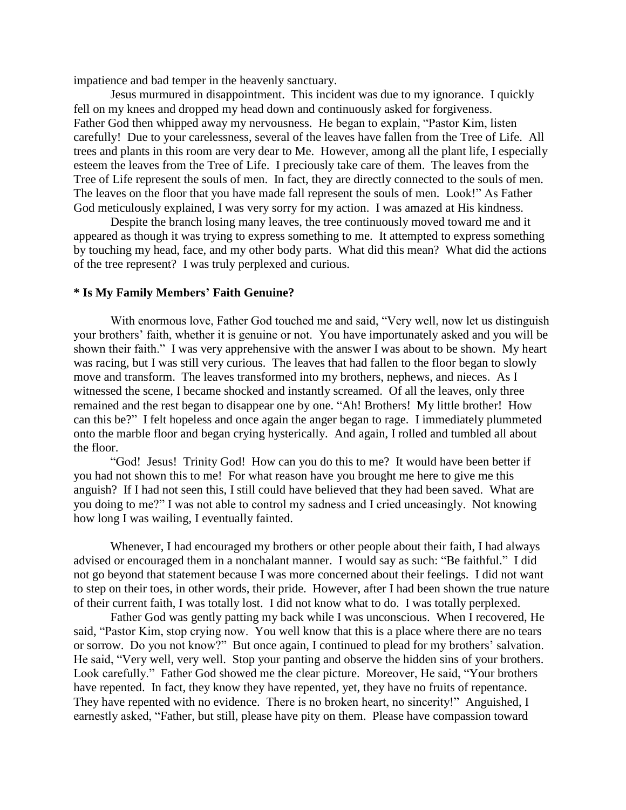impatience and bad temper in the heavenly sanctuary.

Jesus murmured in disappointment. This incident was due to my ignorance. I quickly fell on my knees and dropped my head down and continuously asked for forgiveness. Father God then whipped away my nervousness. He began to explain, "Pastor Kim, listen carefully! Due to your carelessness, several of the leaves have fallen from the Tree of Life. All trees and plants in this room are very dear to Me. However, among all the plant life, I especially esteem the leaves from the Tree of Life. I preciously take care of them. The leaves from the Tree of Life represent the souls of men. In fact, they are directly connected to the souls of men. The leaves on the floor that you have made fall represent the souls of men. Look!" As Father God meticulously explained, I was very sorry for my action. I was amazed at His kindness.

Despite the branch losing many leaves, the tree continuously moved toward me and it appeared as though it was trying to express something to me. It attempted to express something by touching my head, face, and my other body parts. What did this mean? What did the actions of the tree represent? I was truly perplexed and curious.

### **\* Is My Family Members' Faith Genuine?**

With enormous love, Father God touched me and said, "Very well, now let us distinguish your brothers' faith, whether it is genuine or not. You have importunately asked and you will be shown their faith." I was very apprehensive with the answer I was about to be shown. My heart was racing, but I was still very curious. The leaves that had fallen to the floor began to slowly move and transform. The leaves transformed into my brothers, nephews, and nieces. As I witnessed the scene, I became shocked and instantly screamed. Of all the leaves, only three remained and the rest began to disappear one by one. "Ah! Brothers! My little brother! How can this be?" I felt hopeless and once again the anger began to rage. I immediately plummeted onto the marble floor and began crying hysterically. And again, I rolled and tumbled all about the floor.

"God! Jesus! Trinity God! How can you do this to me? It would have been better if you had not shown this to me! For what reason have you brought me here to give me this anguish? If I had not seen this, I still could have believed that they had been saved. What are you doing to me?" I was not able to control my sadness and I cried unceasingly. Not knowing how long I was wailing, I eventually fainted.

Whenever, I had encouraged my brothers or other people about their faith, I had always advised or encouraged them in a nonchalant manner. I would say as such: "Be faithful." I did not go beyond that statement because I was more concerned about their feelings. I did not want to step on their toes, in other words, their pride. However, after I had been shown the true nature of their current faith, I was totally lost. I did not know what to do. I was totally perplexed.

Father God was gently patting my back while I was unconscious. When I recovered, He said, "Pastor Kim, stop crying now. You well know that this is a place where there are no tears or sorrow. Do you not know?" But once again, I continued to plead for my brothers" salvation. He said, "Very well, very well. Stop your panting and observe the hidden sins of your brothers. Look carefully." Father God showed me the clear picture. Moreover, He said, "Your brothers have repented. In fact, they know they have repented, yet, they have no fruits of repentance. They have repented with no evidence. There is no broken heart, no sincerity!" Anguished, I earnestly asked, "Father, but still, please have pity on them. Please have compassion toward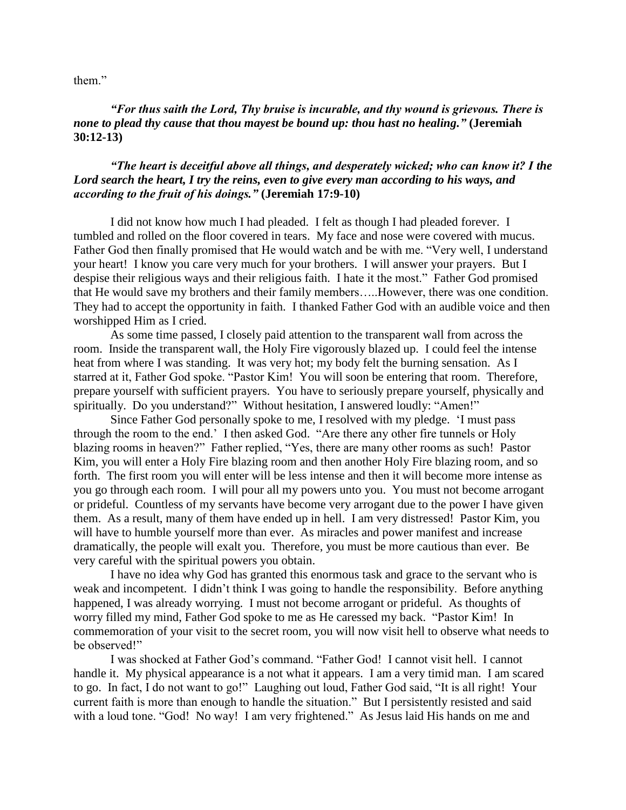them."

*"For thus saith the Lord, Thy bruise is incurable, and thy wound is grievous. There is none to plead thy cause that thou mayest be bound up: thou hast no healing."* **(Jeremiah 30:12-13)**

# *"The heart is deceitful above all things, and desperately wicked; who can know it? I the Lord search the heart, I try the reins, even to give every man according to his ways, and according to the fruit of his doings."* **(Jeremiah 17:9-10)**

I did not know how much I had pleaded. I felt as though I had pleaded forever. I tumbled and rolled on the floor covered in tears. My face and nose were covered with mucus. Father God then finally promised that He would watch and be with me. "Very well, I understand your heart! I know you care very much for your brothers. I will answer your prayers. But I despise their religious ways and their religious faith. I hate it the most." Father God promised that He would save my brothers and their family members…..However, there was one condition. They had to accept the opportunity in faith. I thanked Father God with an audible voice and then worshipped Him as I cried.

As some time passed, I closely paid attention to the transparent wall from across the room. Inside the transparent wall, the Holy Fire vigorously blazed up. I could feel the intense heat from where I was standing. It was very hot; my body felt the burning sensation. As I starred at it, Father God spoke. "Pastor Kim! You will soon be entering that room. Therefore, prepare yourself with sufficient prayers. You have to seriously prepare yourself, physically and spiritually. Do you understand?" Without hesitation, I answered loudly: "Amen!"

Since Father God personally spoke to me, I resolved with my pledge. "I must pass through the room to the end." I then asked God. "Are there any other fire tunnels or Holy blazing rooms in heaven?" Father replied, "Yes, there are many other rooms as such! Pastor Kim, you will enter a Holy Fire blazing room and then another Holy Fire blazing room, and so forth. The first room you will enter will be less intense and then it will become more intense as you go through each room. I will pour all my powers unto you. You must not become arrogant or prideful. Countless of my servants have become very arrogant due to the power I have given them. As a result, many of them have ended up in hell. I am very distressed! Pastor Kim, you will have to humble yourself more than ever. As miracles and power manifest and increase dramatically, the people will exalt you. Therefore, you must be more cautious than ever. Be very careful with the spiritual powers you obtain.

I have no idea why God has granted this enormous task and grace to the servant who is weak and incompetent. I didn't think I was going to handle the responsibility. Before anything happened, I was already worrying. I must not become arrogant or prideful. As thoughts of worry filled my mind, Father God spoke to me as He caressed my back. "Pastor Kim! In commemoration of your visit to the secret room, you will now visit hell to observe what needs to be observed!"

I was shocked at Father God"s command. "Father God! I cannot visit hell. I cannot handle it. My physical appearance is a not what it appears. I am a very timid man. I am scared to go. In fact, I do not want to go!" Laughing out loud, Father God said, "It is all right! Your current faith is more than enough to handle the situation." But I persistently resisted and said with a loud tone. "God! No way! I am very frightened." As Jesus laid His hands on me and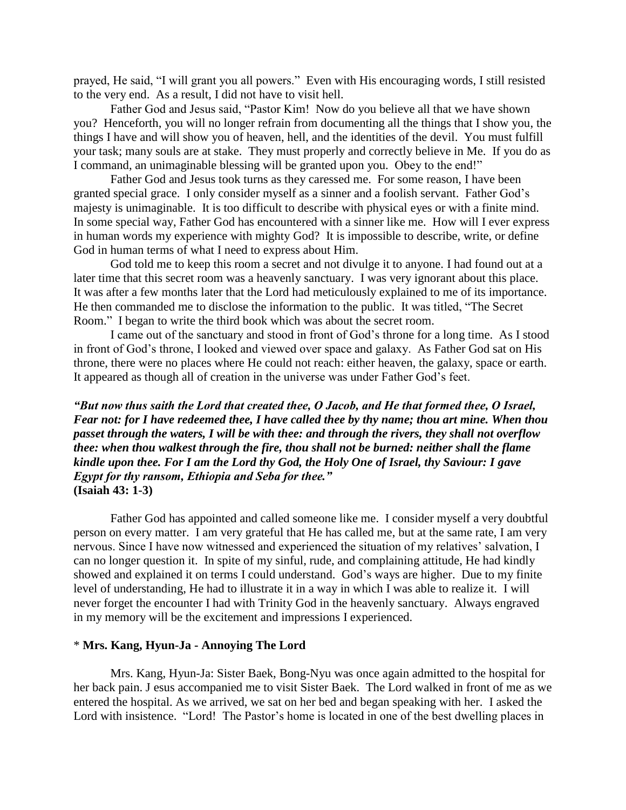prayed, He said, "I will grant you all powers." Even with His encouraging words, I still resisted to the very end. As a result, I did not have to visit hell.

Father God and Jesus said, "Pastor Kim! Now do you believe all that we have shown you? Henceforth, you will no longer refrain from documenting all the things that I show you, the things I have and will show you of heaven, hell, and the identities of the devil. You must fulfill your task; many souls are at stake. They must properly and correctly believe in Me. If you do as I command, an unimaginable blessing will be granted upon you. Obey to the end!"

Father God and Jesus took turns as they caressed me. For some reason, I have been granted special grace. I only consider myself as a sinner and a foolish servant. Father God"s majesty is unimaginable. It is too difficult to describe with physical eyes or with a finite mind. In some special way, Father God has encountered with a sinner like me. How will I ever express in human words my experience with mighty God? It is impossible to describe, write, or define God in human terms of what I need to express about Him.

God told me to keep this room a secret and not divulge it to anyone. I had found out at a later time that this secret room was a heavenly sanctuary. I was very ignorant about this place. It was after a few months later that the Lord had meticulously explained to me of its importance. He then commanded me to disclose the information to the public. It was titled, "The Secret Room." I began to write the third book which was about the secret room.

I came out of the sanctuary and stood in front of God"s throne for a long time. As I stood in front of God"s throne, I looked and viewed over space and galaxy. As Father God sat on His throne, there were no places where He could not reach: either heaven, the galaxy, space or earth. It appeared as though all of creation in the universe was under Father God"s feet.

*"But now thus saith the Lord that created thee, O Jacob, and He that formed thee, O Israel, Fear not: for I have redeemed thee, I have called thee by thy name; thou art mine. When thou passet through the waters, I will be with thee: and through the rivers, they shall not overflow thee: when thou walkest through the fire, thou shall not be burned: neither shall the flame kindle upon thee. For I am the Lord thy God, the Holy One of Israel, thy Saviour: I gave Egypt for thy ransom, Ethiopia and Seba for thee."*  **(Isaiah 43: 1-3)**

Father God has appointed and called someone like me. I consider myself a very doubtful person on every matter. I am very grateful that He has called me, but at the same rate, I am very nervous. Since I have now witnessed and experienced the situation of my relatives' salvation, I can no longer question it. In spite of my sinful, rude, and complaining attitude, He had kindly showed and explained it on terms I could understand. God"s ways are higher. Due to my finite level of understanding, He had to illustrate it in a way in which I was able to realize it. I will never forget the encounter I had with Trinity God in the heavenly sanctuary. Always engraved in my memory will be the excitement and impressions I experienced.

### \* **Mrs. Kang, Hyun-Ja - Annoying The Lord**

Mrs. Kang, Hyun-Ja: Sister Baek, Bong-Nyu was once again admitted to the hospital for her back pain. J esus accompanied me to visit Sister Baek. The Lord walked in front of me as we entered the hospital. As we arrived, we sat on her bed and began speaking with her. I asked the Lord with insistence. "Lord! The Pastor's home is located in one of the best dwelling places in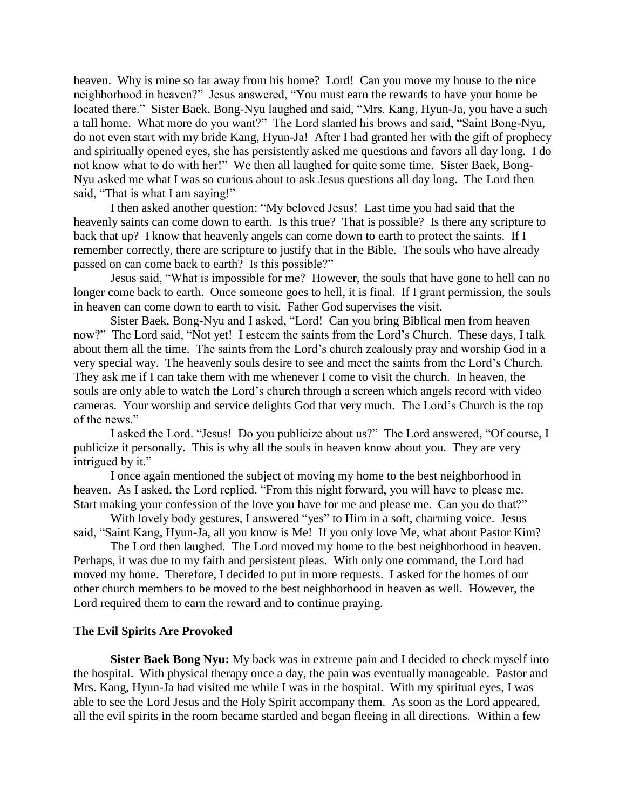heaven. Why is mine so far away from his home? Lord! Can you move my house to the nice neighborhood in heaven?" Jesus answered, "You must earn the rewards to have your home be located there." Sister Baek, Bong-Nyu laughed and said, "Mrs. Kang, Hyun-Ja, you have a such a tall home. What more do you want?" The Lord slanted his brows and said, "Saint Bong-Nyu, do not even start with my bride Kang, Hyun-Ja! After I had granted her with the gift of prophecy and spiritually opened eyes, she has persistently asked me questions and favors all day long. I do not know what to do with her!" We then all laughed for quite some time. Sister Baek, Bong-Nyu asked me what I was so curious about to ask Jesus questions all day long. The Lord then said, "That is what I am saying!"

I then asked another question: "My beloved Jesus! Last time you had said that the heavenly saints can come down to earth. Is this true? That is possible? Is there any scripture to back that up? I know that heavenly angels can come down to earth to protect the saints. If I remember correctly, there are scripture to justify that in the Bible. The souls who have already passed on can come back to earth? Is this possible?"

Jesus said, "What is impossible for me? However, the souls that have gone to hell can no longer come back to earth. Once someone goes to hell, it is final. If I grant permission, the souls in heaven can come down to earth to visit. Father God supervises the visit.

Sister Baek, Bong-Nyu and I asked, "Lord! Can you bring Biblical men from heaven now?" The Lord said, "Not yet! I esteem the saints from the Lord"s Church. These days, I talk about them all the time. The saints from the Lord"s church zealously pray and worship God in a very special way. The heavenly souls desire to see and meet the saints from the Lord"s Church. They ask me if I can take them with me whenever I come to visit the church. In heaven, the souls are only able to watch the Lord"s church through a screen which angels record with video cameras. Your worship and service delights God that very much. The Lord"s Church is the top of the news."

I asked the Lord. "Jesus! Do you publicize about us?" The Lord answered, "Of course, I publicize it personally. This is why all the souls in heaven know about you. They are very intrigued by it."

I once again mentioned the subject of moving my home to the best neighborhood in heaven. As I asked, the Lord replied. "From this night forward, you will have to please me. Start making your confession of the love you have for me and please me. Can you do that?"

With lovely body gestures, I answered "yes" to Him in a soft, charming voice. Jesus said, "Saint Kang, Hyun-Ja, all you know is Me! If you only love Me, what about Pastor Kim?

The Lord then laughed. The Lord moved my home to the best neighborhood in heaven. Perhaps, it was due to my faith and persistent pleas. With only one command, the Lord had moved my home. Therefore, I decided to put in more requests. I asked for the homes of our other church members to be moved to the best neighborhood in heaven as well. However, the Lord required them to earn the reward and to continue praying.

### **The Evil Spirits Are Provoked**

**Sister Baek Bong Nyu:** My back was in extreme pain and I decided to check myself into the hospital. With physical therapy once a day, the pain was eventually manageable. Pastor and Mrs. Kang, Hyun-Ja had visited me while I was in the hospital. With my spiritual eyes, I was able to see the Lord Jesus and the Holy Spirit accompany them. As soon as the Lord appeared, all the evil spirits in the room became startled and began fleeing in all directions. Within a few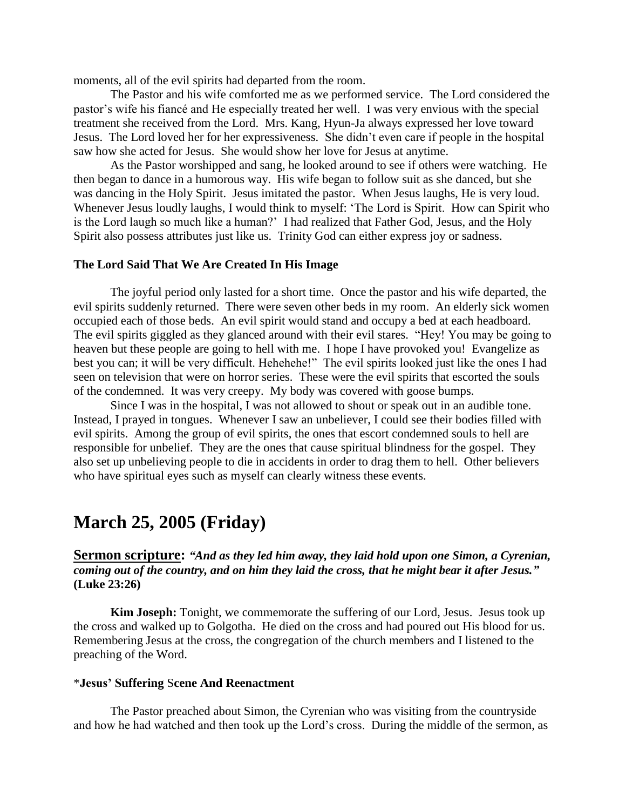moments, all of the evil spirits had departed from the room.

The Pastor and his wife comforted me as we performed service. The Lord considered the pastor"s wife his fiancé and He especially treated her well. I was very envious with the special treatment she received from the Lord. Mrs. Kang, Hyun-Ja always expressed her love toward Jesus. The Lord loved her for her expressiveness. She didn"t even care if people in the hospital saw how she acted for Jesus. She would show her love for Jesus at anytime.

As the Pastor worshipped and sang, he looked around to see if others were watching. He then began to dance in a humorous way. His wife began to follow suit as she danced, but she was dancing in the Holy Spirit. Jesus imitated the pastor. When Jesus laughs, He is very loud. Whenever Jesus loudly laughs, I would think to myself: "The Lord is Spirit. How can Spirit who is the Lord laugh so much like a human?" I had realized that Father God, Jesus, and the Holy Spirit also possess attributes just like us. Trinity God can either express joy or sadness.

### **The Lord Said That We Are Created In His Image**

The joyful period only lasted for a short time. Once the pastor and his wife departed, the evil spirits suddenly returned. There were seven other beds in my room. An elderly sick women occupied each of those beds. An evil spirit would stand and occupy a bed at each headboard. The evil spirits giggled as they glanced around with their evil stares. "Hey! You may be going to heaven but these people are going to hell with me. I hope I have provoked you! Evangelize as best you can; it will be very difficult. Hehehehe!" The evil spirits looked just like the ones I had seen on television that were on horror series. These were the evil spirits that escorted the souls of the condemned. It was very creepy. My body was covered with goose bumps.

Since I was in the hospital, I was not allowed to shout or speak out in an audible tone. Instead, I prayed in tongues. Whenever I saw an unbeliever, I could see their bodies filled with evil spirits. Among the group of evil spirits, the ones that escort condemned souls to hell are responsible for unbelief. They are the ones that cause spiritual blindness for the gospel. They also set up unbelieving people to die in accidents in order to drag them to hell. Other believers who have spiritual eyes such as myself can clearly witness these events.

# **March 25, 2005 (Friday)**

**Sermon scripture:** *"And as they led him away, they laid hold upon one Simon, a Cyrenian, coming out of the country, and on him they laid the cross, that he might bear it after Jesus."* **(Luke 23:26)**

**Kim Joseph:** Tonight, we commemorate the suffering of our Lord, Jesus. Jesus took up the cross and walked up to Golgotha. He died on the cross and had poured out His blood for us. Remembering Jesus at the cross, the congregation of the church members and I listened to the preaching of the Word.

### \***Jesus' Suffering** S**cene And Reenactment**

The Pastor preached about Simon, the Cyrenian who was visiting from the countryside and how he had watched and then took up the Lord"s cross. During the middle of the sermon, as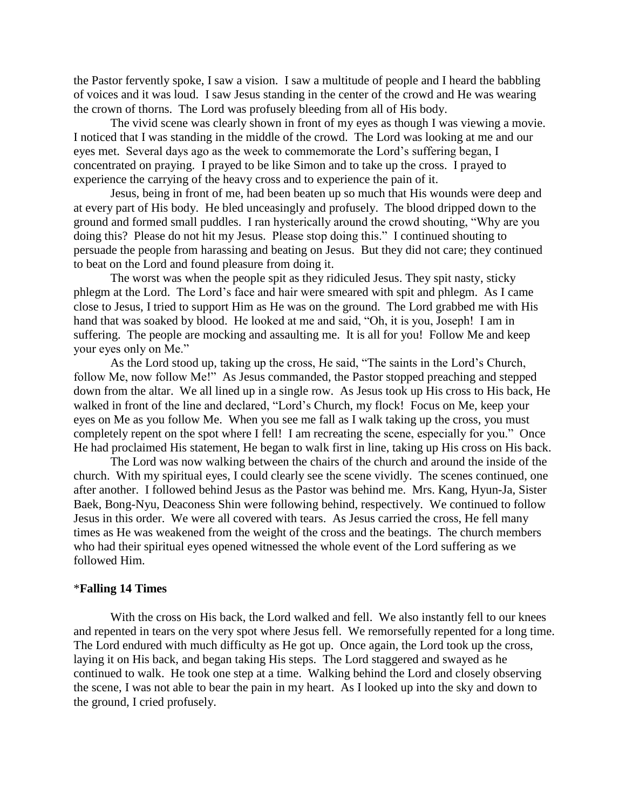the Pastor fervently spoke, I saw a vision. I saw a multitude of people and I heard the babbling of voices and it was loud. I saw Jesus standing in the center of the crowd and He was wearing the crown of thorns. The Lord was profusely bleeding from all of His body.

The vivid scene was clearly shown in front of my eyes as though I was viewing a movie. I noticed that I was standing in the middle of the crowd. The Lord was looking at me and our eyes met. Several days ago as the week to commemorate the Lord"s suffering began, I concentrated on praying. I prayed to be like Simon and to take up the cross. I prayed to experience the carrying of the heavy cross and to experience the pain of it.

Jesus, being in front of me, had been beaten up so much that His wounds were deep and at every part of His body. He bled unceasingly and profusely. The blood dripped down to the ground and formed small puddles. I ran hysterically around the crowd shouting, "Why are you doing this? Please do not hit my Jesus. Please stop doing this." I continued shouting to persuade the people from harassing and beating on Jesus. But they did not care; they continued to beat on the Lord and found pleasure from doing it.

The worst was when the people spit as they ridiculed Jesus. They spit nasty, sticky phlegm at the Lord. The Lord"s face and hair were smeared with spit and phlegm. As I came close to Jesus, I tried to support Him as He was on the ground. The Lord grabbed me with His hand that was soaked by blood. He looked at me and said, "Oh, it is you, Joseph! I am in suffering. The people are mocking and assaulting me. It is all for you! Follow Me and keep your eyes only on Me."

As the Lord stood up, taking up the cross, He said, "The saints in the Lord"s Church, follow Me, now follow Me!" As Jesus commanded, the Pastor stopped preaching and stepped down from the altar. We all lined up in a single row. As Jesus took up His cross to His back, He walked in front of the line and declared, "Lord's Church, my flock! Focus on Me, keep your eyes on Me as you follow Me. When you see me fall as I walk taking up the cross, you must completely repent on the spot where I fell! I am recreating the scene, especially for you." Once He had proclaimed His statement, He began to walk first in line, taking up His cross on His back.

The Lord was now walking between the chairs of the church and around the inside of the church. With my spiritual eyes, I could clearly see the scene vividly. The scenes continued, one after another. I followed behind Jesus as the Pastor was behind me. Mrs. Kang, Hyun-Ja, Sister Baek, Bong-Nyu, Deaconess Shin were following behind, respectively. We continued to follow Jesus in this order. We were all covered with tears. As Jesus carried the cross, He fell many times as He was weakened from the weight of the cross and the beatings. The church members who had their spiritual eyes opened witnessed the whole event of the Lord suffering as we followed Him.

### \***Falling 14 Times**

With the cross on His back, the Lord walked and fell. We also instantly fell to our knees and repented in tears on the very spot where Jesus fell. We remorsefully repented for a long time. The Lord endured with much difficulty as He got up. Once again, the Lord took up the cross, laying it on His back, and began taking His steps. The Lord staggered and swayed as he continued to walk. He took one step at a time. Walking behind the Lord and closely observing the scene, I was not able to bear the pain in my heart. As I looked up into the sky and down to the ground, I cried profusely.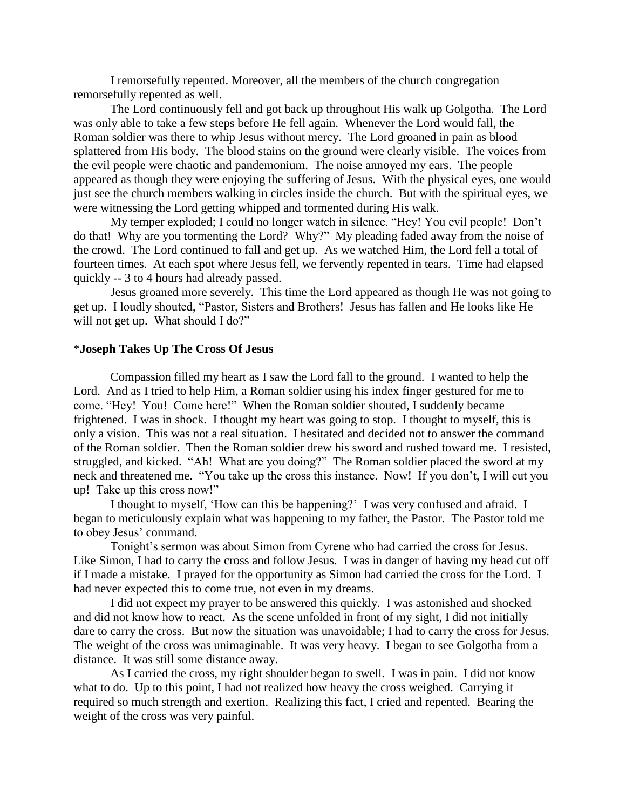I remorsefully repented. Moreover, all the members of the church congregation remorsefully repented as well.

The Lord continuously fell and got back up throughout His walk up Golgotha. The Lord was only able to take a few steps before He fell again. Whenever the Lord would fall, the Roman soldier was there to whip Jesus without mercy. The Lord groaned in pain as blood splattered from His body. The blood stains on the ground were clearly visible. The voices from the evil people were chaotic and pandemonium. The noise annoyed my ears. The people appeared as though they were enjoying the suffering of Jesus. With the physical eyes, one would just see the church members walking in circles inside the church. But with the spiritual eyes, we were witnessing the Lord getting whipped and tormented during His walk.

My temper exploded; I could no longer watch in silence. "Hey! You evil people! Don"t do that! Why are you tormenting the Lord? Why?" My pleading faded away from the noise of the crowd. The Lord continued to fall and get up. As we watched Him, the Lord fell a total of fourteen times. At each spot where Jesus fell, we fervently repented in tears. Time had elapsed quickly -- 3 to 4 hours had already passed.

Jesus groaned more severely. This time the Lord appeared as though He was not going to get up. I loudly shouted, "Pastor, Sisters and Brothers! Jesus has fallen and He looks like He will not get up. What should I do?"

#### \***Joseph Takes Up The Cross Of Jesus**

Compassion filled my heart as I saw the Lord fall to the ground. I wanted to help the Lord. And as I tried to help Him, a Roman soldier using his index finger gestured for me to come. "Hey! You! Come here!" When the Roman soldier shouted, I suddenly became frightened. I was in shock. I thought my heart was going to stop. I thought to myself, this is only a vision. This was not a real situation. I hesitated and decided not to answer the command of the Roman soldier. Then the Roman soldier drew his sword and rushed toward me. I resisted, struggled, and kicked. "Ah! What are you doing?" The Roman soldier placed the sword at my neck and threatened me. "You take up the cross this instance. Now! If you don"t, I will cut you up! Take up this cross now!"

I thought to myself, "How can this be happening?" I was very confused and afraid. I began to meticulously explain what was happening to my father, the Pastor. The Pastor told me to obey Jesus' command.

Tonight's sermon was about Simon from Cyrene who had carried the cross for Jesus. Like Simon, I had to carry the cross and follow Jesus. I was in danger of having my head cut off if I made a mistake. I prayed for the opportunity as Simon had carried the cross for the Lord. I had never expected this to come true, not even in my dreams.

I did not expect my prayer to be answered this quickly. I was astonished and shocked and did not know how to react. As the scene unfolded in front of my sight, I did not initially dare to carry the cross. But now the situation was unavoidable; I had to carry the cross for Jesus. The weight of the cross was unimaginable. It was very heavy. I began to see Golgotha from a distance. It was still some distance away.

As I carried the cross, my right shoulder began to swell. I was in pain. I did not know what to do. Up to this point, I had not realized how heavy the cross weighed. Carrying it required so much strength and exertion. Realizing this fact, I cried and repented. Bearing the weight of the cross was very painful.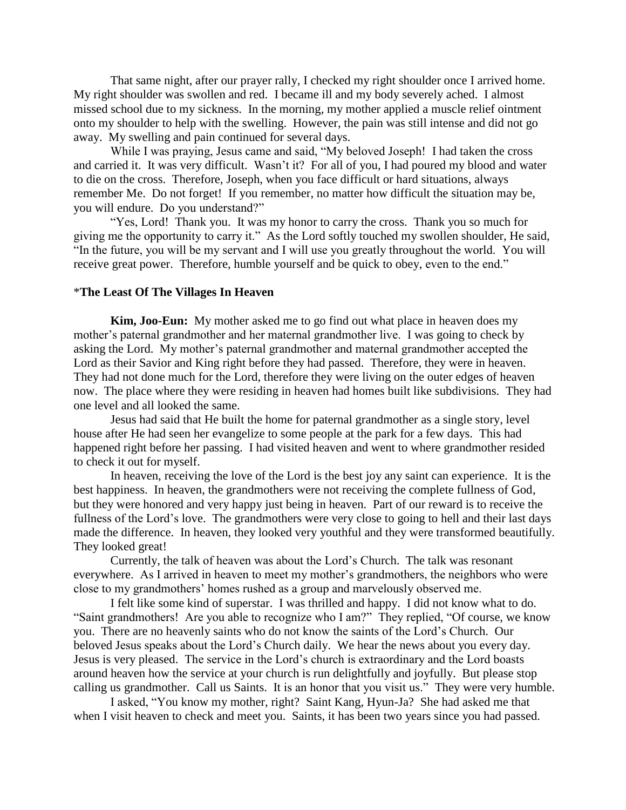That same night, after our prayer rally, I checked my right shoulder once I arrived home. My right shoulder was swollen and red. I became ill and my body severely ached. I almost missed school due to my sickness. In the morning, my mother applied a muscle relief ointment onto my shoulder to help with the swelling. However, the pain was still intense and did not go away. My swelling and pain continued for several days.

While I was praying, Jesus came and said, "My beloved Joseph! I had taken the cross and carried it. It was very difficult. Wasn"t it? For all of you, I had poured my blood and water to die on the cross. Therefore, Joseph, when you face difficult or hard situations, always remember Me. Do not forget! If you remember, no matter how difficult the situation may be, you will endure. Do you understand?"

"Yes, Lord! Thank you. It was my honor to carry the cross. Thank you so much for giving me the opportunity to carry it." As the Lord softly touched my swollen shoulder, He said, "In the future, you will be my servant and I will use you greatly throughout the world. You will receive great power. Therefore, humble yourself and be quick to obey, even to the end."

#### \***The Least Of The Villages In Heaven**

**Kim, Joo-Eun:** My mother asked me to go find out what place in heaven does my mother"s paternal grandmother and her maternal grandmother live. I was going to check by asking the Lord. My mother"s paternal grandmother and maternal grandmother accepted the Lord as their Savior and King right before they had passed. Therefore, they were in heaven. They had not done much for the Lord, therefore they were living on the outer edges of heaven now. The place where they were residing in heaven had homes built like subdivisions. They had one level and all looked the same.

Jesus had said that He built the home for paternal grandmother as a single story, level house after He had seen her evangelize to some people at the park for a few days. This had happened right before her passing. I had visited heaven and went to where grandmother resided to check it out for myself.

In heaven, receiving the love of the Lord is the best joy any saint can experience. It is the best happiness. In heaven, the grandmothers were not receiving the complete fullness of God, but they were honored and very happy just being in heaven. Part of our reward is to receive the fullness of the Lord"s love. The grandmothers were very close to going to hell and their last days made the difference. In heaven, they looked very youthful and they were transformed beautifully. They looked great!

Currently, the talk of heaven was about the Lord"s Church. The talk was resonant everywhere. As I arrived in heaven to meet my mother's grandmothers, the neighbors who were close to my grandmothers" homes rushed as a group and marvelously observed me.

I felt like some kind of superstar. I was thrilled and happy. I did not know what to do. "Saint grandmothers! Are you able to recognize who I am?" They replied, "Of course, we know you. There are no heavenly saints who do not know the saints of the Lord"s Church. Our beloved Jesus speaks about the Lord"s Church daily. We hear the news about you every day. Jesus is very pleased. The service in the Lord"s church is extraordinary and the Lord boasts around heaven how the service at your church is run delightfully and joyfully. But please stop calling us grandmother. Call us Saints. It is an honor that you visit us." They were very humble.

I asked, "You know my mother, right? Saint Kang, Hyun-Ja? She had asked me that when I visit heaven to check and meet you. Saints, it has been two years since you had passed.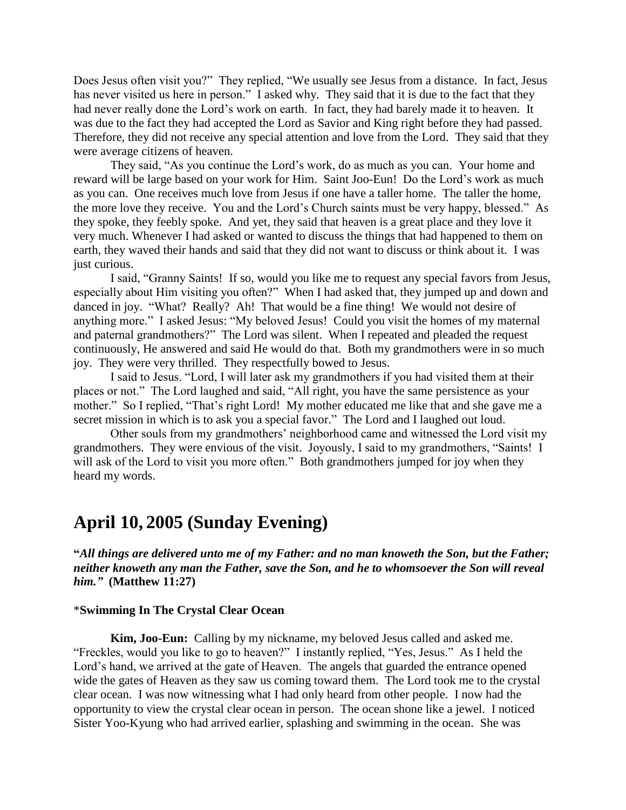Does Jesus often visit you?" They replied, "We usually see Jesus from a distance. In fact, Jesus has never visited us here in person." I asked why. They said that it is due to the fact that they had never really done the Lord"s work on earth. In fact, they had barely made it to heaven. It was due to the fact they had accepted the Lord as Savior and King right before they had passed. Therefore, they did not receive any special attention and love from the Lord. They said that they were average citizens of heaven.

They said, "As you continue the Lord"s work, do as much as you can. Your home and reward will be large based on your work for Him. Saint Joo-Eun! Do the Lord"s work as much as you can. One receives much love from Jesus if one have a taller home. The taller the home, the more love they receive. You and the Lord"s Church saints must be very happy, blessed." As they spoke, they feebly spoke. And yet, they said that heaven is a great place and they love it very much. Whenever I had asked or wanted to discuss the things that had happened to them on earth, they waved their hands and said that they did not want to discuss or think about it. I was just curious.

I said, "Granny Saints! If so, would you like me to request any special favors from Jesus, especially about Him visiting you often?" When I had asked that, they jumped up and down and danced in joy. "What? Really? Ah! That would be a fine thing! We would not desire of anything more." I asked Jesus: "My beloved Jesus! Could you visit the homes of my maternal and paternal grandmothers?" The Lord was silent. When I repeated and pleaded the request continuously, He answered and said He would do that. Both my grandmothers were in so much joy. They were very thrilled. They respectfully bowed to Jesus.

I said to Jesus. "Lord, I will later ask my grandmothers if you had visited them at their places or not." The Lord laughed and said, "All right, you have the same persistence as your mother." So I replied, "That's right Lord! My mother educated me like that and she gave me a secret mission in which is to ask you a special favor." The Lord and I laughed out loud.

Other souls from my grandmothers" neighborhood came and witnessed the Lord visit my grandmothers. They were envious of the visit. Joyously, I said to my grandmothers, "Saints! I will ask of the Lord to visit you more often." Both grandmothers jumped for joy when they heard my words.

# **April 10, 2005 (Sunday Evening)**

**"***All things are delivered unto me of my Father: and no man knoweth the Son, but the Father; neither knoweth any man the Father, save the Son, and he to whomsoever the Son will reveal him."* **(Matthew 11:27)**

## \***Swimming In The Crystal Clear Ocean**

**Kim, Joo-Eun:** Calling by my nickname, my beloved Jesus called and asked me. "Freckles, would you like to go to heaven?" I instantly replied, "Yes, Jesus." As I held the Lord"s hand, we arrived at the gate of Heaven. The angels that guarded the entrance opened wide the gates of Heaven as they saw us coming toward them. The Lord took me to the crystal clear ocean. I was now witnessing what I had only heard from other people. I now had the opportunity to view the crystal clear ocean in person. The ocean shone like a jewel. I noticed Sister Yoo-Kyung who had arrived earlier, splashing and swimming in the ocean. She was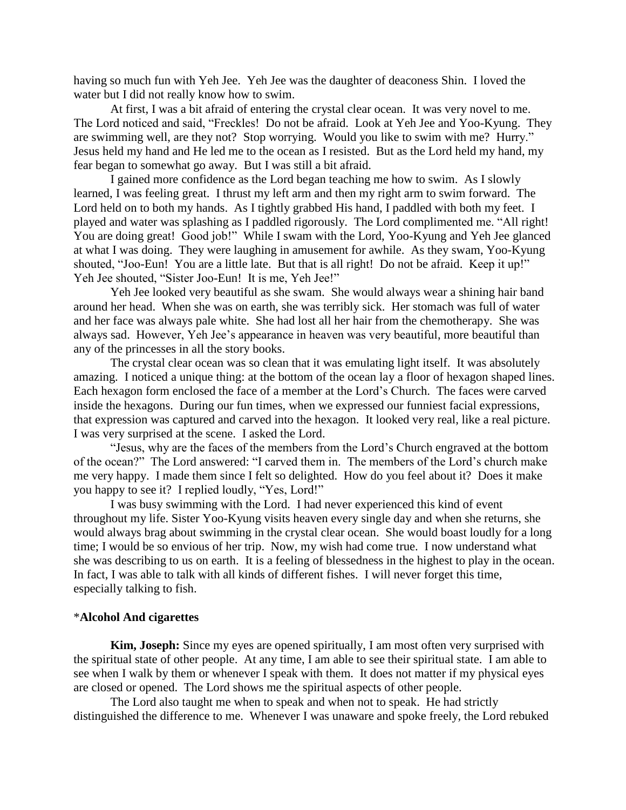having so much fun with Yeh Jee. Yeh Jee was the daughter of deaconess Shin. I loved the water but I did not really know how to swim.

At first, I was a bit afraid of entering the crystal clear ocean. It was very novel to me. The Lord noticed and said, "Freckles! Do not be afraid. Look at Yeh Jee and Yoo-Kyung. They are swimming well, are they not? Stop worrying. Would you like to swim with me? Hurry." Jesus held my hand and He led me to the ocean as I resisted. But as the Lord held my hand, my fear began to somewhat go away. But I was still a bit afraid.

I gained more confidence as the Lord began teaching me how to swim. As I slowly learned, I was feeling great. I thrust my left arm and then my right arm to swim forward. The Lord held on to both my hands. As I tightly grabbed His hand, I paddled with both my feet. I played and water was splashing as I paddled rigorously. The Lord complimented me. "All right! You are doing great! Good job!" While I swam with the Lord, Yoo-Kyung and Yeh Jee glanced at what I was doing. They were laughing in amusement for awhile. As they swam, Yoo-Kyung shouted, "Joo-Eun! You are a little late. But that is all right! Do not be afraid. Keep it up!" Yeh Jee shouted, "Sister Joo-Eun! It is me, Yeh Jee!"

Yeh Jee looked very beautiful as she swam. She would always wear a shining hair band around her head. When she was on earth, she was terribly sick. Her stomach was full of water and her face was always pale white. She had lost all her hair from the chemotherapy. She was always sad. However, Yeh Jee"s appearance in heaven was very beautiful, more beautiful than any of the princesses in all the story books.

The crystal clear ocean was so clean that it was emulating light itself. It was absolutely amazing. I noticed a unique thing: at the bottom of the ocean lay a floor of hexagon shaped lines. Each hexagon form enclosed the face of a member at the Lord"s Church. The faces were carved inside the hexagons. During our fun times, when we expressed our funniest facial expressions, that expression was captured and carved into the hexagon. It looked very real, like a real picture. I was very surprised at the scene. I asked the Lord.

"Jesus, why are the faces of the members from the Lord"s Church engraved at the bottom of the ocean?" The Lord answered: "I carved them in. The members of the Lord"s church make me very happy. I made them since I felt so delighted. How do you feel about it? Does it make you happy to see it? I replied loudly, "Yes, Lord!"

I was busy swimming with the Lord. I had never experienced this kind of event throughout my life. Sister Yoo-Kyung visits heaven every single day and when she returns, she would always brag about swimming in the crystal clear ocean. She would boast loudly for a long time; I would be so envious of her trip. Now, my wish had come true. I now understand what she was describing to us on earth. It is a feeling of blessedness in the highest to play in the ocean. In fact, I was able to talk with all kinds of different fishes. I will never forget this time, especially talking to fish.

#### \***Alcohol And cigarettes**

**Kim, Joseph:** Since my eyes are opened spiritually, I am most often very surprised with the spiritual state of other people. At any time, I am able to see their spiritual state. I am able to see when I walk by them or whenever I speak with them. It does not matter if my physical eyes are closed or opened. The Lord shows me the spiritual aspects of other people.

The Lord also taught me when to speak and when not to speak. He had strictly distinguished the difference to me. Whenever I was unaware and spoke freely, the Lord rebuked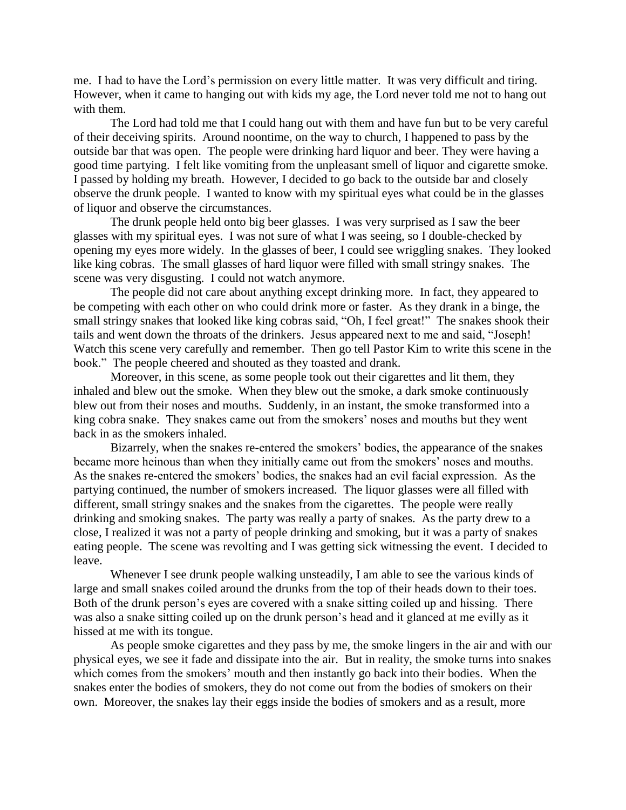me. I had to have the Lord"s permission on every little matter. It was very difficult and tiring. However, when it came to hanging out with kids my age, the Lord never told me not to hang out with them.

The Lord had told me that I could hang out with them and have fun but to be very careful of their deceiving spirits. Around noontime, on the way to church, I happened to pass by the outside bar that was open. The people were drinking hard liquor and beer. They were having a good time partying. I felt like vomiting from the unpleasant smell of liquor and cigarette smoke. I passed by holding my breath. However, I decided to go back to the outside bar and closely observe the drunk people. I wanted to know with my spiritual eyes what could be in the glasses of liquor and observe the circumstances.

The drunk people held onto big beer glasses. I was very surprised as I saw the beer glasses with my spiritual eyes. I was not sure of what I was seeing, so I double-checked by opening my eyes more widely. In the glasses of beer, I could see wriggling snakes. They looked like king cobras. The small glasses of hard liquor were filled with small stringy snakes. The scene was very disgusting. I could not watch anymore.

The people did not care about anything except drinking more. In fact, they appeared to be competing with each other on who could drink more or faster. As they drank in a binge, the small stringy snakes that looked like king cobras said, "Oh, I feel great!" The snakes shook their tails and went down the throats of the drinkers. Jesus appeared next to me and said, "Joseph! Watch this scene very carefully and remember. Then go tell Pastor Kim to write this scene in the book." The people cheered and shouted as they toasted and drank.

Moreover, in this scene, as some people took out their cigarettes and lit them, they inhaled and blew out the smoke. When they blew out the smoke, a dark smoke continuously blew out from their noses and mouths. Suddenly, in an instant, the smoke transformed into a king cobra snake. They snakes came out from the smokers' noses and mouths but they went back in as the smokers inhaled.

Bizarrely, when the snakes re-entered the smokers' bodies, the appearance of the snakes became more heinous than when they initially came out from the smokers' noses and mouths. As the snakes re-entered the smokers' bodies, the snakes had an evil facial expression. As the partying continued, the number of smokers increased. The liquor glasses were all filled with different, small stringy snakes and the snakes from the cigarettes. The people were really drinking and smoking snakes. The party was really a party of snakes. As the party drew to a close, I realized it was not a party of people drinking and smoking, but it was a party of snakes eating people. The scene was revolting and I was getting sick witnessing the event. I decided to leave.

Whenever I see drunk people walking unsteadily, I am able to see the various kinds of large and small snakes coiled around the drunks from the top of their heads down to their toes. Both of the drunk person's eyes are covered with a snake sitting coiled up and hissing. There was also a snake sitting coiled up on the drunk person"s head and it glanced at me evilly as it hissed at me with its tongue.

As people smoke cigarettes and they pass by me, the smoke lingers in the air and with our physical eyes, we see it fade and dissipate into the air. But in reality, the smoke turns into snakes which comes from the smokers' mouth and then instantly go back into their bodies. When the snakes enter the bodies of smokers, they do not come out from the bodies of smokers on their own. Moreover, the snakes lay their eggs inside the bodies of smokers and as a result, more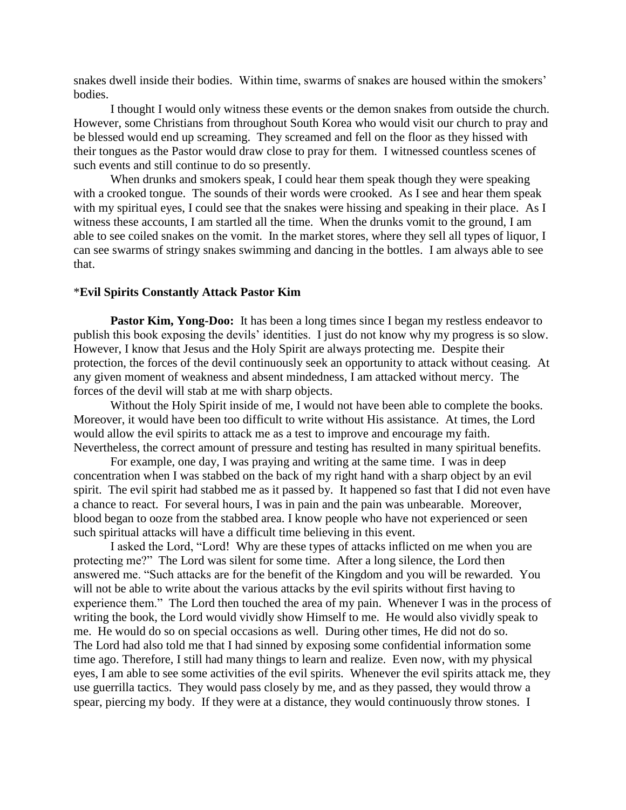snakes dwell inside their bodies. Within time, swarms of snakes are housed within the smokers" bodies.

I thought I would only witness these events or the demon snakes from outside the church. However, some Christians from throughout South Korea who would visit our church to pray and be blessed would end up screaming. They screamed and fell on the floor as they hissed with their tongues as the Pastor would draw close to pray for them. I witnessed countless scenes of such events and still continue to do so presently.

When drunks and smokers speak, I could hear them speak though they were speaking with a crooked tongue. The sounds of their words were crooked. As I see and hear them speak with my spiritual eyes, I could see that the snakes were hissing and speaking in their place. As I witness these accounts, I am startled all the time. When the drunks vomit to the ground, I am able to see coiled snakes on the vomit. In the market stores, where they sell all types of liquor, I can see swarms of stringy snakes swimming and dancing in the bottles. I am always able to see that.

#### \***Evil Spirits Constantly Attack Pastor Kim**

**Pastor Kim, Yong-Doo:** It has been a long times since I began my restless endeavor to publish this book exposing the devils" identities. I just do not know why my progress is so slow. However, I know that Jesus and the Holy Spirit are always protecting me. Despite their protection, the forces of the devil continuously seek an opportunity to attack without ceasing. At any given moment of weakness and absent mindedness, I am attacked without mercy. The forces of the devil will stab at me with sharp objects.

Without the Holy Spirit inside of me, I would not have been able to complete the books. Moreover, it would have been too difficult to write without His assistance. At times, the Lord would allow the evil spirits to attack me as a test to improve and encourage my faith. Nevertheless, the correct amount of pressure and testing has resulted in many spiritual benefits.

For example, one day, I was praying and writing at the same time. I was in deep concentration when I was stabbed on the back of my right hand with a sharp object by an evil spirit. The evil spirit had stabbed me as it passed by. It happened so fast that I did not even have a chance to react. For several hours, I was in pain and the pain was unbearable. Moreover, blood began to ooze from the stabbed area. I know people who have not experienced or seen such spiritual attacks will have a difficult time believing in this event.

I asked the Lord, "Lord! Why are these types of attacks inflicted on me when you are protecting me?" The Lord was silent for some time. After a long silence, the Lord then answered me. "Such attacks are for the benefit of the Kingdom and you will be rewarded. You will not be able to write about the various attacks by the evil spirits without first having to experience them." The Lord then touched the area of my pain. Whenever I was in the process of writing the book, the Lord would vividly show Himself to me. He would also vividly speak to me. He would do so on special occasions as well. During other times, He did not do so. The Lord had also told me that I had sinned by exposing some confidential information some time ago. Therefore, I still had many things to learn and realize. Even now, with my physical eyes, I am able to see some activities of the evil spirits. Whenever the evil spirits attack me, they use guerrilla tactics. They would pass closely by me, and as they passed, they would throw a spear, piercing my body. If they were at a distance, they would continuously throw stones. I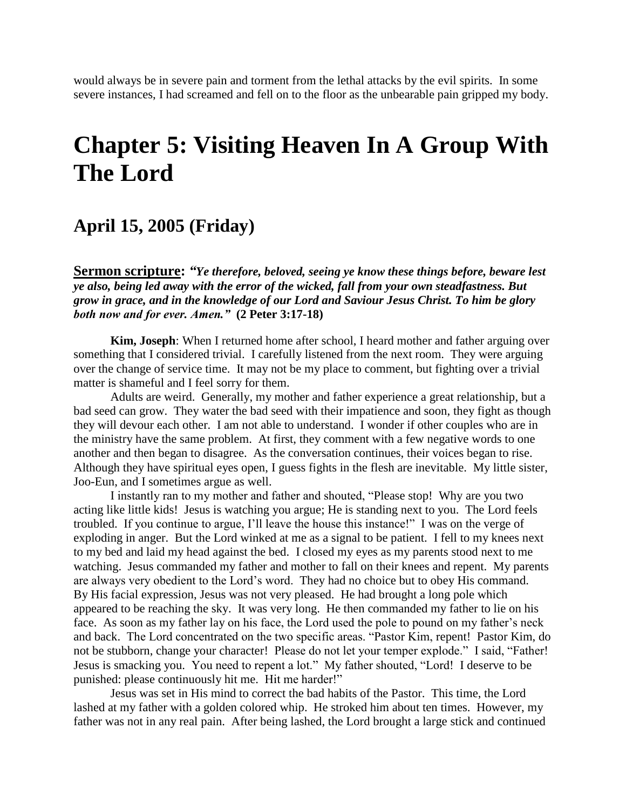would always be in severe pain and torment from the lethal attacks by the evil spirits. In some severe instances, I had screamed and fell on to the floor as the unbearable pain gripped my body.

# **Chapter 5: Visiting Heaven In A Group With The Lord**

# **April 15, 2005 (Friday)**

**Sermon scripture:** *"Ye therefore, beloved, seeing ye know these things before, beware lest ye also, being led away with the error of the wicked, fall from your own steadfastness. But grow in grace, and in the knowledge of our Lord and Saviour Jesus Christ. To him be glory both now and for ever. Amen."* **(2 Peter 3:17-18)**

**Kim, Joseph**: When I returned home after school, I heard mother and father arguing over something that I considered trivial. I carefully listened from the next room. They were arguing over the change of service time. It may not be my place to comment, but fighting over a trivial matter is shameful and I feel sorry for them.

Adults are weird. Generally, my mother and father experience a great relationship, but a bad seed can grow. They water the bad seed with their impatience and soon, they fight as though they will devour each other. I am not able to understand. I wonder if other couples who are in the ministry have the same problem. At first, they comment with a few negative words to one another and then began to disagree. As the conversation continues, their voices began to rise. Although they have spiritual eyes open, I guess fights in the flesh are inevitable. My little sister, Joo-Eun, and I sometimes argue as well.

I instantly ran to my mother and father and shouted, "Please stop! Why are you two acting like little kids! Jesus is watching you argue; He is standing next to you. The Lord feels troubled. If you continue to argue, I"ll leave the house this instance!" I was on the verge of exploding in anger. But the Lord winked at me as a signal to be patient. I fell to my knees next to my bed and laid my head against the bed. I closed my eyes as my parents stood next to me watching. Jesus commanded my father and mother to fall on their knees and repent. My parents are always very obedient to the Lord"s word. They had no choice but to obey His command. By His facial expression, Jesus was not very pleased. He had brought a long pole which appeared to be reaching the sky. It was very long. He then commanded my father to lie on his face. As soon as my father lay on his face, the Lord used the pole to pound on my father's neck and back. The Lord concentrated on the two specific areas. "Pastor Kim, repent! Pastor Kim, do not be stubborn, change your character! Please do not let your temper explode." I said, "Father! Jesus is smacking you. You need to repent a lot." My father shouted, "Lord! I deserve to be punished: please continuously hit me. Hit me harder!"

Jesus was set in His mind to correct the bad habits of the Pastor. This time, the Lord lashed at my father with a golden colored whip. He stroked him about ten times. However, my father was not in any real pain. After being lashed, the Lord brought a large stick and continued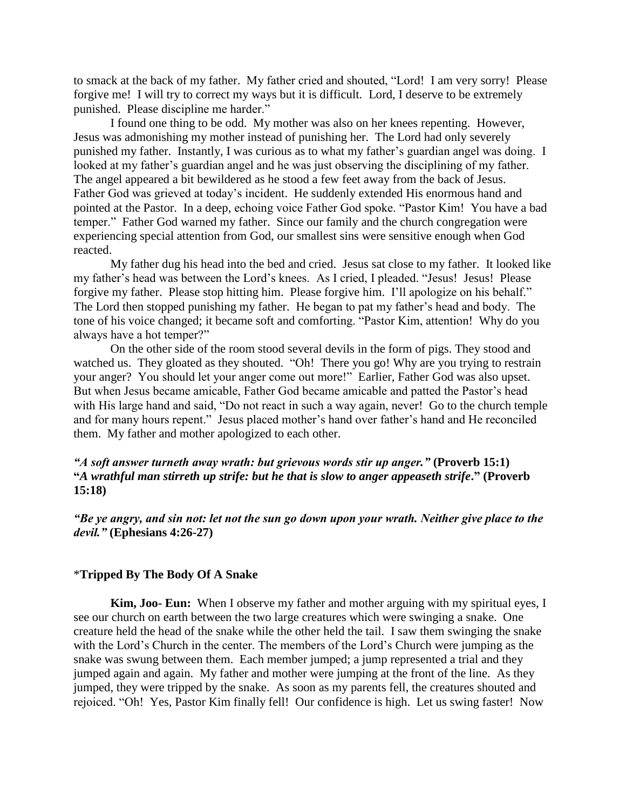to smack at the back of my father. My father cried and shouted, "Lord! I am very sorry! Please forgive me! I will try to correct my ways but it is difficult. Lord, I deserve to be extremely punished. Please discipline me harder."

I found one thing to be odd. My mother was also on her knees repenting. However, Jesus was admonishing my mother instead of punishing her. The Lord had only severely punished my father. Instantly, I was curious as to what my father"s guardian angel was doing. I looked at my father's guardian angel and he was just observing the disciplining of my father. The angel appeared a bit bewildered as he stood a few feet away from the back of Jesus. Father God was grieved at today"s incident. He suddenly extended His enormous hand and pointed at the Pastor. In a deep, echoing voice Father God spoke. "Pastor Kim! You have a bad temper." Father God warned my father. Since our family and the church congregation were experiencing special attention from God, our smallest sins were sensitive enough when God reacted.

My father dug his head into the bed and cried. Jesus sat close to my father. It looked like my father"s head was between the Lord"s knees. As I cried, I pleaded. "Jesus! Jesus! Please forgive my father. Please stop hitting him. Please forgive him. I"ll apologize on his behalf." The Lord then stopped punishing my father. He began to pat my father"s head and body. The tone of his voice changed; it became soft and comforting. "Pastor Kim, attention! Why do you always have a hot temper?"

On the other side of the room stood several devils in the form of pigs. They stood and watched us. They gloated as they shouted. "Oh! There you go! Why are you trying to restrain your anger? You should let your anger come out more!" Earlier, Father God was also upset. But when Jesus became amicable, Father God became amicable and patted the Pastor's head with His large hand and said, "Do not react in such a way again, never! Go to the church temple and for many hours repent." Jesus placed mother"s hand over father"s hand and He reconciled them. My father and mother apologized to each other.

## *"A soft answer turneth away wrath: but grievous words stir up anger."* **(Proverb 15:1) "***A wrathful man stirreth up strife: but he that is slow to anger appeaseth strife***." (Proverb 15:18)**

*"Be ye angry, and sin not: let not the sun go down upon your wrath. Neither give place to the devil."* **(Ephesians 4:26-27)**

#### \***Tripped By The Body Of A Snake**

**Kim, Joo- Eun:** When I observe my father and mother arguing with my spiritual eyes, I see our church on earth between the two large creatures which were swinging a snake. One creature held the head of the snake while the other held the tail. I saw them swinging the snake with the Lord"s Church in the center. The members of the Lord"s Church were jumping as the snake was swung between them. Each member jumped; a jump represented a trial and they jumped again and again. My father and mother were jumping at the front of the line. As they jumped, they were tripped by the snake. As soon as my parents fell, the creatures shouted and rejoiced. "Oh! Yes, Pastor Kim finally fell! Our confidence is high. Let us swing faster! Now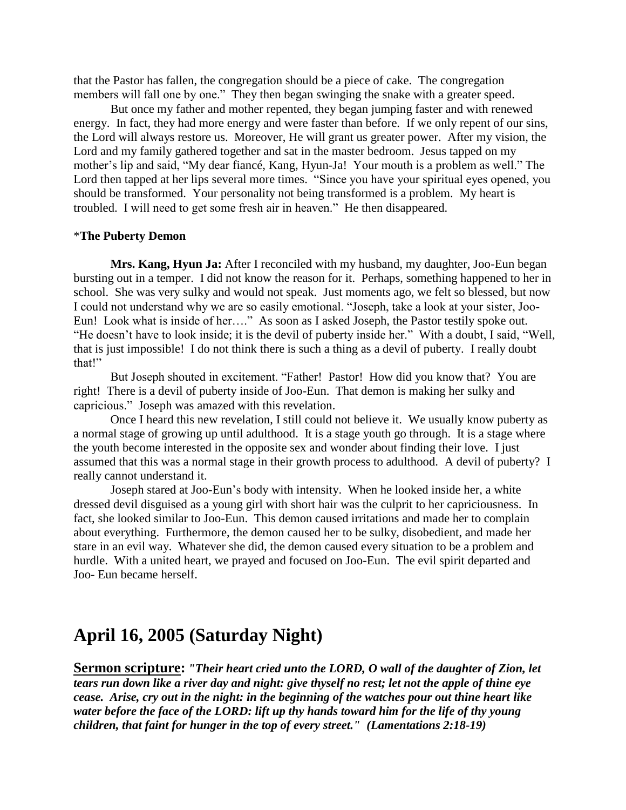that the Pastor has fallen, the congregation should be a piece of cake. The congregation members will fall one by one." They then began swinging the snake with a greater speed.

But once my father and mother repented, they began jumping faster and with renewed energy. In fact, they had more energy and were faster than before. If we only repent of our sins, the Lord will always restore us. Moreover, He will grant us greater power. After my vision, the Lord and my family gathered together and sat in the master bedroom. Jesus tapped on my mother"s lip and said, "My dear fiancé, Kang, Hyun-Ja! Your mouth is a problem as well." The Lord then tapped at her lips several more times. "Since you have your spiritual eyes opened, you should be transformed. Your personality not being transformed is a problem. My heart is troubled. I will need to get some fresh air in heaven." He then disappeared.

### \***The Puberty Demon**

**Mrs. Kang, Hyun Ja:** After I reconciled with my husband, my daughter, Joo-Eun began bursting out in a temper. I did not know the reason for it. Perhaps, something happened to her in school. She was very sulky and would not speak. Just moments ago, we felt so blessed, but now I could not understand why we are so easily emotional. "Joseph, take a look at your sister, Joo-Eun! Look what is inside of her…." As soon as I asked Joseph, the Pastor testily spoke out. "He doesn"t have to look inside; it is the devil of puberty inside her." With a doubt, I said, "Well, that is just impossible! I do not think there is such a thing as a devil of puberty. I really doubt that!"

But Joseph shouted in excitement. "Father! Pastor! How did you know that? You are right! There is a devil of puberty inside of Joo-Eun. That demon is making her sulky and capricious." Joseph was amazed with this revelation.

Once I heard this new revelation, I still could not believe it. We usually know puberty as a normal stage of growing up until adulthood. It is a stage youth go through. It is a stage where the youth become interested in the opposite sex and wonder about finding their love. I just assumed that this was a normal stage in their growth process to adulthood. A devil of puberty? I really cannot understand it.

Joseph stared at Joo-Eun"s body with intensity. When he looked inside her, a white dressed devil disguised as a young girl with short hair was the culprit to her capriciousness. In fact, she looked similar to Joo-Eun. This demon caused irritations and made her to complain about everything. Furthermore, the demon caused her to be sulky, disobedient, and made her stare in an evil way. Whatever she did, the demon caused every situation to be a problem and hurdle. With a united heart, we prayed and focused on Joo-Eun. The evil spirit departed and Joo- Eun became herself.

# **April 16, 2005 (Saturday Night)**

**Sermon scripture:** *"Their heart cried unto the LORD, O wall of the daughter of Zion, let tears run down like a river day and night: give thyself no rest; let not the apple of thine eye cease. Arise, cry out in the night: in the beginning of the watches pour out thine heart like water before the face of the LORD: lift up thy hands toward him for the life of thy young children, that faint for hunger in the top of every street." (Lamentations 2:18-19)*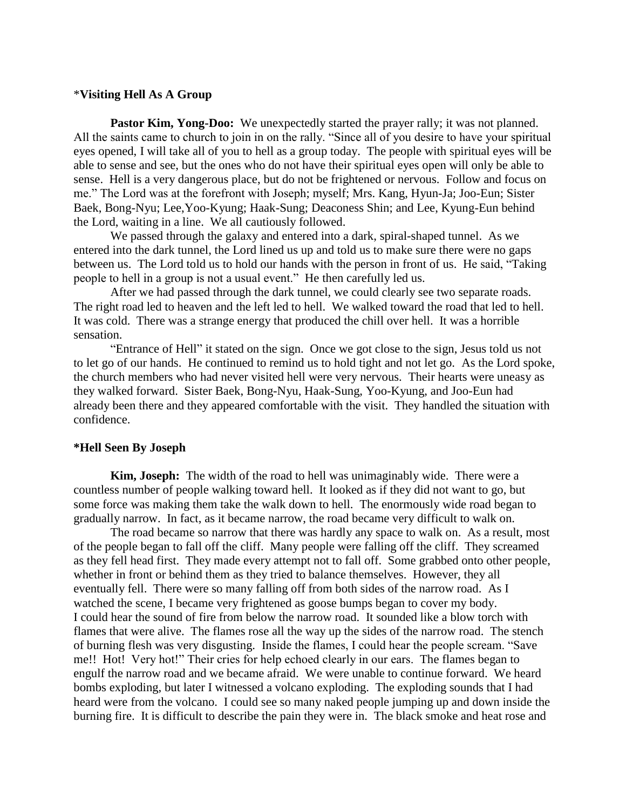#### \***Visiting Hell As A Group**

**Pastor Kim, Yong-Doo:** We unexpectedly started the prayer rally; it was not planned. All the saints came to church to join in on the rally. "Since all of you desire to have your spiritual eyes opened, I will take all of you to hell as a group today. The people with spiritual eyes will be able to sense and see, but the ones who do not have their spiritual eyes open will only be able to sense. Hell is a very dangerous place, but do not be frightened or nervous. Follow and focus on me." The Lord was at the forefront with Joseph; myself; Mrs. Kang, Hyun-Ja; Joo-Eun; Sister Baek, Bong-Nyu; Lee,Yoo-Kyung; Haak-Sung; Deaconess Shin; and Lee, Kyung-Eun behind the Lord, waiting in a line. We all cautiously followed.

We passed through the galaxy and entered into a dark, spiral-shaped tunnel. As we entered into the dark tunnel, the Lord lined us up and told us to make sure there were no gaps between us. The Lord told us to hold our hands with the person in front of us. He said, "Taking people to hell in a group is not a usual event." He then carefully led us.

After we had passed through the dark tunnel, we could clearly see two separate roads. The right road led to heaven and the left led to hell. We walked toward the road that led to hell. It was cold. There was a strange energy that produced the chill over hell. It was a horrible sensation.

"Entrance of Hell" it stated on the sign. Once we got close to the sign, Jesus told us not to let go of our hands. He continued to remind us to hold tight and not let go. As the Lord spoke, the church members who had never visited hell were very nervous. Their hearts were uneasy as they walked forward. Sister Baek, Bong-Nyu, Haak-Sung, Yoo-Kyung, and Joo-Eun had already been there and they appeared comfortable with the visit. They handled the situation with confidence.

#### **\*Hell Seen By Joseph**

**Kim, Joseph:** The width of the road to hell was unimaginably wide. There were a countless number of people walking toward hell. It looked as if they did not want to go, but some force was making them take the walk down to hell. The enormously wide road began to gradually narrow. In fact, as it became narrow, the road became very difficult to walk on.

The road became so narrow that there was hardly any space to walk on. As a result, most of the people began to fall off the cliff. Many people were falling off the cliff. They screamed as they fell head first. They made every attempt not to fall off. Some grabbed onto other people, whether in front or behind them as they tried to balance themselves. However, they all eventually fell. There were so many falling off from both sides of the narrow road. As I watched the scene, I became very frightened as goose bumps began to cover my body. I could hear the sound of fire from below the narrow road. It sounded like a blow torch with flames that were alive. The flames rose all the way up the sides of the narrow road. The stench of burning flesh was very disgusting. Inside the flames, I could hear the people scream. "Save me!! Hot! Very hot!" Their cries for help echoed clearly in our ears. The flames began to engulf the narrow road and we became afraid. We were unable to continue forward. We heard bombs exploding, but later I witnessed a volcano exploding. The exploding sounds that I had heard were from the volcano. I could see so many naked people jumping up and down inside the burning fire. It is difficult to describe the pain they were in. The black smoke and heat rose and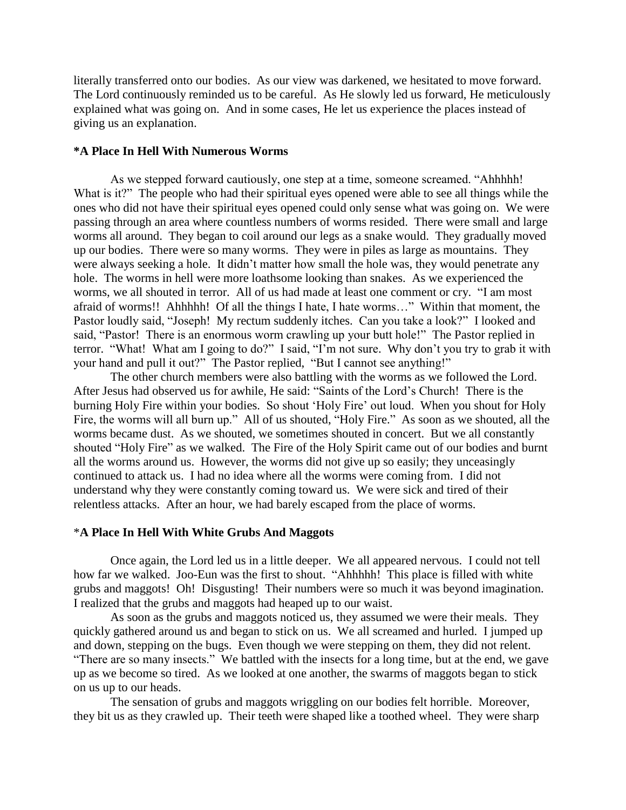literally transferred onto our bodies. As our view was darkened, we hesitated to move forward. The Lord continuously reminded us to be careful. As He slowly led us forward, He meticulously explained what was going on. And in some cases, He let us experience the places instead of giving us an explanation.

#### **\*A Place In Hell With Numerous Worms**

As we stepped forward cautiously, one step at a time, someone screamed. "Ahhhhh! What is it?" The people who had their spiritual eyes opened were able to see all things while the ones who did not have their spiritual eyes opened could only sense what was going on. We were passing through an area where countless numbers of worms resided. There were small and large worms all around. They began to coil around our legs as a snake would. They gradually moved up our bodies. There were so many worms. They were in piles as large as mountains. They were always seeking a hole. It didn"t matter how small the hole was, they would penetrate any hole. The worms in hell were more loathsome looking than snakes. As we experienced the worms, we all shouted in terror. All of us had made at least one comment or cry. "I am most afraid of worms!! Ahhhhh! Of all the things I hate, I hate worms…" Within that moment, the Pastor loudly said, "Joseph! My rectum suddenly itches. Can you take a look?" I looked and said, "Pastor! There is an enormous worm crawling up your butt hole!" The Pastor replied in terror. "What! What am I going to do?" I said, "I"m not sure. Why don"t you try to grab it with your hand and pull it out?" The Pastor replied, "But I cannot see anything!"

The other church members were also battling with the worms as we followed the Lord. After Jesus had observed us for awhile, He said: "Saints of the Lord"s Church! There is the burning Holy Fire within your bodies. So shout "Holy Fire" out loud. When you shout for Holy Fire, the worms will all burn up." All of us shouted, "Holy Fire." As soon as we shouted, all the worms became dust. As we shouted, we sometimes shouted in concert. But we all constantly shouted "Holy Fire" as we walked. The Fire of the Holy Spirit came out of our bodies and burnt all the worms around us. However, the worms did not give up so easily; they unceasingly continued to attack us. I had no idea where all the worms were coming from. I did not understand why they were constantly coming toward us. We were sick and tired of their relentless attacks. After an hour, we had barely escaped from the place of worms.

#### \***A Place In Hell With White Grubs And Maggots**

Once again, the Lord led us in a little deeper. We all appeared nervous. I could not tell how far we walked. Joo-Eun was the first to shout. "Ahhhhh! This place is filled with white grubs and maggots! Oh! Disgusting! Their numbers were so much it was beyond imagination. I realized that the grubs and maggots had heaped up to our waist.

As soon as the grubs and maggots noticed us, they assumed we were their meals. They quickly gathered around us and began to stick on us. We all screamed and hurled. I jumped up and down, stepping on the bugs. Even though we were stepping on them, they did not relent. "There are so many insects." We battled with the insects for a long time, but at the end, we gave up as we become so tired. As we looked at one another, the swarms of maggots began to stick on us up to our heads.

The sensation of grubs and maggots wriggling on our bodies felt horrible. Moreover, they bit us as they crawled up. Their teeth were shaped like a toothed wheel. They were sharp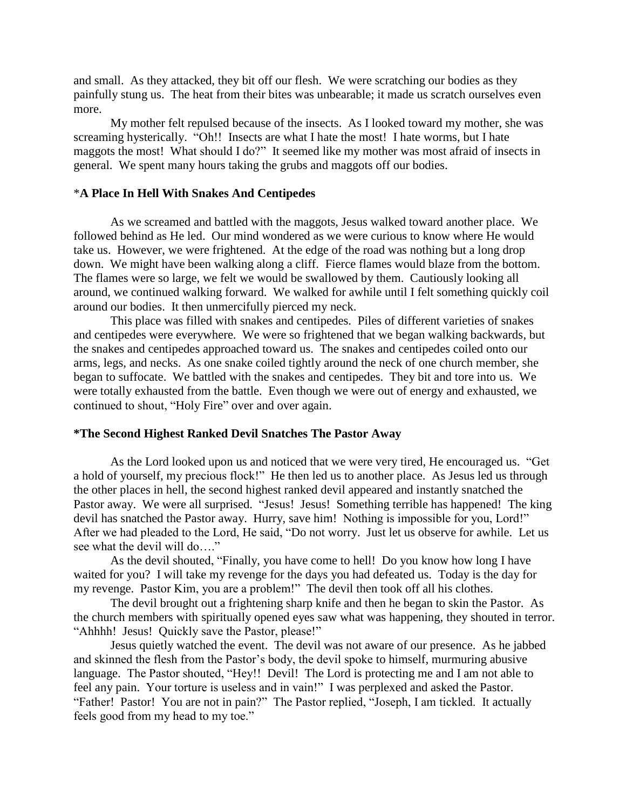and small. As they attacked, they bit off our flesh. We were scratching our bodies as they painfully stung us. The heat from their bites was unbearable; it made us scratch ourselves even more.

My mother felt repulsed because of the insects. As I looked toward my mother, she was screaming hysterically. "Oh!! Insects are what I hate the most! I hate worms, but I hate maggots the most! What should I do?" It seemed like my mother was most afraid of insects in general. We spent many hours taking the grubs and maggots off our bodies.

#### \***A Place In Hell With Snakes And Centipedes**

As we screamed and battled with the maggots, Jesus walked toward another place. We followed behind as He led. Our mind wondered as we were curious to know where He would take us. However, we were frightened. At the edge of the road was nothing but a long drop down. We might have been walking along a cliff. Fierce flames would blaze from the bottom. The flames were so large, we felt we would be swallowed by them. Cautiously looking all around, we continued walking forward. We walked for awhile until I felt something quickly coil around our bodies. It then unmercifully pierced my neck.

This place was filled with snakes and centipedes. Piles of different varieties of snakes and centipedes were everywhere. We were so frightened that we began walking backwards, but the snakes and centipedes approached toward us. The snakes and centipedes coiled onto our arms, legs, and necks. As one snake coiled tightly around the neck of one church member, she began to suffocate. We battled with the snakes and centipedes. They bit and tore into us. We were totally exhausted from the battle. Even though we were out of energy and exhausted, we continued to shout, "Holy Fire" over and over again.

#### **\*The Second Highest Ranked Devil Snatches The Pastor Away**

As the Lord looked upon us and noticed that we were very tired, He encouraged us. "Get a hold of yourself, my precious flock!" He then led us to another place. As Jesus led us through the other places in hell, the second highest ranked devil appeared and instantly snatched the Pastor away. We were all surprised. "Jesus! Jesus! Something terrible has happened! The king devil has snatched the Pastor away. Hurry, save him! Nothing is impossible for you, Lord!" After we had pleaded to the Lord, He said, "Do not worry. Just let us observe for awhile. Let us see what the devil will do…."

As the devil shouted, "Finally, you have come to hell! Do you know how long I have waited for you? I will take my revenge for the days you had defeated us. Today is the day for my revenge. Pastor Kim, you are a problem!" The devil then took off all his clothes.

The devil brought out a frightening sharp knife and then he began to skin the Pastor. As the church members with spiritually opened eyes saw what was happening, they shouted in terror. "Ahhhh! Jesus! Quickly save the Pastor, please!"

Jesus quietly watched the event. The devil was not aware of our presence. As he jabbed and skinned the flesh from the Pastor's body, the devil spoke to himself, murmuring abusive language. The Pastor shouted, "Hey!! Devil! The Lord is protecting me and I am not able to feel any pain. Your torture is useless and in vain!" I was perplexed and asked the Pastor. "Father! Pastor! You are not in pain?" The Pastor replied, "Joseph, I am tickled. It actually feels good from my head to my toe."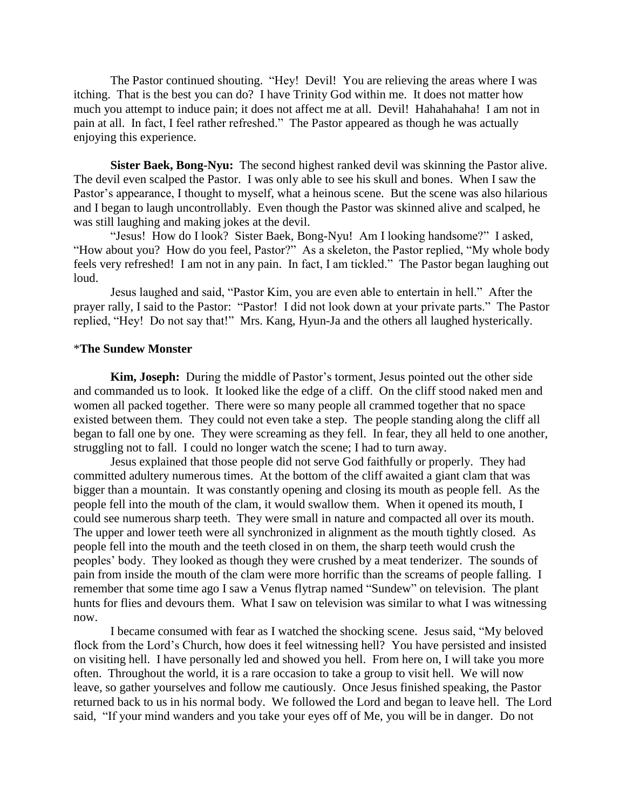The Pastor continued shouting. "Hey! Devil! You are relieving the areas where I was itching. That is the best you can do? I have Trinity God within me. It does not matter how much you attempt to induce pain; it does not affect me at all. Devil! Hahahahaha! I am not in pain at all. In fact, I feel rather refreshed." The Pastor appeared as though he was actually enjoying this experience.

**Sister Baek, Bong-Nyu:** The second highest ranked devil was skinning the Pastor alive. The devil even scalped the Pastor. I was only able to see his skull and bones. When I saw the Pastor's appearance, I thought to myself, what a heinous scene. But the scene was also hilarious and I began to laugh uncontrollably. Even though the Pastor was skinned alive and scalped, he was still laughing and making jokes at the devil.

"Jesus! How do I look? Sister Baek, Bong-Nyu! Am I looking handsome?" I asked, "How about you? How do you feel, Pastor?" As a skeleton, the Pastor replied, "My whole body feels very refreshed! I am not in any pain. In fact, I am tickled." The Pastor began laughing out loud.

Jesus laughed and said, "Pastor Kim, you are even able to entertain in hell." After the prayer rally, I said to the Pastor: "Pastor! I did not look down at your private parts." The Pastor replied, "Hey! Do not say that!" Mrs. Kang, Hyun-Ja and the others all laughed hysterically.

#### \***The Sundew Monster**

**Kim, Joseph:** During the middle of Pastor"s torment, Jesus pointed out the other side and commanded us to look. It looked like the edge of a cliff. On the cliff stood naked men and women all packed together. There were so many people all crammed together that no space existed between them. They could not even take a step. The people standing along the cliff all began to fall one by one. They were screaming as they fell. In fear, they all held to one another, struggling not to fall. I could no longer watch the scene; I had to turn away.

Jesus explained that those people did not serve God faithfully or properly. They had committed adultery numerous times. At the bottom of the cliff awaited a giant clam that was bigger than a mountain. It was constantly opening and closing its mouth as people fell. As the people fell into the mouth of the clam, it would swallow them. When it opened its mouth, I could see numerous sharp teeth. They were small in nature and compacted all over its mouth. The upper and lower teeth were all synchronized in alignment as the mouth tightly closed. As people fell into the mouth and the teeth closed in on them, the sharp teeth would crush the peoples" body. They looked as though they were crushed by a meat tenderizer. The sounds of pain from inside the mouth of the clam were more horrific than the screams of people falling. I remember that some time ago I saw a Venus flytrap named "Sundew" on television. The plant hunts for flies and devours them. What I saw on television was similar to what I was witnessing now.

I became consumed with fear as I watched the shocking scene. Jesus said, "My beloved flock from the Lord"s Church, how does it feel witnessing hell? You have persisted and insisted on visiting hell. I have personally led and showed you hell. From here on, I will take you more often. Throughout the world, it is a rare occasion to take a group to visit hell. We will now leave, so gather yourselves and follow me cautiously. Once Jesus finished speaking, the Pastor returned back to us in his normal body. We followed the Lord and began to leave hell. The Lord said, "If your mind wanders and you take your eyes off of Me, you will be in danger. Do not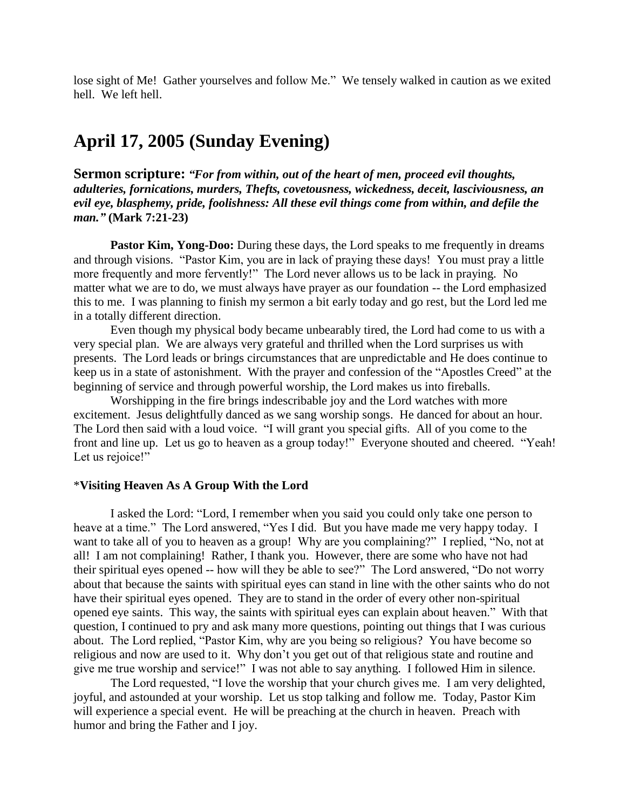lose sight of Me! Gather yourselves and follow Me." We tensely walked in caution as we exited hell. We left hell.

# **April 17, 2005 (Sunday Evening)**

**Sermon scripture:** *"For from within, out of the heart of men, proceed evil thoughts, adulteries, fornications, murders, Thefts, covetousness, wickedness, deceit, lasciviousness, an evil eye, blasphemy, pride, foolishness: All these evil things come from within, and defile the man."* **(Mark 7:21-23)**

**Pastor Kim, Yong-Doo:** During these days, the Lord speaks to me frequently in dreams and through visions. "Pastor Kim, you are in lack of praying these days! You must pray a little more frequently and more fervently!" The Lord never allows us to be lack in praying. No matter what we are to do, we must always have prayer as our foundation -- the Lord emphasized this to me. I was planning to finish my sermon a bit early today and go rest, but the Lord led me in a totally different direction.

Even though my physical body became unbearably tired, the Lord had come to us with a very special plan. We are always very grateful and thrilled when the Lord surprises us with presents. The Lord leads or brings circumstances that are unpredictable and He does continue to keep us in a state of astonishment. With the prayer and confession of the "Apostles Creed" at the beginning of service and through powerful worship, the Lord makes us into fireballs.

Worshipping in the fire brings indescribable joy and the Lord watches with more excitement. Jesus delightfully danced as we sang worship songs. He danced for about an hour. The Lord then said with a loud voice. "I will grant you special gifts. All of you come to the front and line up. Let us go to heaven as a group today!" Everyone shouted and cheered. "Yeah! Let us rejoice!"

### \***Visiting Heaven As A Group With the Lord**

I asked the Lord: "Lord, I remember when you said you could only take one person to heave at a time." The Lord answered, "Yes I did. But you have made me very happy today. I want to take all of you to heaven as a group! Why are you complaining?" I replied, "No, not at all! I am not complaining! Rather, I thank you. However, there are some who have not had their spiritual eyes opened -- how will they be able to see?" The Lord answered, "Do not worry about that because the saints with spiritual eyes can stand in line with the other saints who do not have their spiritual eyes opened. They are to stand in the order of every other non-spiritual opened eye saints. This way, the saints with spiritual eyes can explain about heaven." With that question, I continued to pry and ask many more questions, pointing out things that I was curious about. The Lord replied, "Pastor Kim, why are you being so religious? You have become so religious and now are used to it. Why don"t you get out of that religious state and routine and give me true worship and service!" I was not able to say anything. I followed Him in silence.

The Lord requested, "I love the worship that your church gives me. I am very delighted, joyful, and astounded at your worship. Let us stop talking and follow me. Today, Pastor Kim will experience a special event. He will be preaching at the church in heaven. Preach with humor and bring the Father and I joy.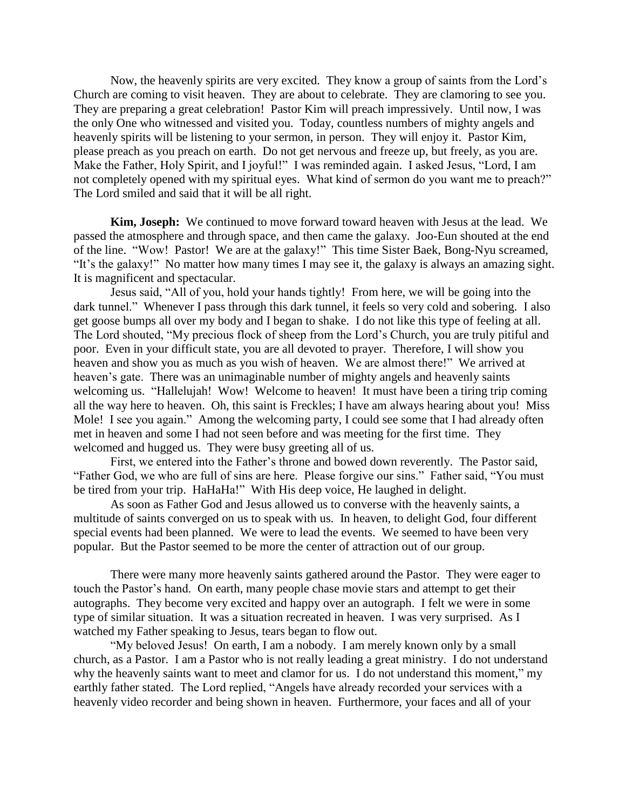Now, the heavenly spirits are very excited. They know a group of saints from the Lord"s Church are coming to visit heaven. They are about to celebrate. They are clamoring to see you. They are preparing a great celebration! Pastor Kim will preach impressively. Until now, I was the only One who witnessed and visited you. Today, countless numbers of mighty angels and heavenly spirits will be listening to your sermon, in person. They will enjoy it. Pastor Kim, please preach as you preach on earth. Do not get nervous and freeze up, but freely, as you are. Make the Father, Holy Spirit, and I joyful!" I was reminded again. I asked Jesus, "Lord, I am not completely opened with my spiritual eyes. What kind of sermon do you want me to preach?" The Lord smiled and said that it will be all right.

**Kim, Joseph:** We continued to move forward toward heaven with Jesus at the lead. We passed the atmosphere and through space, and then came the galaxy. Joo-Eun shouted at the end of the line. "Wow! Pastor! We are at the galaxy!" This time Sister Baek, Bong-Nyu screamed, "It"s the galaxy!" No matter how many times I may see it, the galaxy is always an amazing sight. It is magnificent and spectacular.

Jesus said, "All of you, hold your hands tightly! From here, we will be going into the dark tunnel." Whenever I pass through this dark tunnel, it feels so very cold and sobering. I also get goose bumps all over my body and I began to shake. I do not like this type of feeling at all. The Lord shouted, "My precious flock of sheep from the Lord"s Church, you are truly pitiful and poor. Even in your difficult state, you are all devoted to prayer. Therefore, I will show you heaven and show you as much as you wish of heaven. We are almost there!" We arrived at heaven's gate. There was an unimaginable number of mighty angels and heavenly saints welcoming us. "Hallelujah! Wow! Welcome to heaven! It must have been a tiring trip coming all the way here to heaven. Oh, this saint is Freckles; I have am always hearing about you! Miss Mole! I see you again." Among the welcoming party, I could see some that I had already often met in heaven and some I had not seen before and was meeting for the first time. They welcomed and hugged us. They were busy greeting all of us.

First, we entered into the Father"s throne and bowed down reverently. The Pastor said, "Father God, we who are full of sins are here. Please forgive our sins." Father said, "You must be tired from your trip. HaHaHa!" With His deep voice, He laughed in delight.

As soon as Father God and Jesus allowed us to converse with the heavenly saints, a multitude of saints converged on us to speak with us. In heaven, to delight God, four different special events had been planned. We were to lead the events. We seemed to have been very popular. But the Pastor seemed to be more the center of attraction out of our group.

There were many more heavenly saints gathered around the Pastor. They were eager to touch the Pastor"s hand. On earth, many people chase movie stars and attempt to get their autographs. They become very excited and happy over an autograph. I felt we were in some type of similar situation. It was a situation recreated in heaven. I was very surprised. As I watched my Father speaking to Jesus, tears began to flow out.

"My beloved Jesus! On earth, I am a nobody. I am merely known only by a small church, as a Pastor. I am a Pastor who is not really leading a great ministry. I do not understand why the heavenly saints want to meet and clamor for us. I do not understand this moment," my earthly father stated. The Lord replied, "Angels have already recorded your services with a heavenly video recorder and being shown in heaven. Furthermore, your faces and all of your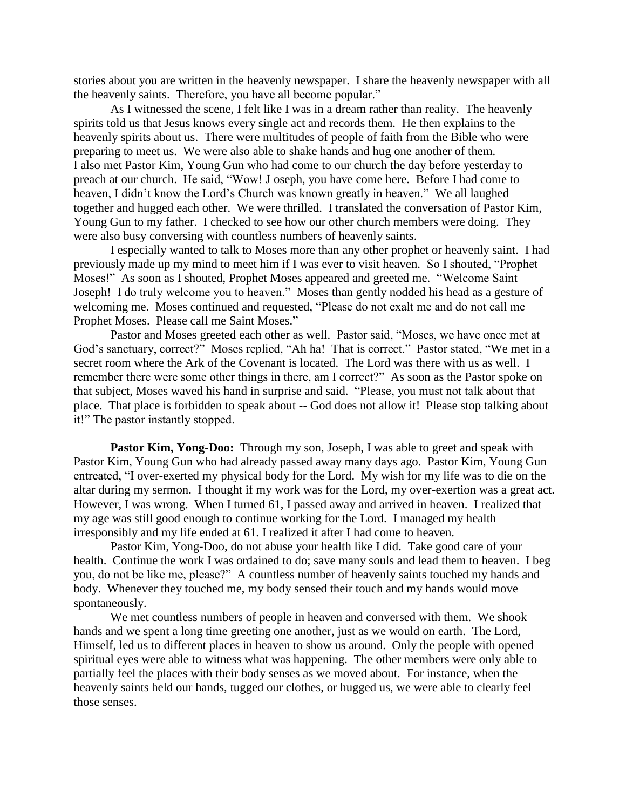stories about you are written in the heavenly newspaper. I share the heavenly newspaper with all the heavenly saints. Therefore, you have all become popular."

As I witnessed the scene, I felt like I was in a dream rather than reality. The heavenly spirits told us that Jesus knows every single act and records them. He then explains to the heavenly spirits about us. There were multitudes of people of faith from the Bible who were preparing to meet us. We were also able to shake hands and hug one another of them. I also met Pastor Kim, Young Gun who had come to our church the day before yesterday to preach at our church. He said, "Wow! J oseph, you have come here. Before I had come to heaven, I didn"t know the Lord"s Church was known greatly in heaven." We all laughed together and hugged each other. We were thrilled. I translated the conversation of Pastor Kim, Young Gun to my father. I checked to see how our other church members were doing. They were also busy conversing with countless numbers of heavenly saints.

I especially wanted to talk to Moses more than any other prophet or heavenly saint. I had previously made up my mind to meet him if I was ever to visit heaven. So I shouted, "Prophet Moses!" As soon as I shouted, Prophet Moses appeared and greeted me. "Welcome Saint Joseph! I do truly welcome you to heaven." Moses than gently nodded his head as a gesture of welcoming me. Moses continued and requested, "Please do not exalt me and do not call me Prophet Moses. Please call me Saint Moses."

Pastor and Moses greeted each other as well. Pastor said, "Moses, we have once met at God's sanctuary, correct?" Moses replied, "Ah ha! That is correct." Pastor stated, "We met in a secret room where the Ark of the Covenant is located. The Lord was there with us as well. I remember there were some other things in there, am I correct?" As soon as the Pastor spoke on that subject, Moses waved his hand in surprise and said. "Please, you must not talk about that place. That place is forbidden to speak about -- God does not allow it! Please stop talking about it!" The pastor instantly stopped.

**Pastor Kim, Yong-Doo:** Through my son, Joseph, I was able to greet and speak with Pastor Kim, Young Gun who had already passed away many days ago. Pastor Kim, Young Gun entreated, "I over-exerted my physical body for the Lord. My wish for my life was to die on the altar during my sermon. I thought if my work was for the Lord, my over-exertion was a great act. However, I was wrong. When I turned 61, I passed away and arrived in heaven. I realized that my age was still good enough to continue working for the Lord. I managed my health irresponsibly and my life ended at 61. I realized it after I had come to heaven.

Pastor Kim, Yong-Doo, do not abuse your health like I did. Take good care of your health. Continue the work I was ordained to do; save many souls and lead them to heaven. I beg you, do not be like me, please?" A countless number of heavenly saints touched my hands and body. Whenever they touched me, my body sensed their touch and my hands would move spontaneously.

We met countless numbers of people in heaven and conversed with them. We shook hands and we spent a long time greeting one another, just as we would on earth. The Lord, Himself, led us to different places in heaven to show us around. Only the people with opened spiritual eyes were able to witness what was happening. The other members were only able to partially feel the places with their body senses as we moved about. For instance, when the heavenly saints held our hands, tugged our clothes, or hugged us, we were able to clearly feel those senses.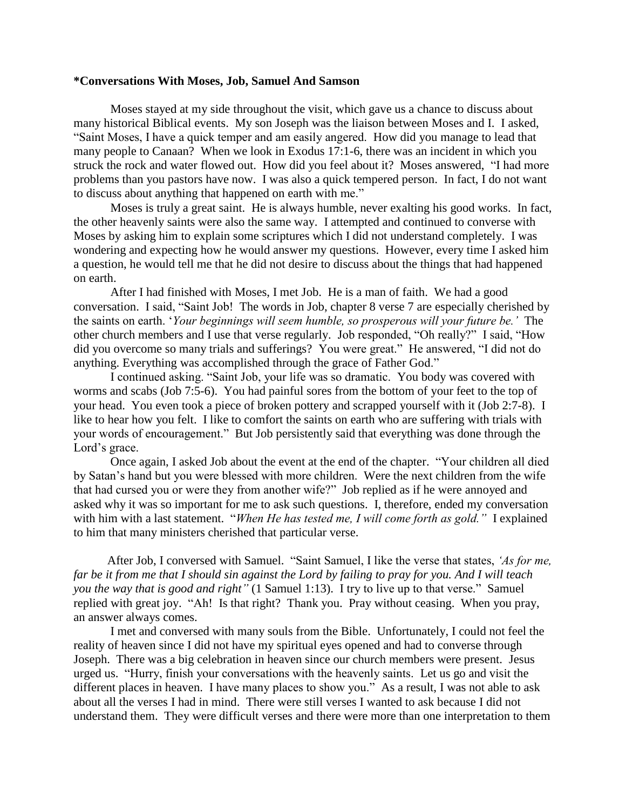#### **\*Conversations With Moses, Job, Samuel And Samson**

Moses stayed at my side throughout the visit, which gave us a chance to discuss about many historical Biblical events. My son Joseph was the liaison between Moses and I. I asked, "Saint Moses, I have a quick temper and am easily angered. How did you manage to lead that many people to Canaan? When we look in Exodus 17:1-6, there was an incident in which you struck the rock and water flowed out. How did you feel about it? Moses answered, "I had more problems than you pastors have now. I was also a quick tempered person. In fact, I do not want to discuss about anything that happened on earth with me."

Moses is truly a great saint. He is always humble, never exalting his good works. In fact, the other heavenly saints were also the same way. I attempted and continued to converse with Moses by asking him to explain some scriptures which I did not understand completely. I was wondering and expecting how he would answer my questions. However, every time I asked him a question, he would tell me that he did not desire to discuss about the things that had happened on earth.

After I had finished with Moses, I met Job. He is a man of faith. We had a good conversation. I said, "Saint Job! The words in Job, chapter 8 verse 7 are especially cherished by the saints on earth. "*Your beginnings will seem humble, so prosperous will your future be."* The other church members and I use that verse regularly. Job responded, "Oh really?" I said, "How did you overcome so many trials and sufferings? You were great." He answered, "I did not do anything. Everything was accomplished through the grace of Father God."

I continued asking. "Saint Job, your life was so dramatic. You body was covered with worms and scabs (Job 7:5-6). You had painful sores from the bottom of your feet to the top of your head. You even took a piece of broken pottery and scrapped yourself with it (Job 2:7-8). I like to hear how you felt. I like to comfort the saints on earth who are suffering with trials with your words of encouragement." But Job persistently said that everything was done through the Lord"s grace.

Once again, I asked Job about the event at the end of the chapter. "Your children all died by Satan"s hand but you were blessed with more children. Were the next children from the wife that had cursed you or were they from another wife?" Job replied as if he were annoyed and asked why it was so important for me to ask such questions. I, therefore, ended my conversation with him with a last statement. "*When He has tested me, I will come forth as gold."* I explained to him that many ministers cherished that particular verse.

After Job, I conversed with Samuel. "Saint Samuel, I like the verse that states, *"As for me, far be it from me that I should sin against the Lord by failing to pray for you. And I will teach you the way that is good and right"* (1 Samuel 1:13). I try to live up to that verse." Samuel replied with great joy. "Ah! Is that right? Thank you. Pray without ceasing. When you pray, an answer always comes.

I met and conversed with many souls from the Bible. Unfortunately, I could not feel the reality of heaven since I did not have my spiritual eyes opened and had to converse through Joseph. There was a big celebration in heaven since our church members were present. Jesus urged us. "Hurry, finish your conversations with the heavenly saints. Let us go and visit the different places in heaven. I have many places to show you." As a result, I was not able to ask about all the verses I had in mind. There were still verses I wanted to ask because I did not understand them. They were difficult verses and there were more than one interpretation to them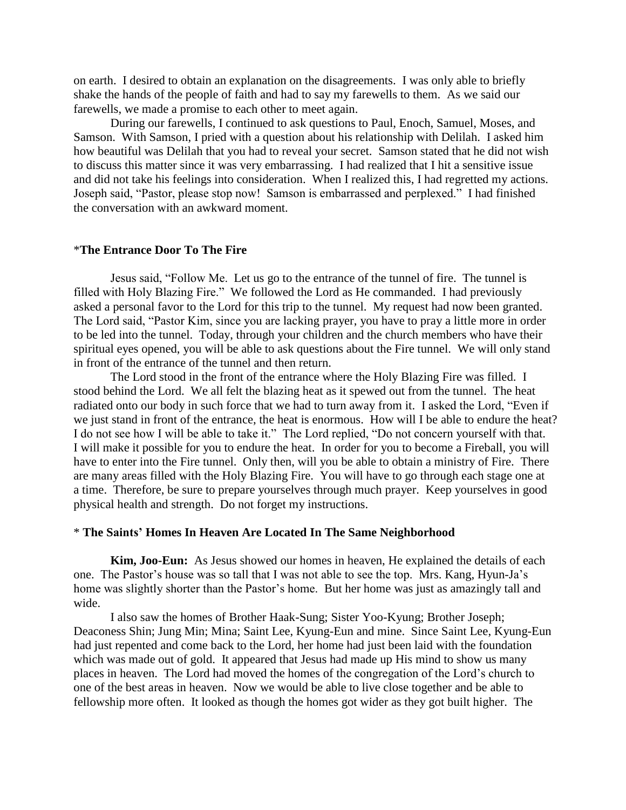on earth. I desired to obtain an explanation on the disagreements. I was only able to briefly shake the hands of the people of faith and had to say my farewells to them. As we said our farewells, we made a promise to each other to meet again.

During our farewells, I continued to ask questions to Paul, Enoch, Samuel, Moses, and Samson. With Samson, I pried with a question about his relationship with Delilah. I asked him how beautiful was Delilah that you had to reveal your secret. Samson stated that he did not wish to discuss this matter since it was very embarrassing. I had realized that I hit a sensitive issue and did not take his feelings into consideration. When I realized this, I had regretted my actions. Joseph said, "Pastor, please stop now! Samson is embarrassed and perplexed." I had finished the conversation with an awkward moment.

#### \***The Entrance Door To The Fire**

Jesus said, "Follow Me. Let us go to the entrance of the tunnel of fire. The tunnel is filled with Holy Blazing Fire." We followed the Lord as He commanded. I had previously asked a personal favor to the Lord for this trip to the tunnel. My request had now been granted. The Lord said, "Pastor Kim, since you are lacking prayer, you have to pray a little more in order to be led into the tunnel. Today, through your children and the church members who have their spiritual eyes opened, you will be able to ask questions about the Fire tunnel. We will only stand in front of the entrance of the tunnel and then return.

The Lord stood in the front of the entrance where the Holy Blazing Fire was filled. I stood behind the Lord. We all felt the blazing heat as it spewed out from the tunnel. The heat radiated onto our body in such force that we had to turn away from it. I asked the Lord, "Even if we just stand in front of the entrance, the heat is enormous. How will I be able to endure the heat? I do not see how I will be able to take it." The Lord replied, "Do not concern yourself with that. I will make it possible for you to endure the heat. In order for you to become a Fireball, you will have to enter into the Fire tunnel. Only then, will you be able to obtain a ministry of Fire. There are many areas filled with the Holy Blazing Fire. You will have to go through each stage one at a time. Therefore, be sure to prepare yourselves through much prayer. Keep yourselves in good physical health and strength. Do not forget my instructions.

#### \* **The Saints' Homes In Heaven Are Located In The Same Neighborhood**

**Kim, Joo-Eun:** As Jesus showed our homes in heaven, He explained the details of each one. The Pastor's house was so tall that I was not able to see the top. Mrs. Kang, Hyun-Ja's home was slightly shorter than the Pastor's home. But her home was just as amazingly tall and wide.

I also saw the homes of Brother Haak-Sung; Sister Yoo-Kyung; Brother Joseph; Deaconess Shin; Jung Min; Mina; Saint Lee, Kyung-Eun and mine. Since Saint Lee, Kyung-Eun had just repented and come back to the Lord, her home had just been laid with the foundation which was made out of gold. It appeared that Jesus had made up His mind to show us many places in heaven. The Lord had moved the homes of the congregation of the Lord"s church to one of the best areas in heaven. Now we would be able to live close together and be able to fellowship more often. It looked as though the homes got wider as they got built higher. The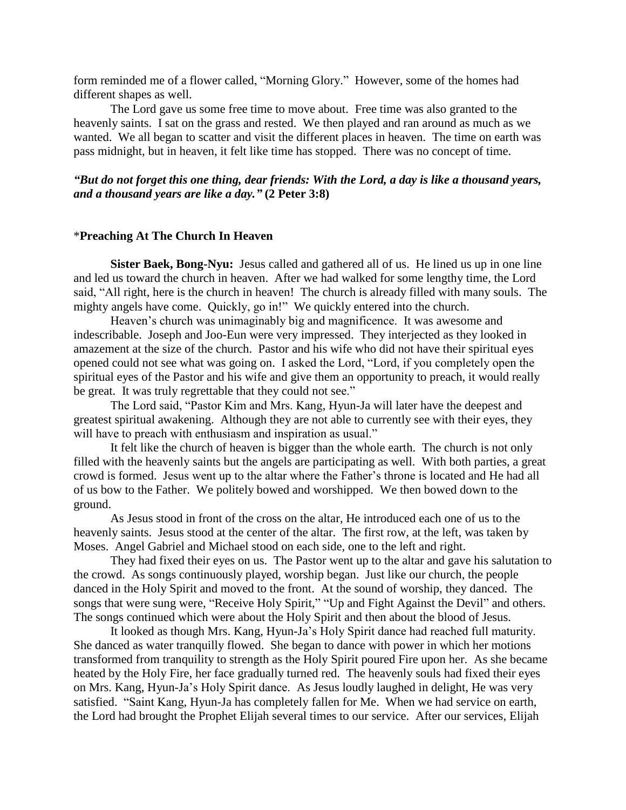form reminded me of a flower called, "Morning Glory." However, some of the homes had different shapes as well.

The Lord gave us some free time to move about. Free time was also granted to the heavenly saints. I sat on the grass and rested. We then played and ran around as much as we wanted. We all began to scatter and visit the different places in heaven. The time on earth was pass midnight, but in heaven, it felt like time has stopped. There was no concept of time.

# *"But do not forget this one thing, dear friends: With the Lord, a day is like a thousand years, and a thousand years are like a day."* **(2 Peter 3:8)**

### \***Preaching At The Church In Heaven**

**Sister Baek, Bong-Nyu:** Jesus called and gathered all of us. He lined us up in one line and led us toward the church in heaven. After we had walked for some lengthy time, the Lord said, "All right, here is the church in heaven! The church is already filled with many souls. The mighty angels have come. Quickly, go in!" We quickly entered into the church.

Heaven's church was unimaginably big and magnificence. It was awesome and indescribable. Joseph and Joo-Eun were very impressed. They interjected as they looked in amazement at the size of the church. Pastor and his wife who did not have their spiritual eyes opened could not see what was going on. I asked the Lord, "Lord, if you completely open the spiritual eyes of the Pastor and his wife and give them an opportunity to preach, it would really be great. It was truly regrettable that they could not see."

The Lord said, "Pastor Kim and Mrs. Kang, Hyun-Ja will later have the deepest and greatest spiritual awakening. Although they are not able to currently see with their eyes, they will have to preach with enthusiasm and inspiration as usual."

It felt like the church of heaven is bigger than the whole earth. The church is not only filled with the heavenly saints but the angels are participating as well. With both parties, a great crowd is formed. Jesus went up to the altar where the Father"s throne is located and He had all of us bow to the Father. We politely bowed and worshipped. We then bowed down to the ground.

As Jesus stood in front of the cross on the altar, He introduced each one of us to the heavenly saints. Jesus stood at the center of the altar. The first row, at the left, was taken by Moses. Angel Gabriel and Michael stood on each side, one to the left and right.

They had fixed their eyes on us. The Pastor went up to the altar and gave his salutation to the crowd. As songs continuously played, worship began. Just like our church, the people danced in the Holy Spirit and moved to the front. At the sound of worship, they danced. The songs that were sung were, "Receive Holy Spirit," "Up and Fight Against the Devil" and others. The songs continued which were about the Holy Spirit and then about the blood of Jesus.

It looked as though Mrs. Kang, Hyun-Ja"s Holy Spirit dance had reached full maturity. She danced as water tranquilly flowed. She began to dance with power in which her motions transformed from tranquility to strength as the Holy Spirit poured Fire upon her. As she became heated by the Holy Fire, her face gradually turned red. The heavenly souls had fixed their eyes on Mrs. Kang, Hyun-Ja"s Holy Spirit dance. As Jesus loudly laughed in delight, He was very satisfied. "Saint Kang, Hyun-Ja has completely fallen for Me. When we had service on earth, the Lord had brought the Prophet Elijah several times to our service. After our services, Elijah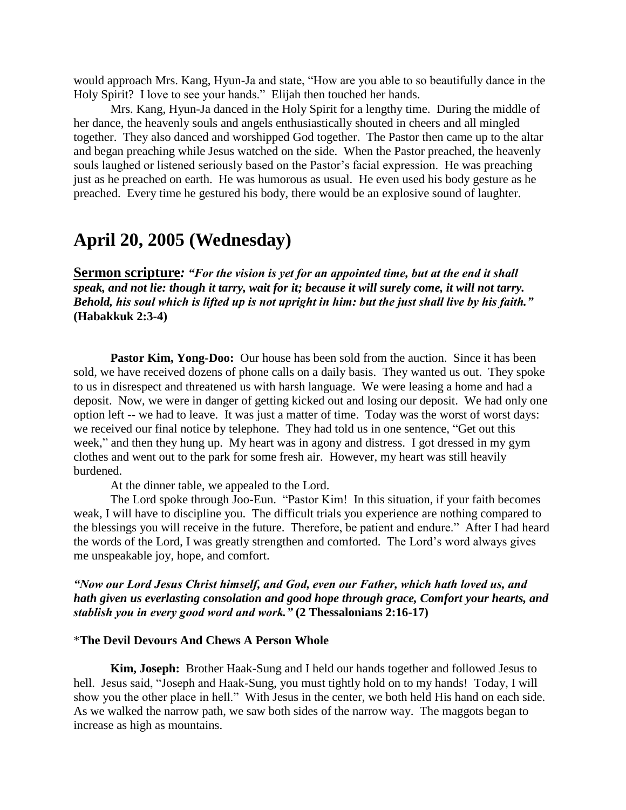would approach Mrs. Kang, Hyun-Ja and state, "How are you able to so beautifully dance in the Holy Spirit? I love to see your hands." Elijah then touched her hands.

Mrs. Kang, Hyun-Ja danced in the Holy Spirit for a lengthy time. During the middle of her dance, the heavenly souls and angels enthusiastically shouted in cheers and all mingled together. They also danced and worshipped God together. The Pastor then came up to the altar and began preaching while Jesus watched on the side. When the Pastor preached, the heavenly souls laughed or listened seriously based on the Pastor's facial expression. He was preaching just as he preached on earth. He was humorous as usual. He even used his body gesture as he preached. Every time he gestured his body, there would be an explosive sound of laughter.

# **April 20, 2005 (Wednesday)**

**Sermon scripture***: "For the vision is yet for an appointed time, but at the end it shall speak, and not lie: though it tarry, wait for it; because it will surely come, it will not tarry. Behold, his soul which is lifted up is not upright in him: but the just shall live by his faith."* **(Habakkuk 2:3-4)**

**Pastor Kim, Yong-Doo:** Our house has been sold from the auction. Since it has been sold, we have received dozens of phone calls on a daily basis. They wanted us out. They spoke to us in disrespect and threatened us with harsh language. We were leasing a home and had a deposit. Now, we were in danger of getting kicked out and losing our deposit. We had only one option left -- we had to leave. It was just a matter of time. Today was the worst of worst days: we received our final notice by telephone. They had told us in one sentence, "Get out this week," and then they hung up. My heart was in agony and distress. I got dressed in my gym clothes and went out to the park for some fresh air. However, my heart was still heavily burdened.

At the dinner table, we appealed to the Lord.

The Lord spoke through Joo-Eun. "Pastor Kim! In this situation, if your faith becomes weak, I will have to discipline you. The difficult trials you experience are nothing compared to the blessings you will receive in the future. Therefore, be patient and endure." After I had heard the words of the Lord, I was greatly strengthen and comforted. The Lord"s word always gives me unspeakable joy, hope, and comfort.

*"Now our Lord Jesus Christ himself, and God, even our Father, which hath loved us, and hath given us everlasting consolation and good hope through grace, Comfort your hearts, and stablish you in every good word and work."* **(2 Thessalonians 2:16-17)**

# \***The Devil Devours And Chews A Person Whole**

**Kim, Joseph:** Brother Haak-Sung and I held our hands together and followed Jesus to hell. Jesus said, "Joseph and Haak-Sung, you must tightly hold on to my hands! Today, I will show you the other place in hell." With Jesus in the center, we both held His hand on each side. As we walked the narrow path, we saw both sides of the narrow way. The maggots began to increase as high as mountains.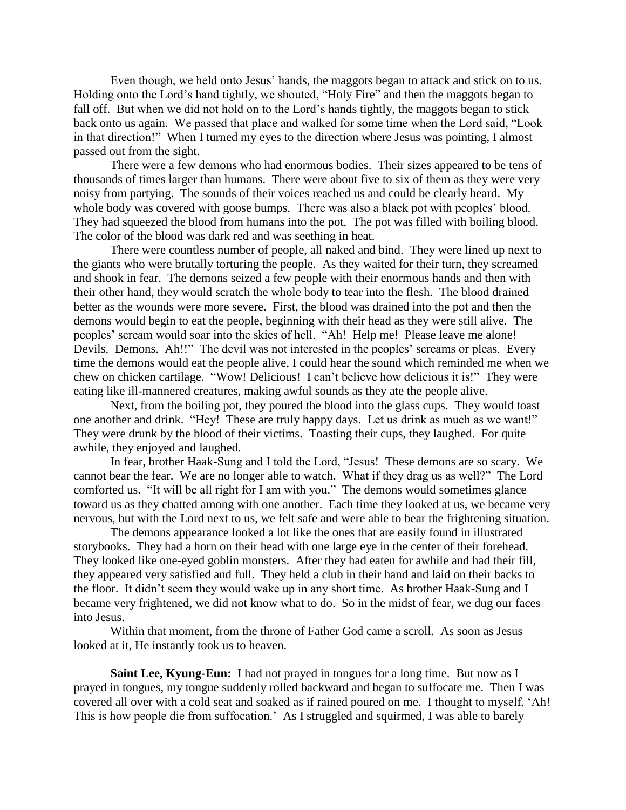Even though, we held onto Jesus' hands, the maggots began to attack and stick on to us. Holding onto the Lord"s hand tightly, we shouted, "Holy Fire" and then the maggots began to fall off. But when we did not hold on to the Lord's hands tightly, the maggots began to stick back onto us again. We passed that place and walked for some time when the Lord said, "Look in that direction!" When I turned my eyes to the direction where Jesus was pointing, I almost passed out from the sight.

There were a few demons who had enormous bodies. Their sizes appeared to be tens of thousands of times larger than humans. There were about five to six of them as they were very noisy from partying. The sounds of their voices reached us and could be clearly heard. My whole body was covered with goose bumps. There was also a black pot with peoples' blood. They had squeezed the blood from humans into the pot. The pot was filled with boiling blood. The color of the blood was dark red and was seething in heat.

There were countless number of people, all naked and bind. They were lined up next to the giants who were brutally torturing the people. As they waited for their turn, they screamed and shook in fear. The demons seized a few people with their enormous hands and then with their other hand, they would scratch the whole body to tear into the flesh. The blood drained better as the wounds were more severe. First, the blood was drained into the pot and then the demons would begin to eat the people, beginning with their head as they were still alive. The peoples" scream would soar into the skies of hell. "Ah! Help me! Please leave me alone! Devils. Demons. Ah!!" The devil was not interested in the peoples' screams or pleas. Every time the demons would eat the people alive, I could hear the sound which reminded me when we chew on chicken cartilage. "Wow! Delicious! I can"t believe how delicious it is!" They were eating like ill-mannered creatures, making awful sounds as they ate the people alive.

Next, from the boiling pot, they poured the blood into the glass cups. They would toast one another and drink. "Hey! These are truly happy days. Let us drink as much as we want!" They were drunk by the blood of their victims. Toasting their cups, they laughed. For quite awhile, they enjoyed and laughed.

In fear, brother Haak-Sung and I told the Lord, "Jesus! These demons are so scary. We cannot bear the fear. We are no longer able to watch. What if they drag us as well?" The Lord comforted us. "It will be all right for I am with you." The demons would sometimes glance toward us as they chatted among with one another. Each time they looked at us, we became very nervous, but with the Lord next to us, we felt safe and were able to bear the frightening situation.

The demons appearance looked a lot like the ones that are easily found in illustrated storybooks. They had a horn on their head with one large eye in the center of their forehead. They looked like one-eyed goblin monsters. After they had eaten for awhile and had their fill, they appeared very satisfied and full. They held a club in their hand and laid on their backs to the floor. It didn"t seem they would wake up in any short time. As brother Haak-Sung and I became very frightened, we did not know what to do. So in the midst of fear, we dug our faces into Jesus.

Within that moment, from the throne of Father God came a scroll. As soon as Jesus looked at it, He instantly took us to heaven.

**Saint Lee, Kyung-Eun:** I had not prayed in tongues for a long time. But now as I prayed in tongues, my tongue suddenly rolled backward and began to suffocate me. Then I was covered all over with a cold seat and soaked as if rained poured on me. I thought to myself, "Ah! This is how people die from suffocation." As I struggled and squirmed, I was able to barely